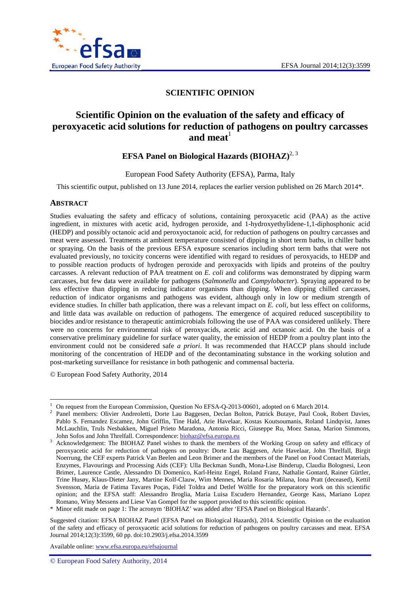

# **SCIENTIFIC OPINION**

# **Scientific Opinion on the evaluation of the safety and efficacy of peroxyacetic acid solutions for reduction of pathogens on poultry carcasses**  and meat<sup> $1$ </sup>

# **EFSA Panel on Biological Hazards (BIOHAZ)**<sup>2, 3</sup>

European Food Safety Authority (EFSA), Parma, Italy

<span id="page-0-0"></span>This scientific output, published on 13 June 2014, replaces the earlier version published on 26 March 2014\*.

### **ABSTRACT**

Studies evaluating the safety and efficacy of solutions, containing peroxyacetic acid (PAA) as the active ingredient, in mixtures with acetic acid, hydrogen peroxide, and 1-hydroxyethylidene-1,1-diphosphonic acid (HEDP) and possibly octanoic acid and peroxyoctanoic acid, for reduction of pathogens on poultry carcasses and meat were assessed. Treatments at ambient temperature consisted of dipping in short term baths, in chiller baths or spraying. On the basis of the previous EFSA exposure scenarios including short term baths that were not evaluated previously, no toxicity concerns were identified with regard to residues of peroxyacids, to HEDP and to possible reaction products of hydrogen peroxide and peroxyacids with lipids and proteins of the poultry carcasses. A relevant reduction of PAA treatment on *E. coli* and coliforms was demonstrated by dipping warm carcasses, but few data were available for pathogens (*Salmonella* and *Campylobacter*). Spraying appeared to be less effective than dipping in reducing indicator organisms than dipping. When dipping chilled carcasses, reduction of indicator organisms and pathogens was evident, although only in low or medium strength of evidence studies. In chiller bath application, there was a relevant impact on *E. coli,* but less effect on coliforms, and little data was available on reduction of pathogens. The emergence of acquired reduced susceptibility to biocides and/or resistance to therapeutic antimicrobials following the use of PAA was considered unlikely. There were no concerns for environmental risk of peroxyacids, acetic acid and octanoic acid. On the basis of a conservative preliminary guideline for surface water quality, the emission of HEDP from a poultry plant into the environment could not be considered safe *a priori*. It was recommended that HACCP plans should include monitoring of the concentration of HEDP and of the decontaminating substance in the working solution and post-marketing surveillance for resistance in both pathogenic and commensal bacteria.

© European Food Safety Authority, 2014

Available online: www.efsa.europa.eu/efsajournal

l 1 On request from the European Commission, Question No EFSA-Q-2013-00601, adopted on 6 March 2014.

<sup>2</sup> Panel members: Olivier Andreoletti, Dorte Lau Baggesen, Declan Bolton, Patrick Butaye, Paul Cook, Robert Davies, Pablo S. Fernandez Escamez, John Griffin, Tine Hald, Arie Havelaar, Kostas Koutsoumanis, Roland Lindqvist, James McLauchlin, Truls Nesbakken, Miguel Prieto Maradona, Antonia Ricci, Giuseppe Ru, Moez Sanaa, Marion Simmons, John Sofos and John Threlfall. Correspondence: biohaz@efsa.europa.eu

<sup>&</sup>lt;sup>3</sup> Acknowledgement: The BIOHAZ Panel wishes to thank the members of the Working Group on safety and efficacy of peroxyacetic acid for reduction of pathogens on poultry: Dorte Lau Baggesen, Arie Havelaar, John Threlfall, Birgit Noerrung, the CEF experts Patrick Van Beelen and Leon Brimer and the members of the Panel on Food Contact Materials, Enzymes, Flavourings and Processing Aids (CEF): Ulla Beckman Sundh, Mona-Lise Binderup, Claudia Bolognesi, Leon Brimer, Laurence Castle, Alessandro Di Domenico, Karl-Heinz Engel, Roland Franz, Nathalie Gontard, Rainer Gürtler, Trine Husøy, Klaus-Dieter Jany, Martine Kolf-Clauw, Wim Mennes, Maria Rosaria Milana, Iona Pratt (deceased), Kettil Svensson, Maria de Fatima Tavares Poças, Fidel Toldra and Detlef Wölfle for the preparatory work on this scientific opinion; and the EFSA staff: Alessandro Broglia, Maria Luisa Escudero Hernandez, George Kass, Mariano Lopez Romano, Winy Messens and Liese Van Gompel for the support provided to this scientific opinion.

<sup>\*</sup> Minor edit made on page 1: The acronym 'BIOHAZ' was added after 'EFSA Panel on Biological Hazards'.

Suggested citation: EFSA BIOHAZ Panel (EFSA Panel on Biological Hazards), 2014. Scientific Opinion on the evaluation of the safety and efficacy of peroxyacetic acid solutions for reduction of pathogens on poultry carcasses and meat. EFSA Journal 2014;12(3):3599, 60 pp. doi:10.2903/j.efsa.2014.3599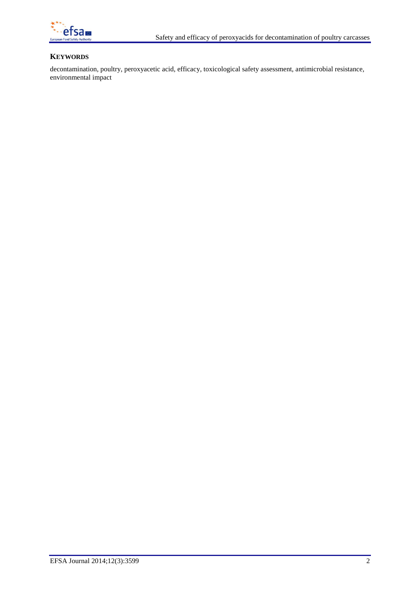

### **KEYWORDS**

decontamination, poultry, peroxyacetic acid, efficacy, toxicological safety assessment, antimicrobial resistance, environmental impact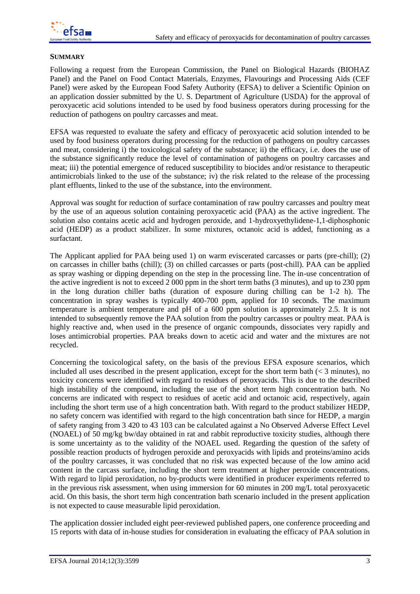

#### **SUMMARY**

Following a request from the European Commission, the Panel on Biological Hazards (BIOHAZ Panel) and the Panel on Food Contact Materials, Enzymes, Flavourings and Processing Aids (CEF Panel) were asked by the European Food Safety Authority (EFSA) to deliver a Scientific Opinion on an application dossier submitted by the U. S. Department of Agriculture (USDA) for the approval of peroxyacetic acid solutions intended to be used by food business operators during processing for the reduction of pathogens on poultry carcasses and meat.

EFSA was requested to evaluate the safety and efficacy of peroxyacetic acid solution intended to be used by food business operators during processing for the reduction of pathogens on poultry carcasses and meat, considering i) the toxicological safety of the substance; ii) the efficacy, i.e. does the use of the substance significantly reduce the level of contamination of pathogens on poultry carcasses and meat; iii) the potential emergence of reduced susceptibility to biocides and/or resistance to therapeutic antimicrobials linked to the use of the substance; iv) the risk related to the release of the processing plant effluents, linked to the use of the substance, into the environment.

Approval was sought for reduction of surface contamination of raw poultry carcasses and poultry meat by the use of an aqueous solution containing peroxyacetic acid (PAA) as the active ingredient. The solution also contains acetic acid and hydrogen peroxide, and 1-hydroxyethylidene-1,1-diphosphonic acid (HEDP) as a product stabilizer. In some mixtures, octanoic acid is added, functioning as a surfactant.

The Applicant applied for PAA being used 1) on warm eviscerated carcasses or parts (pre-chill); (2) on carcasses in chiller baths (chill); (3) on chilled carcasses or parts (post-chill). PAA can be applied as spray washing or dipping depending on the step in the processing line. The in-use concentration of the active ingredient is not to exceed 2 000 ppm in the short term baths (3 minutes), and up to 230 ppm in the long duration chiller baths (duration of exposure during chilling can be 1-2 h). The concentration in spray washes is typically 400-700 ppm, applied for 10 seconds. The maximum temperature is ambient temperature and pH of a 600 ppm solution is approximately 2.5. It is not intended to subsequently remove the PAA solution from the poultry carcasses or poultry meat. PAA is highly reactive and, when used in the presence of organic compounds, dissociates very rapidly and loses antimicrobial properties. PAA breaks down to acetic acid and water and the mixtures are not recycled.

Concerning the toxicological safety, on the basis of the previous EFSA exposure scenarios, which included all uses described in the present application, except for the short term bath ( $\lt$  3 minutes), no toxicity concerns were identified with regard to residues of peroxyacids. This is due to the described high instability of the compound, including the use of the short term high concentration bath. No concerns are indicated with respect to residues of acetic acid and octanoic acid, respectively, again including the short term use of a high concentration bath. With regard to the product stabilizer HEDP, no safety concern was identified with regard to the high concentration bath since for HEDP, a margin of safety ranging from 3 420 to 43 103 can be calculated against a No Observed Adverse Effect Level (NOAEL) of 50 mg/kg bw/day obtained in rat and rabbit reproductive toxicity studies, although there is some uncertainty as to the validity of the NOAEL used. Regarding the question of the safety of possible reaction products of hydrogen peroxide and peroxyacids with lipids and proteins/amino acids of the poultry carcasses, it was concluded that no risk was expected because of the low amino acid content in the carcass surface, including the short term treatment at higher peroxide concentrations. With regard to lipid peroxidation, no by-products were identified in producer experiments referred to in the previous risk assessment, when using immersion for 60 minutes in 200 mg/L total peroxyacetic acid. On this basis, the short term high concentration bath scenario included in the present application is not expected to cause measurable lipid peroxidation.

The application dossier included eight peer-reviewed published papers, one conference proceeding and 15 reports with data of in-house studies for consideration in evaluating the efficacy of PAA solution in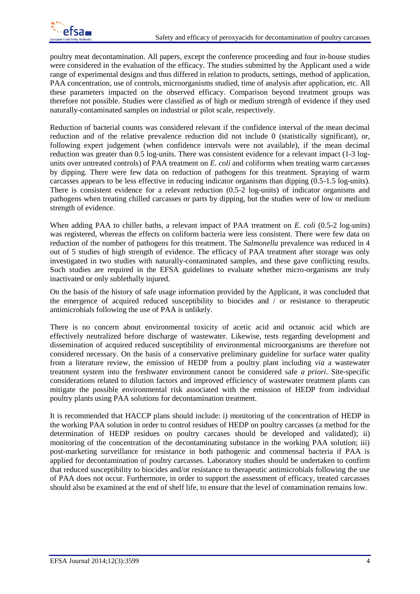poultry meat decontamination. All papers, except the conference proceeding and four in-house studies were considered in the evaluation of the efficacy. The studies submitted by the Applicant used a wide range of experimental designs and thus differed in relation to products, settings, method of application, PAA concentration, use of controls, microorganisms studied, time of analysis after application, etc. All these parameters impacted on the observed efficacy. Comparison beyond treatment groups was therefore not possible. Studies were classified as of high or medium strength of evidence if they used naturally-contaminated samples on industrial or pilot scale, respectively.

Reduction of bacterial counts was considered relevant if the confidence interval of the mean decimal reduction and of the relative prevalence reduction did not include 0 (statistically significant), or, following expert judgement (when confidence intervals were not available), if the mean decimal reduction was greater than 0.5 log-units. There was consistent evidence for a relevant impact (1-3 logunits over untreated controls) of PAA treatment on *E. coli* and coliforms when treating warm carcasses by dipping. There were few data on reduction of pathogens for this treatment. Spraying of warm carcasses appears to be less effective in reducing indicator organisms than dipping (0.5-1.5 log-units). There is consistent evidence for a relevant reduction (0.5-2 log-units) of indicator organisms and pathogens when treating chilled carcasses or parts by dipping, but the studies were of low or medium strength of evidence.

When adding PAA to chiller baths, a relevant impact of PAA treatment on *E. coli* (0.5-2 log-units) was registered, whereas the effects on coliform bacteria were less consistent. There were few data on reduction of the number of pathogens for this treatment. The *Salmonella* prevalence was reduced in 4 out of 5 studies of high strength of evidence. The efficacy of PAA treatment after storage was only investigated in two studies with naturally-contaminated samples, and these gave conflicting results. Such studies are required in the EFSA guidelines to evaluate whether micro-organisms are truly inactivated or only sublethally injured.

On the basis of the history of safe usage information provided by the Applicant, it was concluded that the emergence of acquired reduced susceptibility to biocides and / or resistance to therapeutic antimicrobials following the use of PAA is unlikely.

There is no concern about environmental toxicity of acetic acid and octanoic acid which are effectively neutralized before discharge of wastewater. Likewise, tests regarding development and dissemination of acquired reduced susceptibility of environmental microorganisms are therefore not considered necessary. On the basis of a conservative preliminary guideline for surface water quality from a literature review, the emission of HEDP from a poultry plant including *via* a wastewater treatment system into the freshwater environment cannot be considered safe *a priori*. Site-specific considerations related to dilution factors and improved efficiency of wastewater treatment plants can mitigate the possible environmental risk associated with the emission of HEDP from individual poultry plants using PAA solutions for decontamination treatment.

It is recommended that HACCP plans should include: i) monitoring of the concentration of HEDP in the working PAA solution in order to control residues of HEDP on poultry carcasses (a method for the determination of HEDP residues on poultry carcases should be developed and validated); ii) monitoring of the concentration of the decontaminating substance in the working PAA solution; iii) post-marketing surveillance for resistance in both pathogenic and commensal bacteria if PAA is applied for decontamination of poultry carcasses. Laboratory studies should be undertaken to confirm that reduced susceptibility to biocides and/or resistance to therapeutic antimicrobials following the use of PAA does not occur. Furthermore, in order to support the assessment of efficacy, treated carcasses should also be examined at the end of shelf life, to ensure that the level of contamination remains low.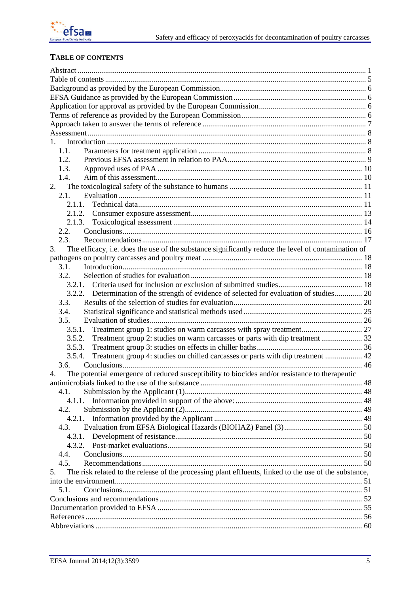# <span id="page-4-0"></span>**TABLE OF CONTENTS**

| 1.                                                                                                           |  |
|--------------------------------------------------------------------------------------------------------------|--|
| 1.1.                                                                                                         |  |
| 1.2.                                                                                                         |  |
| 1.3.                                                                                                         |  |
| 1.4.                                                                                                         |  |
| 2.                                                                                                           |  |
| 2.1.                                                                                                         |  |
|                                                                                                              |  |
|                                                                                                              |  |
| 2.1.3.                                                                                                       |  |
| 2.2.                                                                                                         |  |
| 2.3.                                                                                                         |  |
| The efficacy, i.e. does the use of the substance significantly reduce the level of contamination of<br>3.    |  |
|                                                                                                              |  |
| 3.1.                                                                                                         |  |
| 3.2.                                                                                                         |  |
|                                                                                                              |  |
| 3.2.2. Determination of the strength of evidence of selected for evaluation of studies 20                    |  |
| 3.3.                                                                                                         |  |
| 3.4.                                                                                                         |  |
| 3.5.                                                                                                         |  |
| 3.5.1.                                                                                                       |  |
| Treatment group 2: studies on warm carcasses or parts with dip treatment  32<br>3.5.2.                       |  |
| 3.5.3.                                                                                                       |  |
| Treatment group 4: studies on chilled carcasses or parts with dip treatment  42<br>3.5.4.                    |  |
| 3.6.                                                                                                         |  |
| The potential emergence of reduced susceptibility to biocides and/or resistance to therapeutic<br>4.         |  |
|                                                                                                              |  |
| 4.1.                                                                                                         |  |
| 4.1.1.                                                                                                       |  |
| 4.2.                                                                                                         |  |
| 4.2.1.                                                                                                       |  |
| 4.3.                                                                                                         |  |
|                                                                                                              |  |
|                                                                                                              |  |
| 4.4.                                                                                                         |  |
| 4.5.                                                                                                         |  |
| The risk related to the release of the processing plant effluents, linked to the use of the substance,<br>5. |  |
|                                                                                                              |  |
| 5.1.                                                                                                         |  |
|                                                                                                              |  |
|                                                                                                              |  |
|                                                                                                              |  |
|                                                                                                              |  |
|                                                                                                              |  |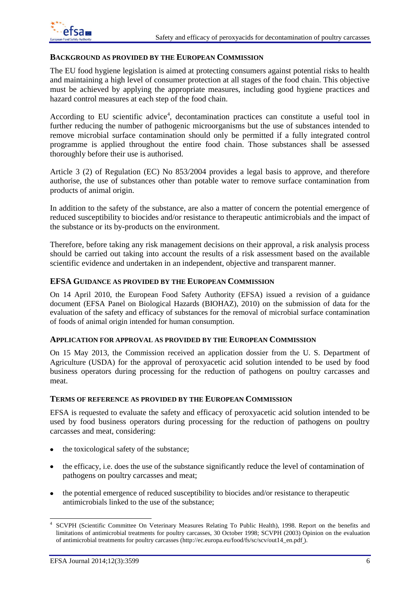### <span id="page-5-0"></span>**BACKGROUND AS PROVIDED BY THE EUROPEAN COMMISSION**

The EU food hygiene legislation is aimed at protecting consumers against potential risks to health and maintaining a high level of consumer protection at all stages of the food chain. This objective must be achieved by applying the appropriate measures, including good hygiene practices and hazard control measures at each step of the food chain.

According to EU scientific advice<sup>4</sup>, decontamination practices can constitute a useful tool in further reducing the number of pathogenic microorganisms but the use of substances intended to remove microbial surface contamination should only be permitted if a fully integrated control programme is applied throughout the entire food chain. Those substances shall be assessed thoroughly before their use is authorised.

Article 3 (2) of Regulation (EC) No 853/2004 provides a legal basis to approve, and therefore authorise, the use of substances other than potable water to remove surface contamination from products of animal origin.

In addition to the safety of the substance, are also a matter of concern the potential emergence of reduced susceptibility to biocides and/or resistance to therapeutic antimicrobials and the impact of the substance or its by-products on the environment.

Therefore, before taking any risk management decisions on their approval, a risk analysis process should be carried out taking into account the results of a risk assessment based on the available scientific evidence and undertaken in an independent, objective and transparent manner.

#### <span id="page-5-1"></span>**EFSA GUIDANCE AS PROVIDED BY THE EUROPEAN COMMISSION**

On 14 April 2010, the European Food Safety Authority (EFSA) issued a revision of a guidance document [\(EFSA Panel on Biological Hazards \(BIOHAZ\), 2010\)](#page-56-0) on the submission of data for the evaluation of the safety and efficacy of substances for the removal of microbial surface contamination of foods of animal origin intended for human consumption.

#### <span id="page-5-2"></span>**APPLICATION FOR APPROVAL AS PROVIDED BY THE EUROPEAN COMMISSION**

On 15 May 2013, the Commission received an application dossier from the U. S. Department of Agriculture (USDA) for the approval of peroxyacetic acid solution intended to be used by food business operators during processing for the reduction of pathogens on poultry carcasses and meat.

### <span id="page-5-3"></span>**TERMS OF REFERENCE AS PROVIDED BY THE EUROPEAN COMMISSION**

EFSA is requested to evaluate the safety and efficacy of peroxyacetic acid solution intended to be used by food business operators during processing for the reduction of pathogens on poultry carcasses and meat, considering:

- the toxicological safety of the substance;
- the efficacy, i.e. does the use of the substance significantly reduce the level of contamination of pathogens on poultry carcasses and meat;
- the potential emergence of reduced susceptibility to biocides and/or resistance to therapeutic antimicrobials linked to the use of the substance;

l

<sup>4</sup> SCVPH (Scientific Committee On Veterinary Measures Relating To Public Health), 1998. Report on the benefits and limitations of antimicrobial treatments for poultry carcasses, 30 October 1998; SCVPH (2003) Opinion on the evaluation of antimicrobial treatments for poultry carcasses (http://ec.europa.eu/food/fs/sc/scv/out14\_en.pdf ).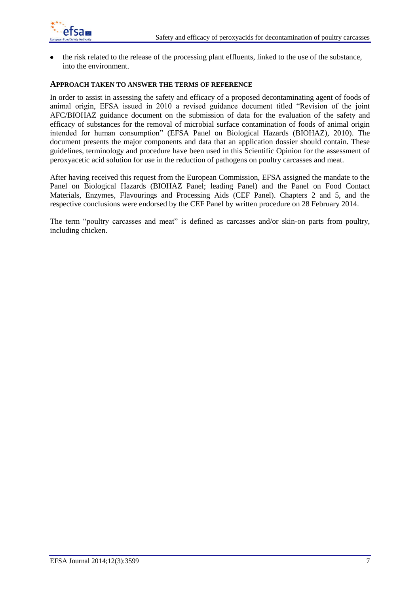

the risk related to the release of the processing plant effluents, linked to the use of the substance, into the environment.

### <span id="page-6-0"></span>**APPROACH TAKEN TO ANSWER THE TERMS OF REFERENCE**

In order to assist in assessing the safety and efficacy of a proposed decontaminating agent of foods of animal origin, EFSA issued in 2010 a revised guidance document titled "Revision of the joint AFC/BIOHAZ guidance document on the submission of data for the evaluation of the safety and efficacy of substances for the removal of microbial surface contamination of foods of animal origin intended for human consumption" [\(EFSA Panel on Biological Hazards \(BIOHAZ\), 2010\)](#page-56-0). The document presents the major components and data that an application dossier should contain. These guidelines, terminology and procedure have been used in this Scientific Opinion for the assessment of peroxyacetic acid solution for use in the reduction of pathogens on poultry carcasses and meat.

After having received this request from the European Commission, EFSA assigned the mandate to the Panel on Biological Hazards (BIOHAZ Panel; leading Panel) and the Panel on Food Contact Materials, Enzymes, Flavourings and Processing Aids (CEF Panel). Chapters 2 and 5, and the respective conclusions were endorsed by the CEF Panel by written procedure on 28 February 2014.

The term "poultry carcasses and meat" is defined as carcasses and/or skin-on parts from poultry, including chicken.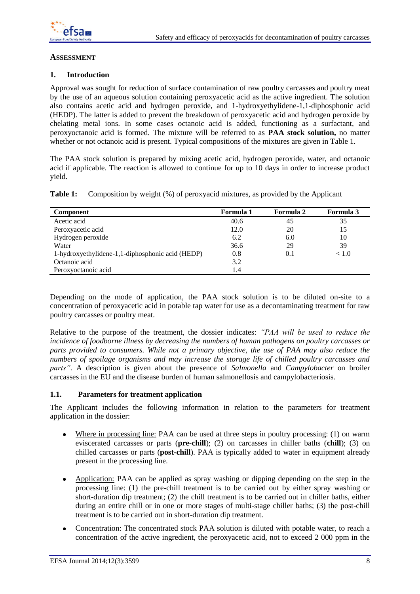# <span id="page-7-0"></span>**ASSESSMENT**

### <span id="page-7-1"></span>**1. Introduction**

Approval was sought for reduction of surface contamination of raw poultry carcasses and poultry meat by the use of an aqueous solution containing peroxyacetic acid as the active ingredient. The solution also contains acetic acid and hydrogen peroxide, and 1-hydroxyethylidene-1,1-diphosphonic acid (HEDP). The latter is added to prevent the breakdown of peroxyacetic acid and hydrogen peroxide by chelating metal ions. In some cases octanoic acid is added, functioning as a surfactant, and peroxyoctanoic acid is formed. The mixture will be referred to as **PAA stock solution,** no matter whether or not octanoic acid is present. Typical compositions of the mixtures are given in Table 1.

The PAA stock solution is prepared by mixing acetic acid, hydrogen peroxide, water, and octanoic acid if applicable. The reaction is allowed to continue for up to 10 days in order to increase product yield.

| <b>Component</b>                                 | Formula 1 | Formula 2 | Formula 3 |
|--------------------------------------------------|-----------|-----------|-----------|
| Acetic acid                                      | 40.6      | 45        | 35        |
| Peroxyacetic acid                                | 12.0      | 20        | 15        |
| Hydrogen peroxide                                | 6.2       | 6.0       | 10        |
| Water                                            | 36.6      | 29        | 39        |
| 1-hydroxyethylidene-1,1-diphosphonic acid (HEDP) | 0.8       | 0.1       | < 1.0     |
| Octanoic acid                                    | 3.2       |           |           |
| Peroxyoctanoic acid                              | 1.4       |           |           |

**Table 1:** Composition by weight (%) of peroxyacid mixtures, as provided by the Applicant

Depending on the mode of application, the PAA stock solution is to be diluted on-site to a concentration of peroxyacetic acid in potable tap water for use as a decontaminating treatment for raw poultry carcasses or poultry meat.

Relative to the purpose of the treatment, the dossier indicates: *"PAA will be used to reduce the incidence of foodborne illness by decreasing the numbers of human pathogens on poultry carcasses or parts provided to consumers. While not a primary objective, the use of PAA may also reduce the numbers of spoilage organisms and may increase the storage life of chilled poultry carcasses and parts"*. A description is given about the presence of *Salmonella* and *Campylobacter* on broiler carcasses in the EU and the disease burden of human salmonellosis and campylobacteriosis.

# <span id="page-7-2"></span>**1.1. Parameters for treatment application**

The Applicant includes the following information in relation to the parameters for treatment application in the dossier:

- Where in processing line: PAA can be used at three steps in poultry processing: (1) on warm  $\bullet$ eviscerated carcasses or parts (**pre-chill**); (2) on carcasses in chiller baths (**chill**); (3) on chilled carcasses or parts (**post-chill**). PAA is typically added to water in equipment already present in the processing line.
- Application: PAA can be applied as spray washing or dipping depending on the step in the  $\bullet$ processing line: (1) the pre-chill treatment is to be carried out by either spray washing or short-duration dip treatment; (2) the chill treatment is to be carried out in chiller baths, either during an entire chill or in one or more stages of multi-stage chiller baths; (3) the post-chill treatment is to be carried out in short-duration dip treatment.
- Concentration: The concentrated stock PAA solution is diluted with potable water, to reach a concentration of the active ingredient, the peroxyacetic acid, not to exceed 2 000 ppm in the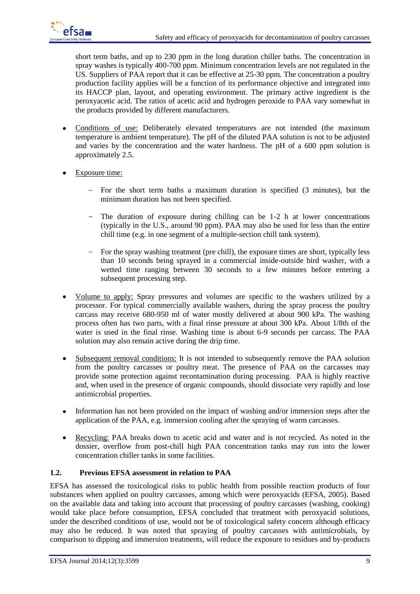short term baths, and up to 230 ppm in the long duration chiller baths. The concentration in spray washes is typically 400-700 ppm. Minimum concentration levels are not regulated in the US. Suppliers of PAA report that it can be effective at 25-30 ppm. The concentration a poultry production facility applies will be a function of its performance objective and integrated into its HACCP plan, layout, and operating environment. The primary active ingredient is the peroxyacetic acid. The ratios of acetic acid and hydrogen peroxide to PAA vary somewhat in the products provided by different manufacturers.

- Conditions of use: Deliberately elevated temperatures are not intended (the maximum temperature is ambient temperature). The pH of the diluted PAA solution is not to be adjusted and varies by the concentration and the water hardness. The pH of a 600 ppm solution is approximately 2.5.
- Exposure time:
	- For the short term baths a maximum duration is specified (3 minutes), but the minimum duration has not been specified.
	- The duration of exposure during chilling can be 1-2 h at lower concentrations (typically in the U.S., around 90 ppm). PAA may also be used for less than the entire chill time (e.g. in one segment of a multiple-section chill tank system).
	- For the spray washing treatment (pre chill), the exposure times are short, typically less than 10 seconds being sprayed in a commercial inside-outside bird washer, with a wetted time ranging between 30 seconds to a few minutes before entering a subsequent processing step.
- Volume to apply: Spray pressures and volumes are specific to the washers utilized by a processor. For typical commercially available washers, during the spray process the poultry carcass may receive 680-950 ml of water mostly delivered at about 900 kPa. The washing process often has two parts, with a final rinse pressure at about 300 kPa. About 1/8th of the water is used in the final rinse. Washing time is about 6-9 seconds per carcass. The PAA solution may also remain active during the drip time.
- Subsequent removal conditions: It is not intended to subsequently remove the PAA solution from the poultry carcasses or poultry meat. The presence of PAA on the carcasses may provide some protection against recontamination during processing. PAA is highly reactive and, when used in the presence of organic compounds, should dissociate very rapidly and lose antimicrobial properties.
- $\bullet$ Information has not been provided on the impact of washing and/or immersion steps after the application of the PAA, e.g. immersion cooling after the spraying of warm carcasses.
- Recycling: PAA breaks down to acetic acid and water and is not recycled. As noted in the  $\bullet$ dossier, overflow from post-chill high PAA concentration tanks may run into the lower concentration chiller tanks in some facilities.

# <span id="page-8-0"></span>**1.2. Previous EFSA assessment in relation to PAA**

EFSA has assessed the toxicological risks to public health from possible reaction products of four substances when applied on poultry carcasses, among which were peroxyacids [\(EFSA, 2005\)](#page-56-1). Based on the available data and taking into account that processing of poultry carcasses (washing, cooking) would take place before consumption, EFSA concluded that treatment with peroxyacid solutions, under the described conditions of use, would not be of toxicological safety concern although efficacy may also be reduced. It was noted that spraying of poultry carcasses with antimicrobials, by comparison to dipping and immersion treatments, will reduce the exposure to residues and by-products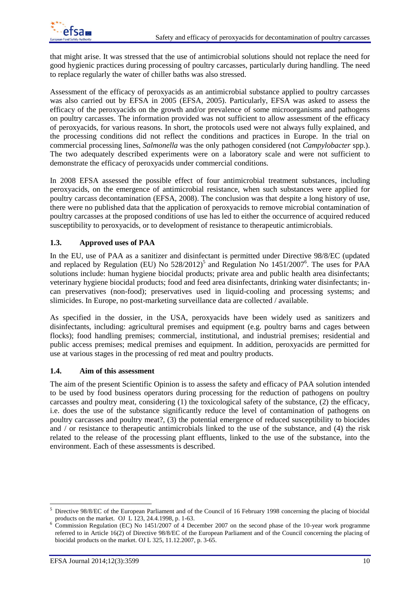

that might arise. It was stressed that the use of antimicrobial solutions should not replace the need for good hygienic practices during processing of poultry carcasses, particularly during handling. The need to replace regularly the water of chiller baths was also stressed.

Assessment of the efficacy of peroxyacids as an antimicrobial substance applied to poultry carcasses was also carried out by EFSA in 2005 [\(EFSA, 2005\)](#page-56-1). Particularly, EFSA was asked to assess the efficacy of the peroxyacids on the growth and/or prevalence of some microorganisms and pathogens on poultry carcasses. The information provided was not sufficient to allow assessment of the efficacy of peroxyacids, for various reasons. In short, the protocols used were not always fully explained, and the processing conditions did not reflect the conditions and practices in Europe. In the trial on commercial processing lines, *Salmonella* was the only pathogen considered (not *Campylobacter* spp.). The two adequately described experiments were on a laboratory scale and were not sufficient to demonstrate the efficacy of peroxyacids under commercial conditions.

In 2008 EFSA assessed the possible effect of four antimicrobial treatment substances, including peroxyacids, on the emergence of antimicrobial resistance, when such substances were applied for poultry carcass decontamination [\(EFSA, 2008\)](#page-56-2). The conclusion was that despite a long history of use, there were no published data that the application of peroxyacids to remove microbial contamination of poultry carcasses at the proposed conditions of use has led to either the occurrence of acquired reduced susceptibility to peroxyacids, or to development of resistance to therapeutic antimicrobials.

# <span id="page-9-0"></span>**1.3. Approved uses of PAA**

In the EU, use of PAA as a sanitizer and disinfectant is permitted under Directive 98/8/EC (updated and replaced by Regulation (EU) No  $528/2012$ <sup>5</sup> and Regulation No  $1451/2007$ <sup>6</sup>. The uses for PAA solutions include: human hygiene biocidal products; private area and public health area disinfectants; veterinary hygiene biocidal products; food and feed area disinfectants, drinking water disinfectants; incan preservatives (non-food); preservatives used in liquid-cooling and processing systems; and slimicides. In Europe, no post-marketing surveillance data are collected / available.

As specified in the dossier, in the USA, peroxyacids have been widely used as sanitizers and disinfectants, including: agricultural premises and equipment (e.g. poultry barns and cages between flocks); food handling premises; commercial, institutional, and industrial premises; residential and public access premises; medical premises and equipment. In addition, peroxyacids are permitted for use at various stages in the processing of red meat and poultry products.

# <span id="page-9-1"></span>**1.4. Aim of this assessment**

The aim of the present Scientific Opinion is to assess the safety and efficacy of PAA solution intended to be used by food business operators during processing for the reduction of pathogens on poultry carcasses and poultry meat, considering (1) the toxicological safety of the substance, (2) the efficacy, i.e. does the use of the substance significantly reduce the level of contamination of pathogens on poultry carcasses and poultry meat?, (3) the potential emergence of reduced susceptibility to biocides and / or resistance to therapeutic antimicrobials linked to the use of the substance, and (4) the risk related to the release of the processing plant effluents, linked to the use of the substance, into the environment. Each of these assessments is described.

l <sup>5</sup> Directive 98/8/EC of the European Parliament and of the Council of 16 February 1998 concerning the placing of biocidal products on the market. OJ L 123, 24.4.1998, p. 1-63.

<sup>6</sup> Commission Regulation (EC) No 1451/2007 of 4 December 2007 on the second phase of the 10-year work programme referred to in Article 16(2) of Directive 98/8/EC of the European Parliament and of the Council concerning the placing of biocidal products on the market. OJ L 325, 11.12.2007, p. 3-65.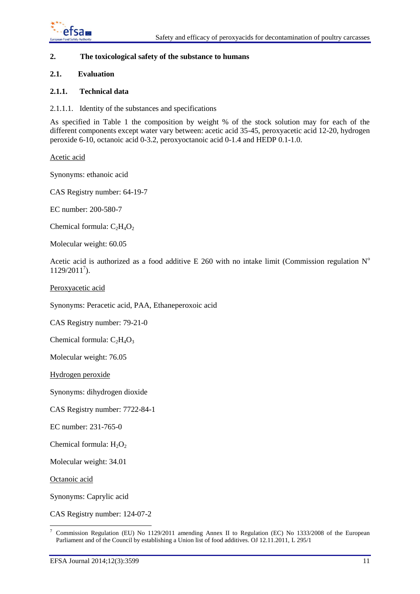

#### <span id="page-10-0"></span>**2. The toxicological safety of the substance to humans**

# <span id="page-10-1"></span>**2.1. Evaluation**

#### <span id="page-10-2"></span>**2.1.1. Technical data**

2.1.1.1. Identity of the substances and specifications

As specified in Table 1 the composition by weight % of the stock solution may for each of the different components except water vary between: acetic acid 35-45, peroxyacetic acid 12-20, hydrogen peroxide 6-10, octanoic acid 0-3.2, peroxyoctanoic acid 0-1.4 and HEDP 0.1-1.0.

Acetic acid

Synonyms: ethanoic acid

CAS Registry number: 64-19-7

EC number: [200-580-7](http://esis.jrc.ec.europa.eu/lib/einecs_IS_reponse.php?genre=ECNO&entree=200-580-7)

Chemical formula:  $C_2H_4O_2$ 

Molecular weight: 60.05

Acetic acid is authorized as a food additive E 260 with no intake limit (Commission regulation  $N^{\circ}$  $1129/2011^7$ .

Peroxyacetic acid

Synonyms: Peracetic acid, PAA, Ethaneperoxoic acid

CAS Registry number: 79-21-0

Chemical formula:  $C_2H_4O_3$ 

Molecular weight: 76.05

Hydrogen peroxide

Synonyms: dihydrogen dioxide

CAS Registry number: [7722-84-1](http://www.commonchemistry.org/ChemicalDetail.aspx?ref=7722-84-1)

EC number: [231-765-0](http://esis.jrc.ec.europa.eu/lib/einecs_IS_reponse.php?genre=ECNO&entree=231-765-0)

Chemical formula:  $H_2O_2$ 

Molecular weight: 34.01

Octanoic acid

 $\overline{\phantom{a}}$ 

Synonyms: Caprylic acid

CAS Registry number: [124-07-2](http://www.commonchemistry.org/ChemicalDetail.aspx?ref=124-07-2)

<sup>7</sup> Commission Regulation (EU) No 1129/2011 amending Annex II to Regulation (EC) No 1333/2008 of the European Parliament and of the Council by establishing a Union list of food additives. OJ 12.11.2011, L 295/1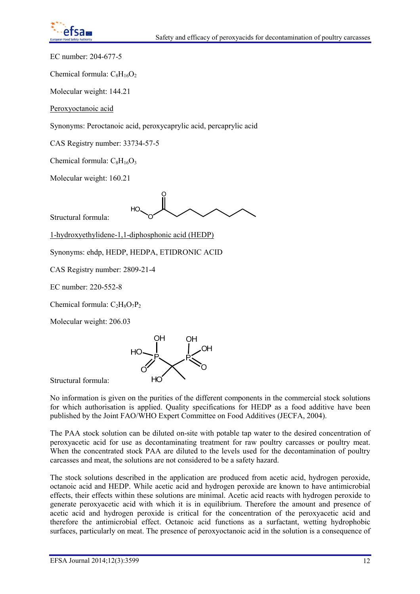EC number: [204-677-5](http://esis.jrc.ec.europa.eu/lib/einecs_IS_reponse.php?genre=ECNO&entree=204-677-5) 

Chemical formula:  $C_8H_{16}O_2$ 

Molecular weight: 144.21

Peroxyoctanoic acid

Synonyms: Peroctanoic acid, peroxycaprylic acid, percaprylic acid

CAS Registry number: 33734-57-5

Chemical formula:  $C_8H_{16}O_3$ 

Molecular weight: 160.21

| HO. |  |
|-----|--|
|     |  |

Structural formula:

1-hydroxyethylidene-1,1-diphosphonic acid (HEDP)

Synonyms: ehdp, HEDP, HEDPA, ETIDRONIC ACID

CAS Registry number: [2809-21-4](http://www.chemicalbook.com/CASEN_2809-21-4.htm) 

EC number: 220-552-8

Chemical formula:  $C_2H_8O_7P_2$ 

Molecular weight: 206.03



Structural formula:

No information is given on the purities of the different components in the commercial stock solutions for which authorisation is applied. Quality specifications for HEDP as a food additive have been published by the Joint FAO/WHO Expert Committee on Food Additives [\(JECFA, 2004\)](#page-57-0).

The PAA stock solution can be diluted on-site with potable tap water to the desired concentration of peroxyacetic acid for use as decontaminating treatment for raw poultry carcasses or poultry meat. When the concentrated stock PAA are diluted to the levels used for the decontamination of poultry carcasses and meat, the solutions are not considered to be a safety hazard.

The stock solutions described in the application are produced from acetic acid, hydrogen peroxide, octanoic acid and HEDP. While acetic acid and hydrogen peroxide are known to have antimicrobial effects, their effects within these solutions are minimal. Acetic acid reacts with hydrogen peroxide to generate peroxyacetic acid with which it is in equilibrium. Therefore the amount and presence of acetic acid and hydrogen peroxide is critical for the concentration of the peroxyacetic acid and therefore the antimicrobial effect. Octanoic acid functions as a surfactant, wetting hydrophobic surfaces, particularly on meat. The presence of peroxyoctanoic acid in the solution is a consequence of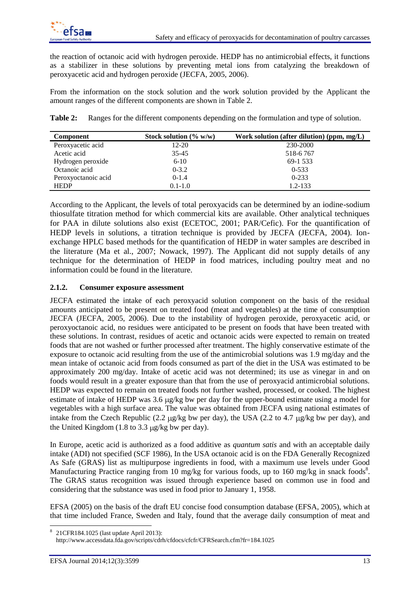the reaction of octanoic acid with hydrogen peroxide. HEDP has no antimicrobial effects, it functions as a stabilizer in these solutions by preventing metal ions from catalyzing the breakdown of peroxyacetic acid and hydrogen peroxide [\(JECFA, 2005,](#page-57-1) [2006\)](#page-57-2).

From the information on the stock solution and the work solution provided by the Applicant the amount ranges of the different components are shown in Table 2.

| <b>Table 2:</b> Ranges for the different components depending on the formulation and type of solution. |
|--------------------------------------------------------------------------------------------------------|
|                                                                                                        |

| <b>Component</b>    | Stock solution $(\% w/w)$ | Work solution (after dilution) (ppm, mg/L) |
|---------------------|---------------------------|--------------------------------------------|
| Peroxyacetic acid   | 12-20                     | 230-2000                                   |
| Acetic acid         | 35-45                     | 518-6767                                   |
| Hydrogen peroxide   | $6 - 10$                  | 69-1 533                                   |
| Octanoic acid       | $0 - 3.2$                 | $0 - 533$                                  |
| Peroxyoctanoic acid | $0-1.4$                   | $0 - 233$                                  |
| <b>HEDP</b>         | $0.1 - 1.0$               | $1.2 - 133$                                |

According to the Applicant, the levels of total peroxyacids can be determined by an iodine-sodium thiosulfate titration method for which commercial kits are available. Other analytical techniques for PAA in dilute solutions also exist [\(ECETOC, 2001;](#page-55-1) [PAR/Cefic\)](#page-57-3). For the quantification of HEDP levels in solutions, a titration technique is provided by JECFA (JECFA, 2004). Ionexchange HPLC based methods for the quantification of HEDP in water samples are described in the literature [\(Ma et al., 2007;](#page-57-4) [Nowack, 1997\)](#page-57-5). The Applicant did not supply details of any technique for the determination of HEDP in food matrices, including poultry meat and no information could be found in the literature.

# <span id="page-12-0"></span>**2.1.2. Consumer exposure assessment**

JECFA estimated the intake of each peroxyacid solution component on the basis of the residual amounts anticipated to be present on treated food (meat and vegetables) at the time of consumption JECFA [\(JECFA, 2005,](#page-57-1) [2006\)](#page-57-2). Due to the instability of hydrogen peroxide, peroxyacetic acid, or peroxyoctanoic acid, no residues were anticipated to be present on foods that have been treated with these solutions. In contrast, residues of acetic and octanoic acids were expected to remain on treated foods that are not washed or further processed after treatment. The highly conservative estimate of the exposure to octanoic acid resulting from the use of the antimicrobial solutions was 1.9 mg/day and the mean intake of octanoic acid from foods consumed as part of the diet in the USA was estimated to be approximately 200 mg/day. Intake of acetic acid was not determined; its use as vinegar in and on foods would result in a greater exposure than that from the use of peroxyacid antimicrobial solutions. HEDP was expected to remain on treated foods not further washed, processed, or cooked. The highest estimate of intake of HEDP was 3.6 µg/kg bw per day for the upper-bound estimate using a model for vegetables with a high surface area. The value was obtained from JECFA using national estimates of intake from the Czech Republic (2.2  $\mu$ g/kg bw per day), the USA (2.2 to 4.7  $\mu$ g/kg bw per day), and the United Kingdom (1.8 to 3.3  $\mu$ g/kg bw per day).

In Europe, acetic acid is authorized as a food additive as *quantum satis* and with an acceptable daily intake (ADI) not specified (SCF 1986), In the USA octanoic acid is on the FDA Generally Recognized As Safe (GRAS) list as multipurpose ingredients in food, with a maximum use levels under Good Manufacturing Practice ranging from 10 mg/kg for various foods, up to 160 mg/kg in snack foods<sup>8</sup>. The GRAS status recognition was issued through experience based on common use in food and considering that the substance was used in food prior to January 1, 1958.

EFSA (2005) on the basis of the draft EU concise food consumption database (EFSA, 2005), which at that time included France, Sweden and Italy, found that the average daily consumption of meat and

 $\overline{\phantom{a}}$ 

<sup>8</sup> 21CFR184.1025 (last update April 2013): http://www.accessdata.fda.gov/scripts/cdrh/cfdocs/cfcfr/CFRSearch.cfm?fr=184.1025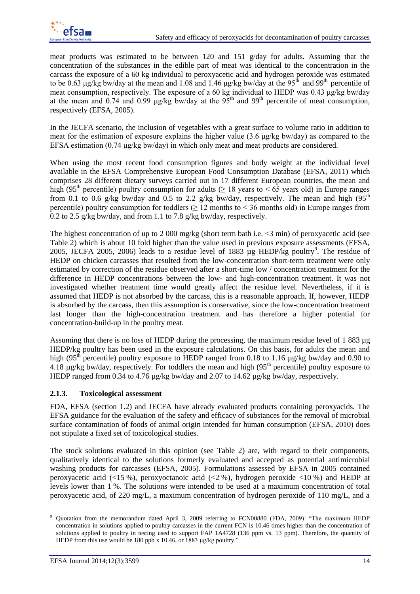meat products was estimated to be between 120 and 151 g/day for adults. Assuming that the concentration of the substances in the edible part of meat was identical to the concentration in the carcass the exposure of a 60 kg individual to peroxyacetic acid and hydrogen peroxide was estimated to be 0.63 μg/kg bw/day at the mean and 1.08 and 1.46 μg/kg bw/day at the 95<sup>th</sup> and 99<sup>th</sup> percentile of meat consumption, respectively. The exposure of a 60 kg individual to HEDP was 0.43 μg/kg bw/day at the mean and 0.74 and 0.99 μg/kg bw/day at the  $95<sup>th</sup>$  and  $99<sup>th</sup>$  percentile of meat consumption, respectively (EFSA, 2005).

In the JECFA scenario, the inclusion of vegetables with a great surface to volume ratio in addition to meat for the estimation of exposure explains the higher value (3.6 μg/kg bw/day) as compared to the EFSA estimation (0.74  $\mu$ g/kg bw/day) in which only meat and meat products are considered.

When using the most recent food consumption figures and body weight at the individual level available in the EFSA Comprehensive European Food Consumption Database (EFSA, 2011) which comprises 28 different dietary surveys carried out in 17 different European countries, the mean and high (95<sup>th</sup> percentile) poultry consumption for adults ( $\geq$  18 years to < 65 years old) in Europe ranges from 0.1 to 0.6 g/kg bw/day and 0.5 to 2.2 g/kg bw/day, respectively. The mean and high  $(95<sup>th</sup>$ percentile) poultry consumption for toddlers ( $\geq 12$  months to  $\leq 36$  months old) in Europe ranges from 0.2 to 2.5 g/kg bw/day, and from 1.1 to 7.8 g/kg bw/day, respectively.

The highest concentration of up to 2 000 mg/kg (short term bath i.e. <3 min) of peroxyacetic acid (see Table 2) which is about 10 fold higher than the value used in previous exposure assessments (EFSA, 2005, JECFA 2005, 2006) leads to a residue level of 1883  $\mu$ g HEDP/kg poultry<sup>9</sup>. The residue of HEDP on chicken carcasses that resulted from the low-concentration short-term treatment were only estimated by correction of the residue observed after a short-time low / concentration treatment for the difference in HEDP concentrations between the low- and high-concentration treatment. It was not investigated whether treatment time would greatly affect the residue level. Nevertheless, if it is assumed that HEDP is not absorbed by the carcass, this is a reasonable approach. If, however, HEDP is absorbed by the carcass, then this assumption is conservative, since the low-concentration treatment last longer than the high-concentration treatment and has therefore a higher potential for concentration-build-up in the poultry meat.

Assuming that there is no loss of HEDP during the processing, the maximum residue level of 1 883 µg HEDP/kg poultry has been used in the exposure calculations. On this basis, for adults the mean and high (95<sup>th</sup> percentile) poultry exposure to HEDP ranged from 0.18 to 1.16  $\mu$ g/kg bw/day and 0.90 to 4.18  $\mu$ g/kg bw/day, respectively. For toddlers the mean and high (95<sup>th</sup> percentile) poultry exposure to HEDP ranged from 0.34 to 4.76 µg/kg bw/day and 2.07 to 14.62 µg/kg bw/day, respectively.

# <span id="page-13-0"></span>**2.1.3. Toxicological assessment**

FDA, EFSA (section 1.2) and JECFA have already evaluated products containing peroxyacids. The EFSA guidance for the evaluation of the safety and efficacy of substances for the removal of microbial surface contamination of foods of animal origin intended for human consumption (EFSA, 2010) does not stipulate a fixed set of toxicological studies.

The stock solutions evaluated in this opinion (see Table 2) are, with regard to their components, qualitatively identical to the solutions formerly evaluated and accepted as potential antimicrobial washing products for carcasses [\(EFSA, 2005\)](#page-56-1). Formulations assessed by EFSA in 2005 contained peroxyacetic acid (<15 %), peroxyoctanoic acid (<2 %), hydrogen peroxide <10 %) and HEDP at levels lower than 1 %. The solutions were intended to be used at a maximum concentration of total peroxyacetic acid, of 220 mg/L, a maximum concentration of hydrogen peroxide of 110 mg/L, and a

 $\overline{\phantom{a}}$ 

<sup>9</sup> Quotation from the memorandum dated April 3, 2009 referring to FCN00880 (FDA, 2009): "The maximum HEDP concentration in solutions applied to poultry carcasses in the current FCN is 10.46 times higher than the concentration of solutions applied to poultry in testing used to support FAP 1A4728 (136 ppm vs. 13 ppm). Therefore, the quantity of HEDP from this use would be 180 ppb x 10.46, or 1883 μg/kg poultry."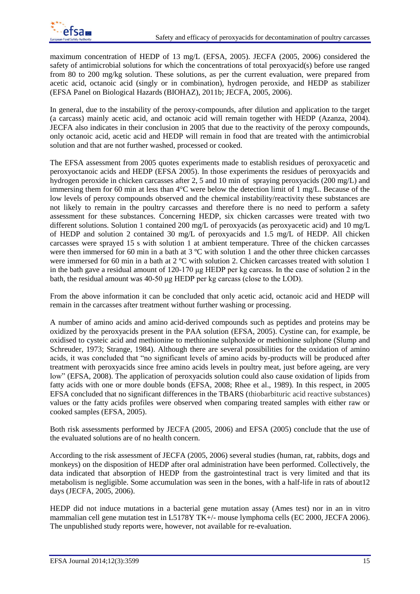maximum concentration of HEDP of 13 mg/L [\(EFSA, 2005\)](#page-56-1). JECFA (2005, 2006) considered the safety of antimicrobial solutions for which the concentrations of total peroxyacid(s) before use ranged from 80 to 200 mg/kg solution. These solutions, as per the current evaluation, were prepared from acetic acid, octanoic acid (singly or in combination), hydrogen peroxide, and HEDP as stabilizer [\(EFSA Panel on Biological Hazards \(BIOHAZ\), 2011b;](#page-56-3) [JECFA, 2005,](#page-57-1) [2006\)](#page-57-2).

In general, due to the instability of the peroxy-compounds, after dilution and application to the target (a carcass) mainly acetic acid, and octanoic acid will remain together with HEDP [\(Azanza, 2004\)](#page-55-2). JECFA also indicates in their conclusion in 2005 that due to the reactivity of the peroxy compounds, only octanoic acid, acetic acid and HEDP will remain in food that are treated with the antimicrobial solution and that are not further washed, processed or cooked.

The EFSA assessment from 2005 quotes experiments made to establish residues of peroxyacetic and peroxyoctanoic acids and HEDP (EFSA 2005). In those experiments the residues of peroxyacids and hydrogen peroxide in chicken carcasses after 2, 5 and 10 min of spraying peroxyacids (200 mg/L) and immersing them for 60 min at less than 4°C were below the detection limit of 1 mg/L. Because of the low levels of peroxy compounds observed and the chemical instability/reactivity these substances are not likely to remain in the poultry carcasses and therefore there is no need to perform a safety assessment for these substances. Concerning HEDP, six chicken carcasses were treated with two different solutions. Solution 1 contained 200 mg/L of peroxyacids (as peroxyacetic acid) and 10 mg/L of HEDP and solution 2 contained 30 mg/L of peroxyacids and 1.5 mg/L of HEDP. All chicken carcasses were sprayed 15 s with solution 1 at ambient temperature. Three of the chicken carcasses were then immersed for 60 min in a bath at 3 ºC with solution 1 and the other three chicken carcasses were immersed for 60 min in a bath at 2 °C with solution 2. Chicken carcasses treated with solution 1 in the bath gave a residual amount of 120-170 μg HEDP per kg carcass. In the case of solution 2 in the bath, the residual amount was 40-50 μg HEDP per kg carcass (close to the LOD).

From the above information it can be concluded that only acetic acid, octanoic acid and HEDP will remain in the carcasses after treatment without further washing or processing.

A number of amino acids and amino acid-derived compounds such as peptides and proteins may be oxidized by the peroxyacids present in the PAA solution [\(EFSA, 2005\)](#page-56-1). Cystine can, for example, be oxidised to cysteic acid and methionine to methionine sulphoxide or methionine sulphone [\(Slump and](#page-58-0)  [Schreuder, 1973;](#page-58-0) [Strange, 1984\)](#page-58-1). Although there are several possibilities for the oxidation of amino acids, it was concluded that "no significant levels of amino acids by-products will be produced after treatment with peroxyacids since free amino acids levels in poultry meat, just before ageing, are very low" [\(EFSA, 2008\)](#page-56-2). The application of peroxyacids solution could also cause oxidation of lipids from fatty acids with one or more double bonds [\(EFSA, 2008;](#page-56-2) Rhee [et al., 1989\)](#page-57-6). In this respect, in 2005 EFSA concluded that no significant differences in the TBARS (thiobarbituric acid reactive substances) values or the fatty acids profiles were observed when comparing treated samples with either raw or cooked samples (EFSA, 2005).

Both risk assessments performed by JECFA (2005, 2006) and EFSA (2005) conclude that the use of the evaluated solutions are of no health concern.

According to the risk assessment of JECFA (2005, 2006) several studies (human, rat, rabbits, dogs and monkeys) on the disposition of HEDP after oral administration have been performed. Collectively, the data indicated that absorption of HEDP from the gastrointestinal tract is very limited and that its metabolism is negligible. Some accumulation was seen in the bones, with a half-life in rats of about12 days (JECFA, 2005, 2006).

HEDP did not induce mutations in a bacterial gene mutation assay (Ames test) nor in an in vitro mammalian cell gene mutation test in L5178Y TK+/- mouse lymphoma cells (EC 2000, JECFA 2006). The unpublished study reports were, however, not available for re-evaluation.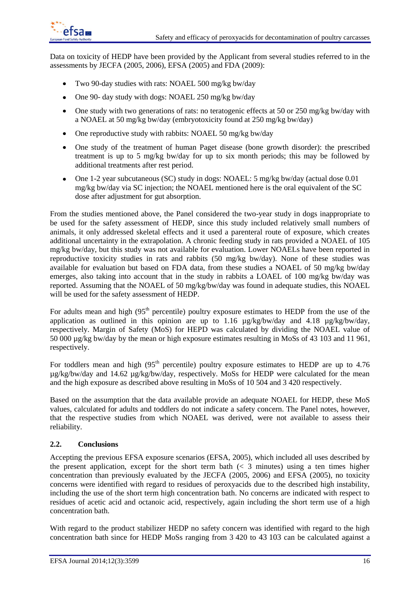Data on toxicity of HEDP have been provided by the Applicant from several studies referred to in the assessments by JECFA (2005, 2006), EFSA (2005) and FDA (2009):

- Two 90-day studies with rats: NOAEL 500 mg/kg bw/day
- One 90- day study with dogs: NOAEL 250 mg/kg bw/day
- $\bullet$  One study with two generations of rats: no teratogenic effects at 50 or 250 mg/kg bw/day with a NOAEL at 50 mg/kg bw/day (embryotoxicity found at 250 mg/kg bw/day)
- One reproductive study with rabbits: NOAEL 50 mg/kg bw/day  $\bullet$
- One study of the treatment of human Paget disease (bone growth disorder): the prescribed treatment is up to 5 mg/kg bw/day for up to six month periods; this may be followed by additional treatments after rest period.
- One 1-2 year subcutaneous (SC) study in dogs: NOAEL: 5 mg/kg bw/day (actual dose 0.01 mg/kg bw/day via SC injection; the NOAEL mentioned here is the oral equivalent of the SC dose after adjustment for gut absorption.

From the studies mentioned above, the Panel considered the two-year study in dogs inappropriate to be used for the safety assessment of HEDP, since this study included relatively small numbers of animals, it only addressed skeletal effects and it used a parenteral route of exposure, which creates additional uncertainty in the extrapolation. A chronic feeding study in rats provided a NOAEL of 105 mg/kg bw/day, but this study was not available for evaluation. Lower NOAELs have been reported in reproductive toxicity studies in rats and rabbits (50 mg/kg bw/day). None of these studies was available for evaluation but based on FDA data, from these studies a NOAEL of 50 mg/kg bw/day emerges, also taking into account that in the study in rabbits a LOAEL of 100 mg/kg bw/day was reported. Assuming that the NOAEL of 50 mg/kg/bw/day was found in adequate studies, this NOAEL will be used for the safety assessment of HEDP.

For adults mean and high (95<sup>th</sup> percentile) poultry exposure estimates to HEDP from the use of the application as outlined in this opinion are up to 1.16 µg/kg/bw/day and 4.18 µg/kg/bw/day, respectively. Margin of Safety (MoS) for HEPD was calculated by dividing the NOAEL value of 50 000 µg/kg bw/day by the mean or high exposure estimates resulting in MoSs of 43 103 and 11 961, respectively.

For toddlers mean and high (95<sup>th</sup> percentile) poultry exposure estimates to HEDP are up to 4.76 µg/kg/bw/day and 14.62 µg/kg/bw/day, respectively. MoSs for HEDP were calculated for the mean and the high exposure as described above resulting in MoSs of 10 504 and 3 420 respectively.

Based on the assumption that the data available provide an adequate NOAEL for HEDP, these MoS values, calculated for adults and toddlers do not indicate a safety concern. The Panel notes, however, that the respective studies from which NOAEL was derived, were not available to assess their reliability.

# <span id="page-15-0"></span>**2.2. Conclusions**

Accepting the previous EFSA exposure scenarios (EFSA, 2005), which included all uses described by the present application, except for the short term bath  $\langle \langle 3 \rangle$  minutes) using a ten times higher concentration than previously evaluated by the JECFA (2005, 2006) and EFSA (2005), no toxicity concerns were identified with regard to residues of peroxyacids due to the described high instability, including the use of the short term high concentration bath. No concerns are indicated with respect to residues of acetic acid and octanoic acid, respectively, again including the short term use of a high concentration bath.

With regard to the product stabilizer HEDP no safety concern was identified with regard to the high concentration bath since for HEDP MoSs ranging from 3 420 to 43 103 can be calculated against a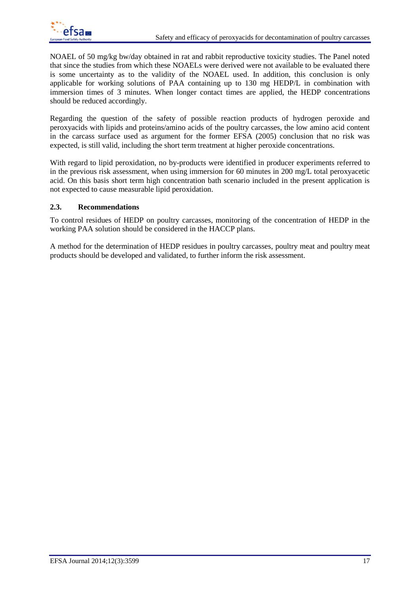NOAEL of 50 mg/kg bw/day obtained in rat and rabbit reproductive toxicity studies. The Panel noted that since the studies from which these NOAELs were derived were not available to be evaluated there is some uncertainty as to the validity of the NOAEL used. In addition, this conclusion is only applicable for working solutions of PAA containing up to 130 mg HEDP/L in combination with immersion times of 3 minutes. When longer contact times are applied, the HEDP concentrations should be reduced accordingly.

Regarding the question of the safety of possible reaction products of hydrogen peroxide and peroxyacids with lipids and proteins/amino acids of the poultry carcasses, the low amino acid content in the carcass surface used as argument for the former EFSA (2005) conclusion that no risk was expected, is still valid, including the short term treatment at higher peroxide concentrations.

With regard to lipid peroxidation, no by-products were identified in producer experiments referred to in the previous risk assessment, when using immersion for 60 minutes in 200 mg/L total peroxyacetic acid. On this basis short term high concentration bath scenario included in the present application is not expected to cause measurable lipid peroxidation.

### <span id="page-16-0"></span>**2.3. Recommendations**

To control residues of HEDP on poultry carcasses, monitoring of the concentration of HEDP in the working PAA solution should be considered in the HACCP plans.

A method for the determination of HEDP residues in poultry carcasses, poultry meat and poultry meat products should be developed and validated, to further inform the risk assessment.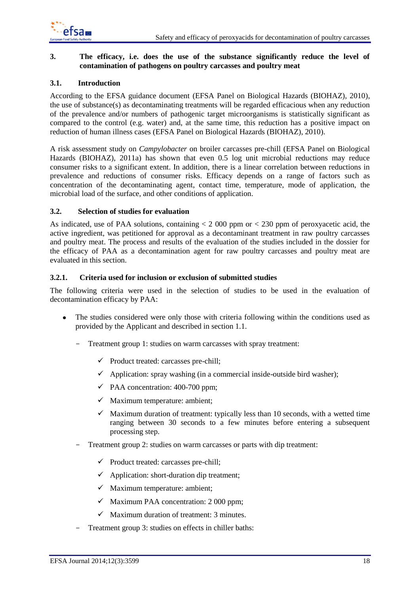### <span id="page-17-0"></span>**3. The efficacy, i.e. does the use of the substance significantly reduce the level of contamination of pathogens on poultry carcasses and poultry meat**

# <span id="page-17-1"></span>**3.1. Introduction**

According to the EFSA guidance document [\(EFSA Panel on Biological Hazards \(BIOHAZ\), 2010\)](#page-56-0), the use of substance(s) as decontaminating treatments will be regarded efficacious when any reduction of the prevalence and/or numbers of pathogenic target microorganisms is statistically significant as compared to the control (e.g. water) and, at the same time, this reduction has a positive impact on reduction of human illness cases [\(EFSA Panel on Biological Hazards \(BIOHAZ\), 2010\)](#page-56-0).

A risk assessment study on *Campylobacter* on broiler carcasses pre-chill [\(EFSA Panel on Biological](#page-56-4)  [Hazards \(BIOHAZ\), 2011a\)](#page-56-4) has shown that even 0.5 log unit microbial reductions may reduce consumer risks to a significant extent. In addition, there is a linear correlation between reductions in prevalence and reductions of consumer risks. Efficacy depends on a range of factors such as concentration of the decontaminating agent, contact time, temperature, mode of application, the microbial load of the surface, and other conditions of application.

### <span id="page-17-2"></span>**3.2. Selection of studies for evaluation**

As indicated, use of PAA solutions, containing  $<$  2 000 ppm or  $<$  230 ppm of peroxyacetic acid, the active ingredient, was petitioned for approval as a decontaminant treatment in raw poultry carcasses and poultry meat. The process and results of the evaluation of the studies included in the dossier for the efficacy of PAA as a decontamination agent for raw poultry carcasses and poultry meat are evaluated in this section.

### <span id="page-17-3"></span>**3.2.1. Criteria used for inclusion or exclusion of submitted studies**

The following criteria were used in the selection of studies to be used in the evaluation of decontamination efficacy by PAA:

- The studies considered were only those with criteria following within the conditions used as  $\bullet$ provided by the Applicant and described in section 1.1.
	- Treatment group 1: studies on warm carcasses with spray treatment:
		- $\checkmark$  Product treated: carcasses pre-chill;
		- $\checkmark$  Application: spray washing (in a commercial inside-outside bird washer);
		- $\checkmark$  PAA concentration: 400-700 ppm;
		- $\checkmark$  Maximum temperature: ambient;
		- $\checkmark$  Maximum duration of treatment: typically less than 10 seconds, with a wetted time ranging between 30 seconds to a few minutes before entering a subsequent processing step.
	- Treatment group 2: studies on warm carcasses or parts with dip treatment:
		- $\checkmark$  Product treated: carcasses pre-chill;
		- $\checkmark$  Application: short-duration dip treatment;
		- $\checkmark$  Maximum temperature: ambient;
		- $\checkmark$  Maximum PAA concentration: 2 000 ppm;
		- $\checkmark$  Maximum duration of treatment: 3 minutes.
	- Treatment group 3: studies on effects in chiller baths: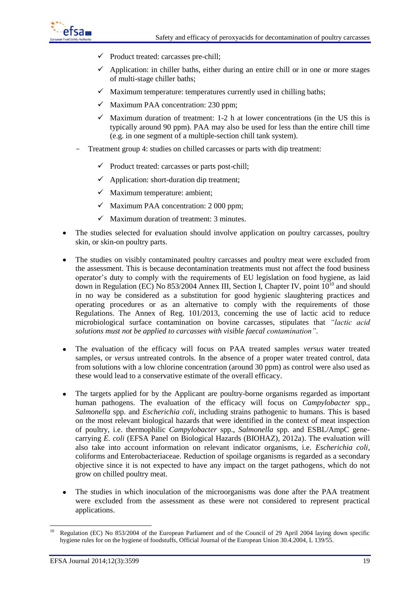

- $\checkmark$  Product treated: carcasses pre-chill;
- $\checkmark$  Application: in chiller baths, either during an entire chill or in one or more stages of multi-stage chiller baths;
- $\checkmark$  Maximum temperature: temperatures currently used in chilling baths:
- $\checkmark$  Maximum PAA concentration: 230 ppm;
- $\checkmark$  Maximum duration of treatment: 1-2 h at lower concentrations (in the US this is typically around 90 ppm). PAA may also be used for less than the entire chill time (e.g. in one segment of a multiple-section chill tank system).
- Treatment group 4: studies on chilled carcasses or parts with dip treatment:
	- $\checkmark$  Product treated: carcasses or parts post-chill;
	- $\checkmark$  Application: short-duration dip treatment;
	- $\checkmark$  Maximum temperature: ambient:
	- $\checkmark$  Maximum PAA concentration: 2 000 ppm;
	- $\checkmark$  Maximum duration of treatment: 3 minutes.
- The studies selected for evaluation should involve application on poultry carcasses, poultry skin, or skin-on poultry parts.
- The studies on visibly contaminated poultry carcasses and poultry meat were excluded from  $\bullet$ the assessment. This is because decontamination treatments must not affect the food business operator"s duty to comply with the requirements of EU legislation on food hygiene, as laid down in Regulation (EC) No  $853/2004$  Annex III, Section I, Chapter IV, point  $10^{10}$  and should in no way be considered as a substitution for good hygienic slaughtering practices and operating procedures or as an alternative to comply with the requirements of those Regulations. The Annex of Reg. 101/2013, concerning the use of lactic acid to reduce microbiological surface contamination on bovine carcasses, stipulates that *"lactic acid solutions must not be applied to carcasses with visible faecal contamination"*.
- The evaluation of the efficacy will focus on PAA treated samples *versus* water treated samples, or *versus* untreated controls. In the absence of a proper water treated control, data from solutions with a low chlorine concentration (around 30 ppm) as control were also used as these would lead to a conservative estimate of the overall efficacy.
- The targets applied for by the Applicant are poultry-borne organisms regarded as important human pathogens. The evaluation of the efficacy will focus on *Campylobacter* spp., *Salmonella* spp. and *Escherichia coli*, including strains pathogenic to humans. This is based on the most relevant biological hazards that were identified in the context of meat inspection of poultry, i.e. thermophilic *Campylobacter* spp., *Salmonella* spp. and ESBL/AmpC genecarrying *E. coli* [\(EFSA Panel on Biological Hazards \(BIOHAZ\), 2012a\)](#page-56-5). The evaluation will also take into account information on relevant indicator organisms, i.e. *Escherichia coli*, coliforms and Enterobacteriaceae. Reduction of spoilage organisms is regarded as a secondary objective since it is not expected to have any impact on the target pathogens, which do not grow on chilled poultry meat.
- The studies in which inoculation of the microorganisms was done after the PAA treatment  $\bullet$ were excluded from the assessment as these were not considered to represent practical applications.

 $\overline{\phantom{a}}$ 

<sup>&</sup>lt;sup>10</sup> Regulation (EC) No 853/2004 of the European Parliament and of the Council of 29 April 2004 laying down specific hygiene rules for on the hygiene of foodstuffs, Official Journal of the European Union 30.4.2004, L 139/55.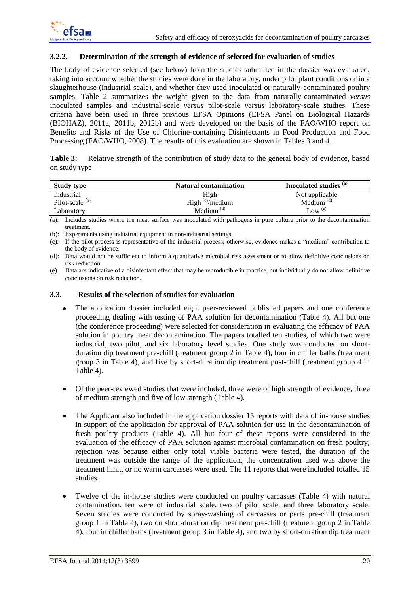# <span id="page-19-0"></span>**3.2.2. Determination of the strength of evidence of selected for evaluation of studies**

The body of evidence selected (see below) from the studies submitted in the dossier was evaluated, taking into account whether the studies were done in the laboratory, under pilot plant conditions or in a slaughterhouse (industrial scale), and whether they used inoculated or naturally-contaminated poultry samples. Table 2 summarizes the weight given to the data from naturally-contaminated *versus* inoculated samples and industrial-scale *versus* pilot-scale *versus* laboratory-scale studies. These criteria have been used in three previous EFSA Opinions [\(EFSA Panel on Biological Hazards](#page-56-4)  [\(BIOHAZ\), 2011a,](#page-56-4) [2011b,](#page-56-3) [2012b\)](#page-56-6) and were developed on the basis of the FAO/WHO report on Benefits and Risks of the Use of Chlorine-containing Disinfectants in Food Production and Food Processing [\(FAO/WHO, 2008\)](#page-56-7). The results of this evaluation are shown in Tables 3 and 4.

**Table 3:** Relative strength of the contribution of study data to the general body of evidence, based on study type

| <b>Study type</b>          | <b>Natural contamination</b> | Inoculated studies (a) |
|----------------------------|------------------------------|------------------------|
| Industrial                 | High                         | Not applicable         |
| Pilot-scale <sup>(b)</sup> | High $\frac{c}{m}$ medium    | Medium $(d)$           |
| Laboratorv                 | Medium <sup>(d)</sup>        | $Low^{(e)}$            |

(a): Includes studies where the meat surface was inoculated with pathogens in pure culture prior to the decontamination treatment.

(b): Experiments using industrial equipment in non-industrial settings.

(c): If the pilot process is representative of the industrial process; otherwise, evidence makes a "medium" contribution to the body of evidence.

(d): Data would not be sufficient to inform a quantitative microbial risk assessment or to allow definitive conclusions on risk reduction.

(e) Data are indicative of a disinfectant effect that may be reproducible in practice, but individually do not allow definitive conclusions on risk reduction.

#### <span id="page-19-1"></span>**3.3. Results of the selection of studies for evaluation**

- The application dossier included eight peer-reviewed published papers and one conference proceeding dealing with testing of PAA solution for decontamination (Table 4). All but one (the conference proceeding) were selected for consideration in evaluating the efficacy of PAA solution in poultry meat decontamination. The papers totalled ten studies, of which two were industrial, two pilot, and six laboratory level studies. One study was conducted on shortduration dip treatment pre-chill (treatment group 2 in Table 4), four in chiller baths (treatment group 3 in Table 4), and five by short-duration dip treatment post-chill (treatment group 4 in Table 4).
- Of the peer-reviewed studies that were included, three were of high strength of evidence, three of medium strength and five of low strength (Table 4).
- The Applicant also included in the application dossier 15 reports with data of in-house studies  $\bullet$ in support of the application for approval of PAA solution for use in the decontamination of fresh poultry products (Table 4). All but four of these reports were considered in the evaluation of the efficacy of PAA solution against microbial contamination on fresh poultry; rejection was because either only total viable bacteria were tested, the duration of the treatment was outside the range of the application, the concentration used was above the treatment limit, or no warm carcasses were used. The 11 reports that were included totalled 15 studies.
- Twelve of the in-house studies were conducted on poultry carcasses (Table 4) with natural contamination, ten were of industrial scale, two of pilot scale, and three laboratory scale. Seven studies were conducted by spray-washing of carcasses or parts pre-chill (treatment group 1 in Table 4), two on short-duration dip treatment pre-chill (treatment group 2 in Table 4), four in chiller baths (treatment group 3 in Table 4), and two by short-duration dip treatment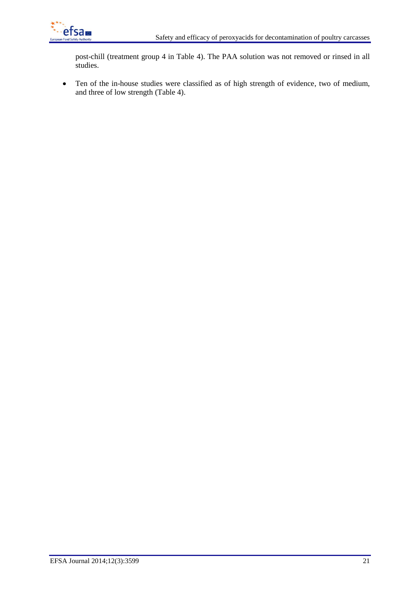

post-chill (treatment group 4 in Table 4). The PAA solution was not removed or rinsed in all studies.

Ten of the in-house studies were classified as of high strength of evidence, two of medium, and three of low strength (Table 4).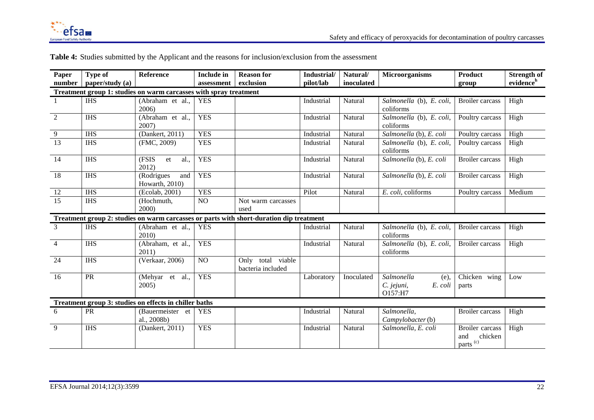

| Paper           | Type of                                                           | Reference                                              | <b>Include in</b> | <b>Reason for</b>                                                                       | Industrial/ | Natural/   | <b>Microorganisms</b>    | <b>Product</b>         | <b>Strength of</b>    |
|-----------------|-------------------------------------------------------------------|--------------------------------------------------------|-------------------|-----------------------------------------------------------------------------------------|-------------|------------|--------------------------|------------------------|-----------------------|
| number          | paper/study (a)                                                   |                                                        | assessment        | exclusion                                                                               | pilot/lab   | inoculated |                          | group                  | evidence <sup>h</sup> |
|                 | Treatment group 1: studies on warm carcasses with spray treatment |                                                        |                   |                                                                                         |             |            |                          |                        |                       |
|                 | <b>IHS</b>                                                        | (Abraham et al.,                                       | <b>YES</b>        |                                                                                         | Industrial  | Natural    | Salmonella (b), E. coli, | <b>Broiler</b> carcass | High                  |
|                 |                                                                   | 2006)                                                  |                   |                                                                                         |             |            | coliforms                |                        |                       |
| $\overline{2}$  | <b>IHS</b>                                                        | (Abraham et al.,                                       | <b>YES</b>        |                                                                                         | Industrial  | Natural    | Salmonella (b), E. coli, | Poultry carcass        | High                  |
|                 |                                                                   | 2007)                                                  |                   |                                                                                         |             |            | coliforms                |                        |                       |
| $\overline{9}$  | <b>IHS</b>                                                        | (Dankert, 2011)                                        | <b>YES</b>        |                                                                                         | Industrial  | Natural    | Salmonella (b), E. coli  | Poultry carcass        | High                  |
| 13              | <b>IHS</b>                                                        | (FMC, 2009)                                            | <b>YES</b>        |                                                                                         | Industrial  | Natural    | Salmonella (b), E. coli, | Poultry carcass        | High                  |
|                 |                                                                   |                                                        |                   |                                                                                         |             |            | coliforms                |                        |                       |
| 14              | <b>IHS</b>                                                        | (FSIS<br>et<br>al.,                                    | <b>YES</b>        |                                                                                         | Industrial  | Natural    | Salmonella (b), E. coli  | <b>Broiler</b> carcass | High                  |
|                 |                                                                   | 2012)                                                  |                   |                                                                                         |             |            |                          |                        |                       |
| 18              | <b>IHS</b>                                                        | (Rodrigues<br>and                                      | <b>YES</b>        |                                                                                         | Industrial  | Natural    | Salmonella (b), E. coli  | <b>Broiler</b> carcass | High                  |
|                 |                                                                   | Howarth, 2010)                                         |                   |                                                                                         |             |            |                          |                        |                       |
| 12              | <b>IHS</b>                                                        | (Ecolab, 2001)                                         | <b>YES</b>        |                                                                                         | Pilot       | Natural    | E. coli, coliforms       | Poultry carcass        | Medium                |
| $\overline{15}$ | <b>IHS</b>                                                        | (Hochmuth,                                             | NO                | Not warm carcasses                                                                      |             |            |                          |                        |                       |
|                 |                                                                   | 2000)                                                  |                   | used                                                                                    |             |            |                          |                        |                       |
|                 |                                                                   |                                                        |                   | Treatment group 2: studies on warm carcasses or parts with short-duration dip treatment |             |            |                          |                        |                       |
| $\overline{3}$  | <b>IHS</b>                                                        | (Abraham et al.,                                       | <b>YES</b>        |                                                                                         | Industrial  | Natural    | Salmonella (b), E. coli, | <b>Broiler</b> carcass | High                  |
|                 |                                                                   | 2010)                                                  |                   |                                                                                         |             |            | coliforms                |                        |                       |
| $\overline{4}$  | <b>IHS</b>                                                        | (Abraham, et al.,                                      | <b>YES</b>        |                                                                                         | Industrial  | Natural    | Salmonella (b), E. coli, | <b>Broiler</b> carcass | High                  |
|                 |                                                                   | 2011)                                                  |                   |                                                                                         |             |            | coliforms                |                        |                       |
| 24              | <b>IHS</b>                                                        | (Verkaar, 2006)                                        | NO                | Only total viable                                                                       |             |            |                          |                        |                       |
|                 |                                                                   |                                                        |                   | bacteria included                                                                       |             |            |                          |                        |                       |
| 16              | PR                                                                | (Mehyar et al.,                                        | <b>YES</b>        |                                                                                         | Laboratory  | Inoculated | Salmonella<br>(e),       | Chicken wing           | Low                   |
|                 |                                                                   | 2005)                                                  |                   |                                                                                         |             |            | C. jejuni,<br>E. coli    | parts                  |                       |
|                 |                                                                   |                                                        |                   |                                                                                         |             |            | O157:H7                  |                        |                       |
|                 |                                                                   | Treatment group 3: studies on effects in chiller baths |                   |                                                                                         |             |            |                          |                        |                       |
| 6               | <b>PR</b>                                                         | (Bauermeister et                                       | <b>YES</b>        |                                                                                         | Industrial  | Natural    | Salmonella,              | <b>Broiler</b> carcass | High                  |
|                 |                                                                   | al., 2008b)                                            |                   |                                                                                         |             |            | Campylobacter(b)         |                        |                       |
| $\overline{9}$  | <b>IHS</b>                                                        | (Dankert, 2011)                                        | <b>YES</b>        |                                                                                         | Industrial  | Natural    | Salmonella, E. coli      | Broiler carcass        | High                  |
|                 |                                                                   |                                                        |                   |                                                                                         |             |            |                          | chicken<br>and         |                       |
|                 |                                                                   |                                                        |                   |                                                                                         |             |            |                          | parts <sup>(c)</sup>   |                       |

**Table 4:** Studies submitted by the Applicant and the reasons for inclusion/exclusion from the assessment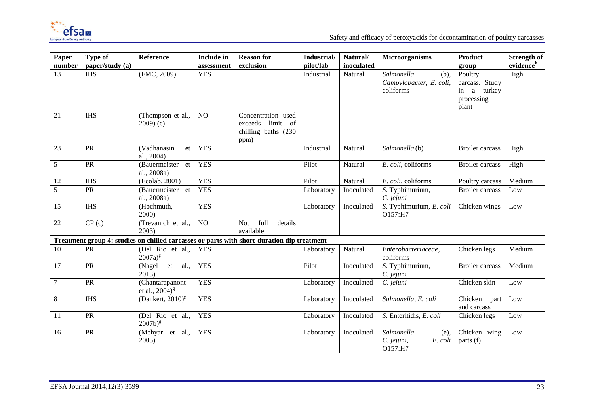

| Paper           | Type of         | Reference                                      | <b>Include in</b> | <b>Reason for</b>                                                                          | Industrial/ | Natural/   | Microorganisms                                                | <b>Product</b>                                                  | Strength of           |
|-----------------|-----------------|------------------------------------------------|-------------------|--------------------------------------------------------------------------------------------|-------------|------------|---------------------------------------------------------------|-----------------------------------------------------------------|-----------------------|
| number          | paper/study (a) |                                                | assessment        | exclusion                                                                                  | pilot/lab   | inoculated |                                                               | group                                                           | evidence <sup>h</sup> |
| 13              | <b>IHS</b>      | (FMC, 2009)                                    | <b>YES</b>        |                                                                                            | Industrial  | Natural    | Salmonella<br>$(b)$ ,<br>Campylobacter, E. coli,<br>coliforms | Poultry<br>carcass. Study<br>in a turkey<br>processing<br>plant | High                  |
| 21              | <b>IHS</b>      | (Thompson et al.,<br>$2009$ (c)                | NO                | Concentration used<br>exceeds limit of<br>chilling baths (230<br>ppm)                      |             |            |                                                               |                                                                 |                       |
| $\overline{23}$ | PR              | (Vadhanasin<br>et<br>al., 2004)                | <b>YES</b>        |                                                                                            | Industrial  | Natural    | Salmonella(b)                                                 | <b>Broiler</b> carcass                                          | High                  |
| $\overline{5}$  | <b>PR</b>       | (Bauermeister et<br>al., 2008a)                | <b>YES</b>        |                                                                                            | Pilot       | Natural    | E. coli, coliforms                                            | <b>Broiler</b> carcass                                          | High                  |
| $\frac{12}{5}$  | <b>IHS</b>      | (Ecolab, 2001)                                 | <b>YES</b>        |                                                                                            | Pilot       | Natural    | E. coli, coliforms                                            | Poultry carcass                                                 | Medium                |
|                 | PR              | (Bauermeister et<br>al., 2008a)                | <b>YES</b>        |                                                                                            | Laboratory  | Inoculated | S. Typhimurium,<br>C. jejuni                                  | <b>Broiler</b> carcass                                          | Low                   |
| 15              | <b>IHS</b>      | (Hochmuth,<br>2000                             | <b>YES</b>        |                                                                                            | Laboratory  | Inoculated | S. Typhimurium, E. coli<br>O157:H7                            | Chicken wings                                                   | Low                   |
| 22              | CP(c)           | (Trevanich et al.,<br>2003)                    | NO                | Not<br>full<br>details<br>available                                                        |             |            |                                                               |                                                                 |                       |
|                 |                 |                                                |                   | Treatment group 4: studies on chilled carcasses or parts with short-duration dip treatment |             |            |                                                               |                                                                 |                       |
| 10              | <b>PR</b>       | (Del Rio et al.,<br>$2007a$ <sup>g</sup>       | <b>YES</b>        |                                                                                            | Laboratory  | Natural    | Enterobacteriaceae,<br>coliforms                              | Chicken legs                                                    | Medium                |
| 17              | PR              | et<br>(Nagel<br>al.,<br>2013)                  | <b>YES</b>        |                                                                                            | Pilot       | Inoculated | S. Typhimurium,<br>C. jejuni                                  | <b>Broiler</b> carcass                                          | Medium                |
| $\overline{7}$  | PR              | (Chantarapanont<br>et al., $2004$ <sup>g</sup> | <b>YES</b>        |                                                                                            | Laboratory  | Inoculated | C. jejuni                                                     | Chicken skin                                                    | Low                   |
| $\overline{8}$  | <b>IHS</b>      | (Dankert, $2010$ ) <sup>g</sup>                | <b>YES</b>        |                                                                                            | Laboratory  | Inoculated | Salmonella, E. coli                                           | Chicken<br>part<br>and carcass                                  | Low                   |
| 11              | <b>PR</b>       | (Del Rio et al.,<br>$2007b$ <sup>g</sup>       | <b>YES</b>        |                                                                                            | Laboratory  | Inoculated | S. Enteritidis, E. coli                                       | Chicken legs                                                    | Low                   |
| 16              | $\overline{PR}$ | (Mehyar et al.,<br>2005                        | <b>YES</b>        |                                                                                            | Laboratory  | Inoculated | Salmonella<br>(e),<br>C. jejuni,<br>E. coli<br>O157:H7        | Chicken wing<br>parts (f)                                       | Low                   |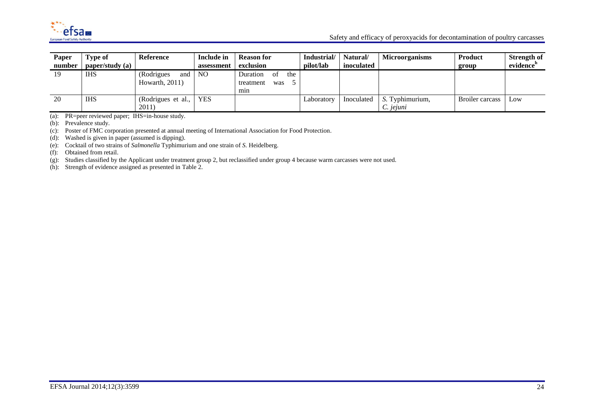

| Paper<br>number | <b>Type of</b><br>paper/study (a) | Reference                               | Include in<br>assessment | <b>Reason for</b><br>exclusion                    | Industrial/<br>pilot/lab | Natural/<br>inoculated | <b>Microorganisms</b>        | <b>Product</b><br>group | Strength of<br>evidence <sup>n</sup> |
|-----------------|-----------------------------------|-----------------------------------------|--------------------------|---------------------------------------------------|--------------------------|------------------------|------------------------------|-------------------------|--------------------------------------|
| 19              | <b>IHS</b>                        | (Rodrigues)<br>and<br>Howarth, $2011$ ) | N <sub>O</sub>           | the<br>Duration<br>-of<br>treatment<br>was<br>min |                          |                        |                              |                         |                                      |
| 20              | <b>IHS</b>                        | (Rodrigues et al.,<br>2011)             | <b>YES</b>               |                                                   | Laboratory               | Inoculated             | S. Typhimurium,<br>C. jejuni | Broiler carcass         | Low                                  |

(a): PR=peer reviewed paper; IHS=in-house study.

(b): Prevalence study.

(c): Poster of FMC corporation presented at annual meeting of International Association for Food Protection.

(d): Washed is given in paper (assumed is dipping).

(e): Cocktail of two strains of *Salmonella* Typhimurium and one strain of *S.* Heidelberg.

(f): Obtained from retail.

(g): Studies classified by the Applicant under treatment group 2, but reclassified under group 4 because warm carcasses were not used.

(h): Strength of evidence assigned as presented in Table 2.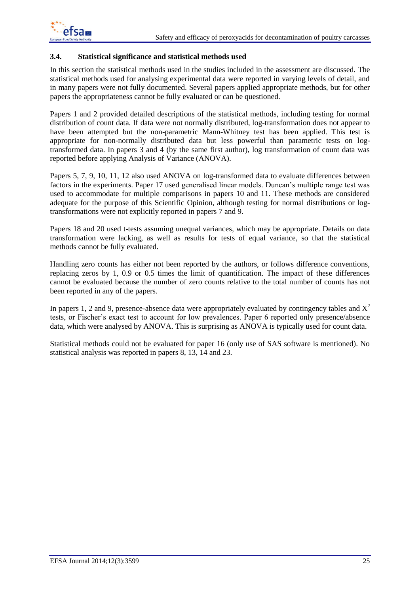### <span id="page-24-0"></span>**3.4. Statistical significance and statistical methods used**

In this section the statistical methods used in the studies included in the assessment are discussed. The statistical methods used for analysing experimental data were reported in varying levels of detail, and in many papers were not fully documented. Several papers applied appropriate methods, but for other papers the appropriateness cannot be fully evaluated or can be questioned.

Papers 1 and 2 provided detailed descriptions of the statistical methods, including testing for normal distribution of count data. If data were not normally distributed, log-transformation does not appear to have been attempted but the non-parametric Mann-Whitney test has been applied. This test is appropriate for non-normally distributed data but less powerful than parametric tests on logtransformed data. In papers 3 and 4 (by the same first author), log transformation of count data was reported before applying Analysis of Variance (ANOVA).

Papers 5, 7, 9, 10, 11, 12 also used ANOVA on log-transformed data to evaluate differences between factors in the experiments. Paper 17 used generalised linear models. Duncan"s multiple range test was used to accommodate for multiple comparisons in papers 10 and 11. These methods are considered adequate for the purpose of this Scientific Opinion, although testing for normal distributions or logtransformations were not explicitly reported in papers 7 and 9.

Papers 18 and 20 used t-tests assuming unequal variances, which may be appropriate. Details on data transformation were lacking, as well as results for tests of equal variance, so that the statistical methods cannot be fully evaluated.

Handling zero counts has either not been reported by the authors, or follows difference conventions, replacing zeros by 1, 0.9 or 0.5 times the limit of quantification. The impact of these differences cannot be evaluated because the number of zero counts relative to the total number of counts has not been reported in any of the papers.

In papers 1, 2 and 9, presence-absence data were appropriately evaluated by contingency tables and  $X^2$ tests, or Fischer"s exact test to account for low prevalences. Paper 6 reported only presence/absence data, which were analysed by ANOVA. This is surprising as ANOVA is typically used for count data.

Statistical methods could not be evaluated for paper 16 (only use of SAS software is mentioned). No statistical analysis was reported in papers 8, 13, 14 and 23.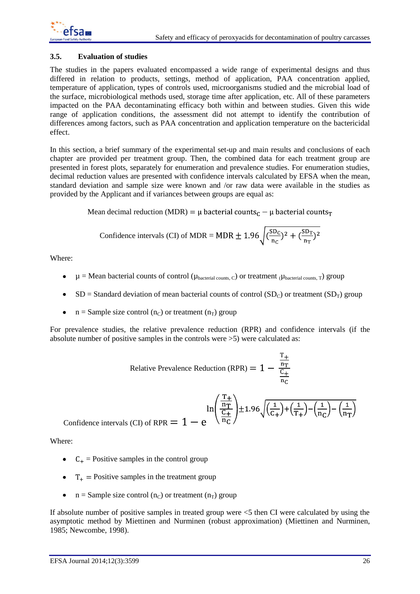

#### <span id="page-25-0"></span>**3.5. Evaluation of studies**

The studies in the papers evaluated encompassed a wide range of experimental designs and thus differed in relation to products, settings, method of application, PAA concentration applied, temperature of application, types of controls used, microorganisms studied and the microbial load of the surface, microbiological methods used, storage time after application, etc. All of these parameters impacted on the PAA decontaminating efficacy both within and between studies. Given this wide range of application conditions, the assessment did not attempt to identify the contribution of differences among factors, such as PAA concentration and application temperature on the bactericidal effect.

In this section, a brief summary of the experimental set-up and main results and conclusions of each chapter are provided per treatment group. Then, the combined data for each treatment group are presented in forest plots, separately for enumeration and prevalence studies. For enumeration studies, decimal reduction values are presented with confidence intervals calculated by EFSA when the mean, standard deviation and sample size were known and /or raw data were available in the studies as provided by the Applicant and if variances between groups are equal as:

Mean decimal reduction (MDR) =  $\mu$  bacterial counts<sub>c</sub> -  $\mu$  bacterial counts<sub>T</sub>

Confidence intervals (CI) of MDR = MDR 
$$
\pm
$$
 1.96  $\sqrt{\left(\frac{\text{SD}_C}{n_C}\right)^2 + \left(\frac{\text{SD}_T}{n_T}\right)^2}$ 

Where:

- $\bullet$   $\mu$  = Mean bacterial counts of control ( $\mu_{\text{hacterial counts}}$ ) or treatment ( $\mu_{\text{hacterial counts}}$ ) group
- $\bullet$  SD = Standard deviation of mean bacterial counts of control (SD<sub>C</sub>) or treatment (SD<sub>T</sub>) group
- $n =$  Sample size control (n<sub>C</sub>) or treatment (n<sub>T</sub>) group

For prevalence studies, the relative prevalence reduction (RPR) and confidence intervals (if the absolute number of positive samples in the controls were >5) were calculated as:

Relative Prevalence Reduction (RPR) = 
$$
1 - \frac{\frac{T_+}{n_T}}{\frac{C_+}{n_C}}
$$

$$
\ln\left(\frac{\frac{T_+}{n_T}}{\frac{C_+}{n_C}}\right) \pm 1.96\sqrt{\frac{1}{C_+}\left(\frac{1}{T_+}\right) - \left(\frac{1}{n_C}\right) - \left(\frac{1}{n_T}\right)}
$$
\nConfidence intervals (CI) of RPR = 1 - e

Where:

- $C_{+}$  = Positive samples in the control group
- $T_{+}$  = Positive samples in the treatment group
- $n =$  Sample size control (n<sub>C</sub>) or treatment (n<sub>T</sub>) group

If absolute number of positive samples in treated group were <5 then CI were calculated by using the asymptotic method by Miettinen and Nurminen (robust approximation) [\(Miettinen and Nurminen,](#page-57-13)  [1985;](#page-57-13) [Newcombe, 1998\)](#page-57-14).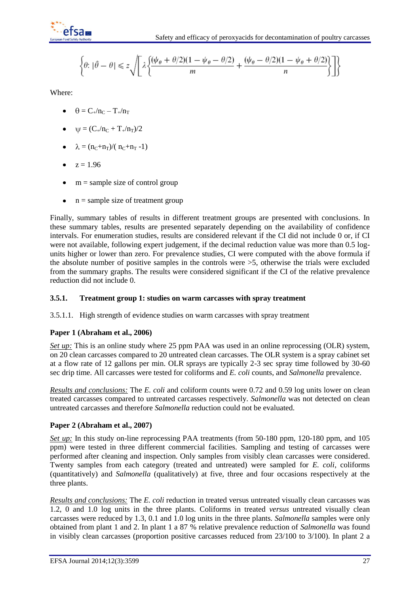

$$
\left\{\theta\colon|\hat{\theta}-\theta|\leqslant z\sqrt{\left[\lambda\left\{\frac{(\psi_{\theta}+\theta/2)(1-\psi_{\theta}-\theta/2)}{m}+\frac{(\psi_{\theta}-\theta/2)(1-\psi_{\theta}+\theta/2)}{n}\right\}\right]\right\}
$$

Where:

- $\theta = C_{\perp}/n_C T_{\perp}/n_T$
- $\psi = (C_{\perp}/n_C + T_{\perp}/n_T)/2$
- $\lambda = (n_{C}+n_{T})/(n_{C}+n_{T}-1)$
- $z = 1.96$
- $m =$  sample size of control group
- $\bullet$  n = sample size of treatment group

Finally, summary tables of results in different treatment groups are presented with conclusions. In these summary tables, results are presented separately depending on the availability of confidence intervals. For enumeration studies, results are considered relevant if the CI did not include 0 or, if CI were not available, following expert judgement, if the decimal reduction value was more than 0.5 logunits higher or lower than zero. For prevalence studies, CI were computed with the above formula if the absolute number of positive samples in the controls were >5, otherwise the trials were excluded from the summary graphs. The results were considered significant if the CI of the relative prevalence reduction did not include 0.

#### <span id="page-26-0"></span>**3.5.1. Treatment group 1: studies on warm carcasses with spray treatment**

3.5.1.1. High strength of evidence studies on warm carcasses with spray treatment

#### **Paper 1 [\(Abraham et al., 2006\)](#page-55-14)**

*Set up:* This is an online study where 25 ppm PAA was used in an online reprocessing (OLR) system, on 20 clean carcasses compared to 20 untreated clean carcasses. The OLR system is a spray cabinet set at a flow rate of 12 gallons per min. OLR sprays are typically 2-3 sec spray time followed by 30-60 sec drip time. All carcasses were tested for coliforms and *E. coli* counts, and *Salmonella* prevalence.

*Results and conclusions:* The *E. coli* and coliform counts were 0.72 and 0.59 log units lower on clean treated carcasses compared to untreated carcasses respectively. *Salmonella* was not detected on clean untreated carcasses and therefore *Salmonella* reduction could not be evaluated.

#### **Paper 2 [\(Abraham et al., 2007\)](#page-55-15)**

*Set up:* In this study on-line reprocessing PAA treatments (from 50-180 ppm, 120-180 ppm, and 105 ppm) were tested in three different commercial facilities. Sampling and testing of carcasses were performed after cleaning and inspection. Only samples from visibly clean carcasses were considered. Twenty samples from each category (treated and untreated) were sampled for *E. coli*, coliforms (quantitatively) and *Salmonella* (qualitatively) at five, three and four occasions respectively at the three plants.

*Results and conclusions:* The *E. coli* reduction in treated versus untreated visually clean carcasses was 1.2, 0 and 1.0 log units in the three plants. Coliforms in treated *versus* untreated visually clean carcasses were reduced by 1.3, 0.1 and 1.0 log units in the three plants. *Salmonella* samples were only obtained from plant 1 and 2. In plant 1 a 87 % relative prevalence reduction of *Salmonella* was found in visibly clean carcasses (proportion positive carcasses reduced from 23/100 to 3/100). In plant 2 a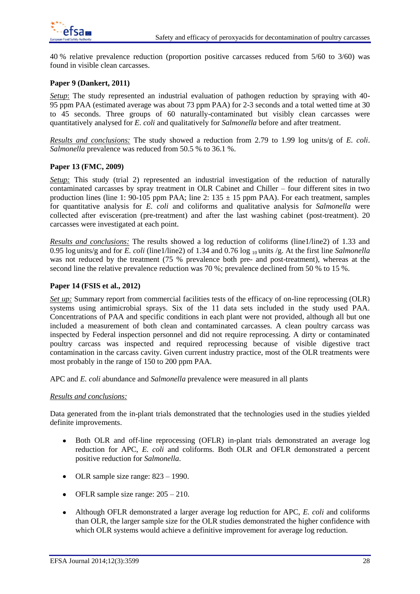40 % relative prevalence reduction (proportion positive carcasses reduced from 5/60 to 3/60) was found in visible clean carcasses.

### **Paper 9 [\(Dankert, 2011\)](#page-55-16)**

*Setup*: The study represented an industrial evaluation of pathogen reduction by spraying with 40- 95 ppm PAA (estimated average was about 73 ppm PAA) for 2-3 seconds and a total wetted time at 30 to 45 seconds. Three groups of 60 naturally-contaminated but visibly clean carcasses were quantitatively analysed for *E. coli* and qualitatively for *Salmonella* before and after treatment.

*Results and conclusions:* The study showed a reduction from 2.79 to 1.99 log units/g of *E. coli*. *Salmonella* prevalence was reduced from 50.5 % to 36.1 %.

### **Paper 13 [\(FMC, 2009\)](#page-56-11)**

*Setup*: This study (trial 2) represented an industrial investigation of the reduction of naturally contaminated carcasses by spray treatment in OLR Cabinet and Chiller – four different sites in two production lines (line 1:  $90-105$  ppm PAA; line 2: 135  $\pm$  15 ppm PAA). For each treatment, samples for quantitative analysis for *E. coli* and coliforms and qualitative analysis for *Salmonella* were collected after evisceration (pre-treatment) and after the last washing cabinet (post-treatment). 20 carcasses were investigated at each point.

*Results and conclusions:* The results showed a log reduction of coliforms (line1/line2) of 1.33 and 0.95 log units/g and for *E. coli* (line1/line2) of 1.34 and 0.76 log <sub>10</sub> units /g. At the first line *Salmonella* was not reduced by the treatment (75 % prevalence both pre- and post-treatment), whereas at the second line the relative prevalence reduction was 70 %; prevalence declined from 50 % to 15 %.

### **Paper 14 [\(FSIS et al., 2012\)](#page-56-12)**

*Set up:* Summary report from commercial facilities tests of the efficacy of on-line reprocessing (OLR) systems using antimicrobial sprays. Six of the 11 data sets included in the study used PAA. Concentrations of PAA and specific conditions in each plant were not provided, although all but one included a measurement of both clean and contaminated carcasses. A clean poultry carcass was inspected by Federal inspection personnel and did not require reprocessing. A dirty or contaminated poultry carcass was inspected and required reprocessing because of visible digestive tract contamination in the carcass cavity. Given current industry practice, most of the OLR treatments were most probably in the range of 150 to 200 ppm PAA.

APC and *E. coli* abundance and *Salmonella* prevalence were measured in all plants

#### *Results and conclusions:*

Data generated from the in-plant trials demonstrated that the technologies used in the studies yielded definite improvements.

- Both OLR and off-line reprocessing (OFLR) in-plant trials demonstrated an average log  $\bullet$ reduction for APC, *E. coli* and coliforms. Both OLR and OFLR demonstrated a percent positive reduction for *Salmonella*.
- $\bullet$  OLR sample size range:  $823 1990$ .
- OFLR sample size range:  $205 210$ .
- Although OFLR demonstrated a larger average log reduction for APC, *E. coli* and coliforms than OLR, the larger sample size for the OLR studies demonstrated the higher confidence with which OLR systems would achieve a definitive improvement for average log reduction.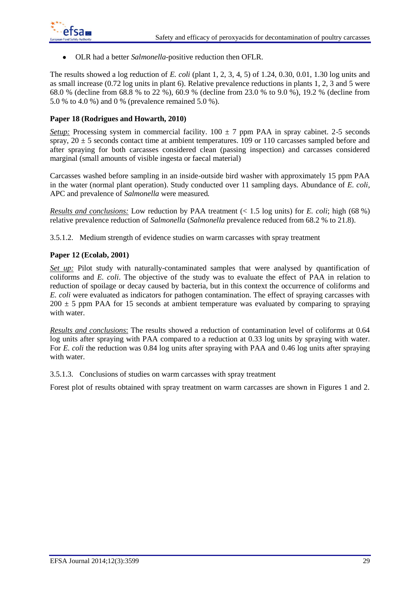OLR had a better *Salmonella*-positive reduction then OFLR.

The results showed a log reduction of *E. coli* (plant 1, 2, 3, 4, 5) of 1.24, 0.30, 0.01, 1.30 log units and as small increase (0.72 log units in plant 6). Relative prevalence reductions in plants 1, 2, 3 and 5 were 68.0 % (decline from 68.8 % to 22 %), 60.9 % (decline from 23.0 % to 9.0 %), 19.2 % (decline from 5.0 % to 4.0 %) and 0 % (prevalence remained 5.0 %).

### **Paper 18 [\(Rodrigues and Howarth, 2010\)](#page-57-15)**

*Setup:* Processing system in commercial facility.  $100 \pm 7$  ppm PAA in spray cabinet. 2-5 seconds spray,  $20 \pm 5$  seconds contact time at ambient temperatures. 109 or 110 carcasses sampled before and after spraying for both carcasses considered clean (passing inspection) and carcasses considered marginal (small amounts of visible ingesta or faecal material)

Carcasses washed before sampling in an inside-outside bird washer with approximately 15 ppm PAA in the water (normal plant operation). Study conducted over 11 sampling days. Abundance of *E. coli,*  APC and prevalence of *Salmonella* were measured*.*

*Results and conclusions:* Low reduction by PAA treatment (< 1.5 log units) for *E. coli*; high (68 %) relative prevalence reduction of *Salmonella* (*Salmonella* prevalence reduced from 68.2 % to 21.8).

3.5.1.2. Medium strength of evidence studies on warm carcasses with spray treatment

#### **Paper 12 [\(Ecolab,](#page-56-13) 2001)**

*Set up:* Pilot study with naturally-contaminated samples that were analysed by quantification of coliforms and *E. coli*. The objective of the study was to evaluate the effect of PAA in relation to reduction of spoilage or decay caused by bacteria, but in this context the occurrence of coliforms and *E. coli* were evaluated as indicators for pathogen contamination. The effect of spraying carcasses with  $200 \pm 5$  ppm PAA for 15 seconds at ambient temperature was evaluated by comparing to spraying with water.

*Results and conclusions*: The results showed a reduction of contamination level of coliforms at 0.64 log units after spraying with PAA compared to a reduction at 0.33 log units by spraying with water. For *E. coli* the reduction was 0.84 log units after spraying with PAA and 0.46 log units after spraying with water.

3.5.1.3. Conclusions of studies on warm carcasses with spray treatment

Forest plot of results obtained with spray treatment on warm carcasses are shown in Figures 1 and 2.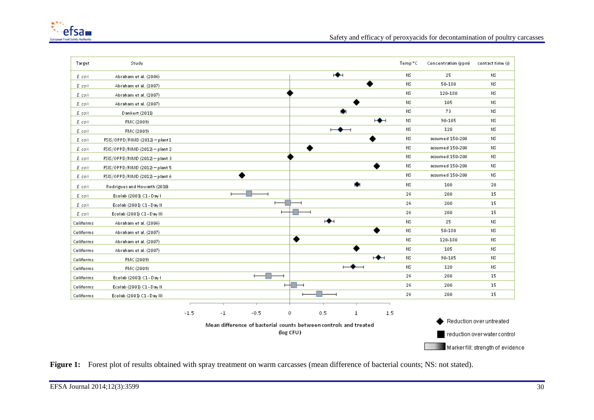

| Target    | Study                           |        |             |        |           |                                                                  |   |     | Temp <sup>o</sup> C | Concentration (ppm) | contact time (s)                  |
|-----------|---------------------------------|--------|-------------|--------|-----------|------------------------------------------------------------------|---|-----|---------------------|---------------------|-----------------------------------|
| E. coli   | Abraham et al. (2006)           |        |             |        |           | $\bullet$                                                        |   |     | ΝS                  | 25                  | NS                                |
| E. coli   | Abraham et al. (2007)           |        |             |        |           |                                                                  |   |     | ΝS                  | 50-180              | NS                                |
| E. coli   | Abraham et al. (2007)           |        |             |        |           |                                                                  |   |     | NS                  | 120-180             | NS                                |
| E. coli   | Abraham et al. (2007)           |        |             |        |           |                                                                  |   |     | ΝS                  | 105                 | ΝS                                |
| E. coli   | Dankert (2011)                  |        |             |        |           |                                                                  |   |     | NS                  | 73                  | NS                                |
| E. coli   | FMC (2009)                      |        |             |        |           |                                                                  |   | ⊢♠⊣ | NS                  | 90-105              | NS                                |
| E. coli   | FMC (2009)                      |        |             |        |           | $\overline{\phantom{0}}$                                         |   |     | NS                  | 120                 | ١S                                |
| E. coli   | FSIS/OPPD/RIMD (2012) - plant1  |        |             |        |           |                                                                  |   |     | NS                  | assumed 150-200     | ١S                                |
| E. coli   | FSIS/OPPD/RIMD (2012) - plant 2 |        |             |        |           |                                                                  |   |     | ΝS                  | assumed 150-200     | NS                                |
| E. coli   | FSIS/OPPD/RIMD (2012) - plant 3 |        |             |        |           |                                                                  |   |     | NS                  | assumed 150-200     | ١S                                |
| E. coli   | FSIS/OPPD/RIMD (2012) - plant 5 |        |             |        |           |                                                                  |   |     | NS                  | assumed 150-200     | ١S                                |
| E. coli   | FSIS/OPPD/RIMD (2012) - plant 6 |        |             |        |           |                                                                  |   |     | NS                  | assumed 150-200     | NS                                |
| E. coli   | Rodrigues and Howarth (2010)    |        |             |        |           |                                                                  | ۰ |     | ΝS                  | 100                 | 20                                |
| E. coli   | Ecolab (2001) C1 - Day I        |        |             |        |           |                                                                  |   |     | 26                  | 200                 | 15                                |
| E. coli   | Ecolab (2001) C1 - Day II       |        |             |        |           |                                                                  |   |     | 26                  | 200                 | 15                                |
| E. coli   | Ecolab (2001) C1 - Day III      |        |             |        |           |                                                                  |   |     | 26                  | 200                 | 15                                |
| Coliforms | Abraham et al. (2006)           |        |             |        |           | $\bullet$                                                        |   |     | ΝS                  | 25                  | NS                                |
| Coliforms | Abraham et al. (2007)           |        |             |        |           |                                                                  |   |     | ΝS                  | 50-180              | NS                                |
| Coliforms | Abraham et al. (2007)           |        |             |        |           |                                                                  |   |     | ΝS                  | 120-180             | NS                                |
| Coliforms | Abraham et al. (2007)           |        |             |        |           |                                                                  |   |     | ΝS                  | 105                 | NS                                |
| Coliforms | FMC (2009)                      |        |             |        |           |                                                                  |   | ⊷   | ΝS                  | 90-105              | NS                                |
| Coliforms | FMC (2009)                      |        |             |        |           |                                                                  |   |     | ΝS                  | 120                 | NS                                |
| Coliforms | Ecolab (2001) C1 - Day I        |        |             |        |           |                                                                  |   |     | 26                  | 200                 | 15                                |
| Coliforms | Ecolab (2001) C1 - Day II       |        |             |        |           |                                                                  |   |     | 26                  | 200                 | 15                                |
| Coliforms | Ecolab (2001) C1 - Day III      |        |             |        |           |                                                                  |   |     | 26                  | 200                 | 15                                |
|           |                                 |        |             |        |           |                                                                  |   |     |                     |                     |                                   |
|           |                                 | $-1.5$ | $^{\rm -1}$ | $-0.5$ | 0         | 0.5                                                              | 1 | 1.5 |                     |                     |                                   |
|           |                                 |        |             |        |           | Mean difference of bacterial counts between controls and treated |   |     |                     |                     | Reduction over untreated          |
|           |                                 |        |             |        | (log CFU) |                                                                  |   |     |                     |                     | reduction over water control      |
|           |                                 |        |             |        |           |                                                                  |   |     |                     |                     | Marker fill: strength of evidence |

Figure 1: Forest plot of results obtained with spray treatment on warm carcasses (mean difference of bacterial counts; NS: not stated).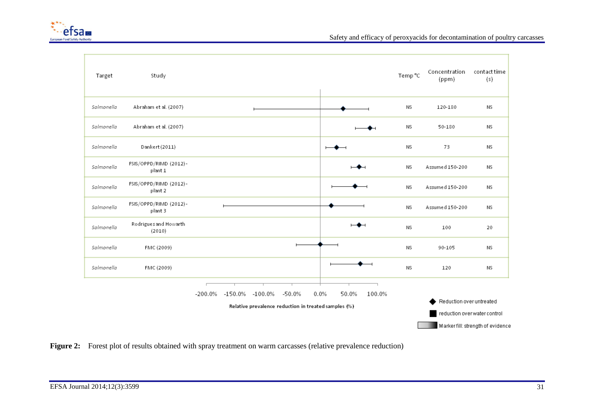

| Target     | Study                             |                                                                            | Temp °C | Concentration<br>(ppm)   | contact time<br>(s)               |
|------------|-----------------------------------|----------------------------------------------------------------------------|---------|--------------------------|-----------------------------------|
| Salmonella | Abraham et al. (2007)             |                                                                            | ΝS      | 120-180                  | NS                                |
| Salmonella | Abraham et al. (2007)             |                                                                            | ΝS      | 50-180                   | NS                                |
| Salmonella | Dankert (2011)                    |                                                                            | ΝS      | 73                       | NS                                |
| Salmonella | FSIS/OPPD/RIMD (2012)-<br>plant 1 |                                                                            | ΝS      | Assumed 150-200          | NS                                |
| Salmonella | FSIS/OPPD/RIMD (2012)-<br>plant 2 |                                                                            | ΝS      | Assumed 150-200          | NS                                |
| Salmonella | FSIS/OPPD/RIMD (2012)-<br>plant 3 |                                                                            | ΝS      | Assumed 150-200          | NS                                |
| Salmonella | Rodrigues and Howarth<br>(2010)   | ⊢◆⊣                                                                        | ΝS      | 100                      | 20                                |
| Salmonella | FMC (2009)                        |                                                                            | ΝS      | 90-105                   | NS                                |
| Salmonella | FMC (2009)                        |                                                                            | ΝS      | 120                      | NS                                |
|            |                                   |                                                                            |         |                          |                                   |
|            |                                   | $-150.0\%$<br>$-100.0\%$<br>$-50.0%$<br>50.0%<br>-200.0%<br>0.0%<br>100.0% |         | Reduction over untreated |                                   |
|            |                                   | Relative prevalence reduction in treated samples (%)                       |         |                          | reduction overwater control       |
|            |                                   |                                                                            |         |                          | Marker fill: strength of evidence |

**Figure 2:** Forest plot of results obtained with spray treatment on warm carcasses (relative prevalence reduction)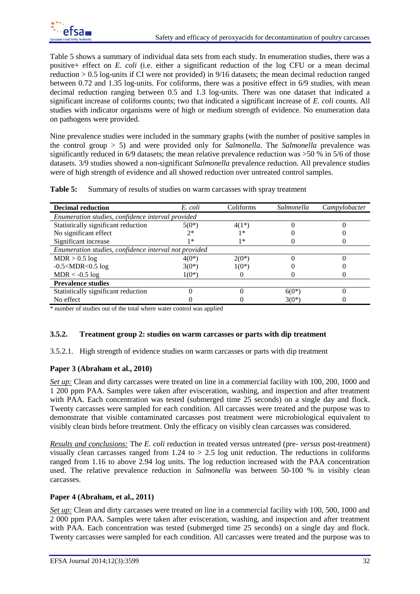Table 5 shows a summary of individual data sets from each study. In enumeration studies, there was a positive+ effect on *E. coli* (i.e. either a significant reduction of the log CFU or a mean decimal reduction > 0.5 log-units if CI were not provided) in 9/16 datasets; the mean decimal reduction ranged between 0.72 and 1.35 log-units. For coliforms, there was a positive effect in 6/9 studies, with mean decimal reduction ranging between 0.5 and 1.3 log-units. There was one dataset that indicated a significant increase of coliforms counts; two that indicated a significant increase of *E. coli* counts. All studies with indicator organisms were of high or medium strength of evidence. No enumeration data on pathogens were provided.

Nine prevalence studies were included in the summary graphs (with the number of positive samples in the control group > 5) and were provided only for *Salmonella*. The *Salmonella* prevalence was significantly reduced in  $6/9$  datasets; the mean relative prevalence reduction was  $>50\%$  in 5/6 of those datasets. 3/9 studies showed a non-significant *Salmonella* prevalence reduction. All prevalence studies were of high strength of evidence and all showed reduction over untreated control samples.

| <b>Decimal reduction</b>                              | E. coli  | Coliforms | Salmonella | Campylobacter |  |  |  |  |  |
|-------------------------------------------------------|----------|-----------|------------|---------------|--|--|--|--|--|
| Enumeration studies, confidence interval provided     |          |           |            |               |  |  |  |  |  |
| Statistically significant reduction                   | $5(0^*)$ | $4(1^*)$  |            |               |  |  |  |  |  |
| No significant effect                                 | $2*$     | ∣∗        |            |               |  |  |  |  |  |
| Significant increase                                  | ∗        | ∗         |            |               |  |  |  |  |  |
| Enumeration studies, confidence interval not provided |          |           |            |               |  |  |  |  |  |
| MDR > 0.5 log                                         | $4(0^*)$ | $2(0^*)$  |            |               |  |  |  |  |  |
| $-0.5 < MDR < 0.5$ log                                | $3(0^*)$ | $1(0^*)$  |            |               |  |  |  |  |  |
| $MDR < -0.5$ log                                      | $1(0^*)$ |           |            |               |  |  |  |  |  |
| <b>Prevalence studies</b>                             |          |           |            |               |  |  |  |  |  |
| Statistically significant reduction                   |          |           | $6(0*)$    |               |  |  |  |  |  |
| No effect                                             |          |           | $3(0^*)$   |               |  |  |  |  |  |

| Table 5: |  |  | $\therefore$ Summary of results of studies on warm carcasses with spray treatment |
|----------|--|--|-----------------------------------------------------------------------------------|
|----------|--|--|-----------------------------------------------------------------------------------|

\* number of studies out of the total where water control was applied

#### <span id="page-31-0"></span>**3.5.2. Treatment group 2: studies on warm carcasses or parts with dip treatment**

3.5.2.1. High strength of evidence studies on warm carcasses or parts with dip treatment

# **Paper 3 [\(Abraham et al., 2010\)](#page-55-17)**

*Set up:* Clean and dirty carcasses were treated on line in a commercial facility with 100, 200, 1000 and 1 200 ppm PAA. Samples were taken after evisceration, washing, and inspection and after treatment with PAA. Each concentration was tested (submerged time 25 seconds) on a single day and flock. Twenty carcasses were sampled for each condition. All carcasses were treated and the purpose was to demonstrate that visible contaminated carcasses post treatment were microbiological equivalent to visibly clean birds before treatment. Only the efficacy on visibly clean carcasses was considered.

*Results and conclusions:* The *E. coli* reduction in treated versus untreated (pre- *versus* post-treatment) visually clean carcasses ranged from  $1.24$  to  $> 2.5$  log unit reduction. The reductions in coliforms ranged from 1.16 to above 2.94 log units. The log reduction increased with the PAA concentration used. The relative prevalence reduction in *Salmonella* was between 50-100 % in visibly clean carcasses.

#### **Paper 4 [\(Abraham, et al., 2011\)](#page-55-18)**

*Set up:* Clean and dirty carcasses were treated on line in a commercial facility with 100, 500, 1000 and 2 000 ppm PAA. Samples were taken after evisceration, washing, and inspection and after treatment with PAA. Each concentration was tested (submerged time 25 seconds) on a single day and flock. Twenty carcasses were sampled for each condition. All carcasses were treated and the purpose was to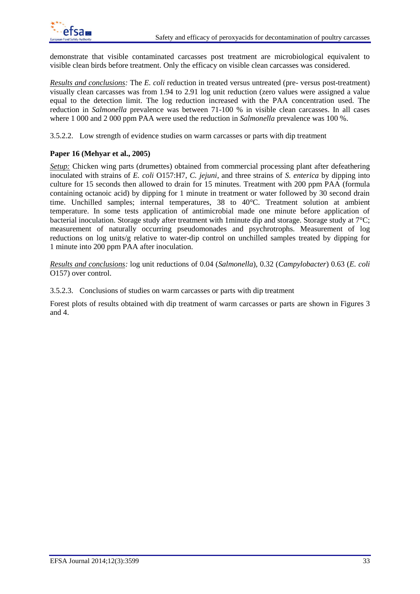demonstrate that visible contaminated carcasses post treatment are microbiological equivalent to visible clean birds before treatment. Only the efficacy on visible clean carcasses was considered.

*Results and conclusions:* The *E. coli* reduction in treated versus untreated (pre- versus post-treatment) visually clean carcasses was from 1.94 to 2.91 log unit reduction (zero values were assigned a value equal to the detection limit. The log reduction increased with the PAA concentration used. The reduction in *Salmonella* prevalence was between 71-100 % in visible clean carcasses. In all cases where 1 000 and 2 000 ppm PAA were used the reduction in *Salmonella* prevalence was 100 %.

3.5.2.2. Low strength of evidence studies on warm carcasses or parts with dip treatment

# **Paper 16 [\(Mehyar et al., 2005\)](#page-57-16)**

*Setup:* Chicken wing parts (drumettes) obtained from commercial processing plant after defeathering inoculated with strains of *E. coli* O157:H7, *C. jejuni*, and three strains of *S. enterica* by dipping into culture for 15 seconds then allowed to drain for 15 minutes. Treatment with 200 ppm PAA (formula containing octanoic acid) by dipping for 1 minute in treatment or water followed by 30 second drain time. Unchilled samples; internal temperatures, 38 to 40°C. Treatment solution at ambient temperature. In some tests application of antimicrobial made one minute before application of bacterial inoculation. Storage study after treatment with 1minute dip and storage. Storage study at 7°C; measurement of naturally occurring pseudomonades and psychrotrophs. Measurement of log reductions on log units/g relative to water-dip control on unchilled samples treated by dipping for 1 minute into 200 ppm PAA after inoculation.

*Results and conclusions:* log unit reductions of 0.04 (*Salmonella*), 0.32 (*Campylobacter*) 0.63 (*E. coli* O157) over control.

3.5.2.3. Conclusions of studies on warm carcasses or parts with dip treatment

Forest plots of results obtained with dip treatment of warm carcasses or parts are shown in Figures 3 and 4.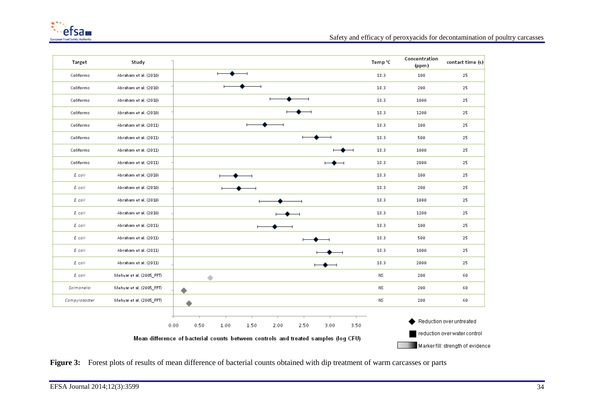

| Target        | Study                    |                                                                                                                                                    | Temp °C | Concentration<br>(ppm) | contact time (s)                                                                              |
|---------------|--------------------------|----------------------------------------------------------------------------------------------------------------------------------------------------|---------|------------------------|-----------------------------------------------------------------------------------------------|
| Coliforms     | Abraham et al. (2010)    |                                                                                                                                                    | 18.3    | 100                    | 25                                                                                            |
| Coliforms     | Abraham et al. (2010)    |                                                                                                                                                    | 18.3    | 200                    | 25                                                                                            |
| Coliforms     | Abraham et al. (2010)    |                                                                                                                                                    | 18.3    | 1000                   | 25                                                                                            |
| Coliforms     | Abraham et al. (2010)    |                                                                                                                                                    | 18.3    | 1200                   | 25                                                                                            |
| Coliforms     | Abraham et al. (2011)    |                                                                                                                                                    | 18.3    | 100                    | 25                                                                                            |
| Coliforms     | Abraham et al. (2011)    |                                                                                                                                                    | 18.3    | 500                    | 25                                                                                            |
| Coliforms     | Abraham et al. (2011)    |                                                                                                                                                    | 18.3    | 1000                   | 25                                                                                            |
| Coliforms     | Abraham et al. (2011)    |                                                                                                                                                    | 18.3    | 2000                   | 25                                                                                            |
| E. coli       | Abraham et al. (2010)    |                                                                                                                                                    | 18.3    | 100                    | 25                                                                                            |
| E. coli       | Abraham et al. (2010)    |                                                                                                                                                    | 18.3    | 200                    | 25                                                                                            |
| E. coli       | Abraham et al. (2010)    |                                                                                                                                                    | 18.3    | 1000                   | 25                                                                                            |
| E. coli       | Abraham et al. (2010)    |                                                                                                                                                    | 18.3    | 1200                   | 25                                                                                            |
| E. coli       | Abraham et al. (2011)    |                                                                                                                                                    | 18.3    | 100                    | 25                                                                                            |
| E. coli       | Abraham et al. (2011)    |                                                                                                                                                    | 18.3    | 500                    | 25                                                                                            |
| E. coli       | Abraham et al. (2011)    |                                                                                                                                                    | 18.3    | 1000                   | 25                                                                                            |
| E. coli       | Abraham et al. (2011)    |                                                                                                                                                    | 18.3    | 2000                   | 25                                                                                            |
| E. coli       | Mehyar et al. (2005_FPT) | ۵                                                                                                                                                  | ΝS      | 200                    | 60                                                                                            |
| Salmonella    | Mehyar et al. (2005_FPT) | ٠                                                                                                                                                  | ΝS      | 200                    | 60                                                                                            |
| Campylobacter | Mehyar et al. (2005_FPT) |                                                                                                                                                    | NS.     | 200                    | 60                                                                                            |
|               |                          | 0.00<br>0.50<br>1.00<br>1.50<br>2.00<br>2.50<br>3.00<br>3.50<br>Mean difference of bacterial counts between controls and treated samples (log CFU) |         |                        | Reduction over untreated<br>reduction over water control<br>Marker fill: strength of evidence |

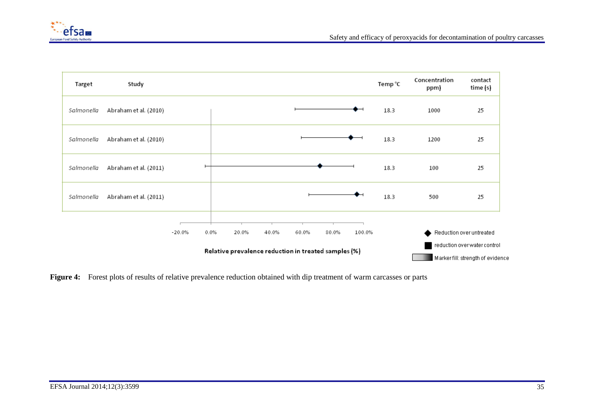

| Target     | Study                 |                           |                                                                                 | Temp °C   | Concentration<br>ppm) | contact<br>time (s)                                                                           |
|------------|-----------------------|---------------------------|---------------------------------------------------------------------------------|-----------|-----------------------|-----------------------------------------------------------------------------------------------|
| Salmonella | Abraham et al. (2010) |                           |                                                                                 | 18.3<br>∽ | 1000                  | 25                                                                                            |
| Salmonella | Abraham et al. (2010) |                           |                                                                                 | 18.3      | 1200                  | 25                                                                                            |
| Salmonella | Abraham et al. (2011) |                           |                                                                                 | 18.3      | 100                   | 25                                                                                            |
| Salmonella | Abraham et al. (2011) |                           |                                                                                 | 18.3      | 500                   | 25                                                                                            |
|            |                       | $-20.0%$<br>0.0%<br>20.0% | 40.0%<br>60.0%<br>80.0%<br>Relative prevalence reduction in treated samples (%) | 100.0%    |                       | Reduction over untreated<br>reduction over water control<br>Marker fill: strength of evidence |

**Figure 4:** Forest plots of results of relative prevalence reduction obtained with dip treatment of warm carcasses or parts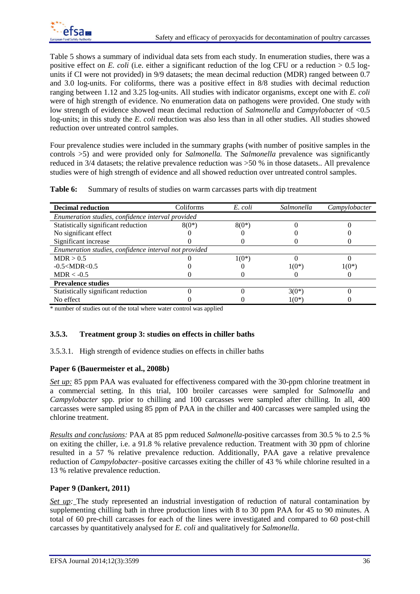Table 5 shows a summary of individual data sets from each study. In enumeration studies, there was a positive effect on *E. coli* (i.e. either a significant reduction of the log CFU or a reduction > 0.5 logunits if CI were not provided) in 9/9 datasets; the mean decimal reduction (MDR) ranged between 0.7 and 3.0 log-units. For coliforms, there was a positive effect in 8/8 studies with decimal reduction ranging between 1.12 and 3.25 log-units. All studies with indicator organisms, except one with *E. coli* were of high strength of evidence. No enumeration data on pathogens were provided. One study with low strength of evidence showed mean decimal reduction of *Salmonella* and *Campylobacte*r of <0.5 log-units; in this study the *E. coli* reduction was also less than in all other studies. All studies showed reduction over untreated control samples.

Four prevalence studies were included in the summary graphs (with number of positive samples in the controls >5) and were provided only for *Salmonella.* The *Salmonella* prevalence was significantly reduced in 3/4 datasets; the relative prevalence reduction was >50 % in those datasets.. All prevalence studies were of high strength of evidence and all showed reduction over untreated control samples.

|  |  | <b>Table 6:</b> Summary of results of studies on warm carcasses parts with dip treatment |  |
|--|--|------------------------------------------------------------------------------------------|--|
|  |  |                                                                                          |  |

| <b>Decimal reduction</b>                              | Coliforms | E. coli  | Salmonella | Campylobacter |
|-------------------------------------------------------|-----------|----------|------------|---------------|
| Enumeration studies, confidence interval provided     |           |          |            |               |
| Statistically significant reduction                   | $8(0^*)$  | $8(0^*)$ |            |               |
| No significant effect                                 |           |          |            |               |
| Significant increase                                  |           |          |            |               |
| Enumeration studies, confidence interval not provided |           |          |            |               |
| MDR > 0.5                                             |           | $1(0^*)$ |            |               |
| $-0.5 < MDR < 0.5$                                    |           |          | $1(0^*)$   | $1(0^*)$      |
| $MDR < -0.5$                                          |           |          |            |               |
| <b>Prevalence studies</b>                             |           |          |            |               |
| Statistically significant reduction                   |           |          | $3(0^*)$   |               |
| No effect                                             |           |          | $1(0^*)$   |               |

\* number of studies out of the total where water control was applied

# <span id="page-35-0"></span>**3.5.3. Treatment group 3: studies on effects in chiller baths**

# 3.5.3.1. High strength of evidence studies on effects in chiller baths

# **Paper 6 [\(Bauermeister et al., 2008b\)](#page-55-19)**

*Set up:* 85 ppm PAA was evaluated for effectiveness compared with the 30-ppm chlorine treatment in a commercial setting. In this trial, 100 broiler carcasses were sampled for *Salmonella* and *Campylobacter* spp. prior to chilling and 100 carcasses were sampled after chilling. In all, 400 carcasses were sampled using 85 ppm of PAA in the chiller and 400 carcasses were sampled using the chlorine treatment.

*Results and conclusions:* PAA at 85 ppm reduced *Salmonella*-positive carcasses from 30.5 % to 2.5 % on exiting the chiller, i.e. a 91.8 % relative prevalence reduction. Treatment with 30 ppm of chlorine resulted in a 57 % relative prevalence reduction. Additionally, PAA gave a relative prevalence reduction of *Campylobacter*–positive carcasses exiting the chiller of 43 % while chlorine resulted in a 13 % relative prevalence reduction.

# **Paper 9 [\(Dankert, 2011\)](#page-55-16)**

*Set up:* The study represented an industrial investigation of reduction of natural contamination by supplementing chilling bath in three production lines with 8 to 30 ppm PAA for 45 to 90 minutes. A total of 60 pre-chill carcasses for each of the lines were investigated and compared to 60 post-chill carcasses by quantitatively analysed for *E. coli* and qualitatively for *Salmonella*.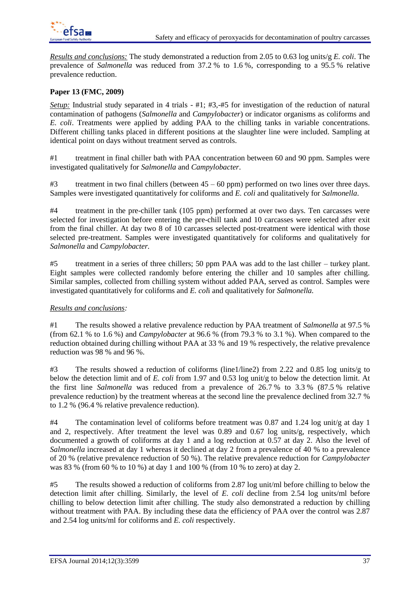*Results and conclusions:* The study demonstrated a reduction from 2.05 to 0.63 log units/g *E. coli*. The prevalence of *Salmonella* was reduced from 37.2 % to 1.6 %, corresponding to a 95.5 % relative prevalence reduction.

# **Paper 13 [\(FMC, 2009\)](#page-56-11)**

*Setup:* Industrial study separated in 4 trials - #1; #3,-#5 for investigation of the reduction of natural contamination of pathogens (*Salmonella* and *Campylobacter*) or indicator organisms as coliforms and *E. coli*. Treatments were applied by adding PAA to the chilling tanks in variable concentrations. Different chilling tanks placed in different positions at the slaughter line were included. Sampling at identical point on days without treatment served as controls.

#1 treatment in final chiller bath with PAA concentration between 60 and 90 ppm. Samples were investigated qualitatively for *Salmonella* and *Campylobacter*.

#3 treatment in two final chillers (between  $45 - 60$  ppm) performed on two lines over three days. Samples were investigated quantitatively for coliforms and *E. coli* and qualitatively for *Salmonella*.

#4 treatment in the pre-chiller tank (105 ppm) performed at over two days. Ten carcasses were selected for investigation before entering the pre-chill tank and 10 carcasses were selected after exit from the final chiller. At day two 8 of 10 carcasses selected post-treatment were identical with those selected pre-treatment. Samples were investigated quantitatively for coliforms and qualitatively for *Salmonella* and *Campylobacter.*

#5 treatment in a series of three chillers; 50 ppm PAA was add to the last chiller – turkey plant. Eight samples were collected randomly before entering the chiller and 10 samples after chilling. Similar samples, collected from chilling system without added PAA, served as control. Samples were investigated quantitatively for coliforms and *E. col*i and qualitatively for *Salmonella.*

# *Results and conclusions:*

#1 The results showed a relative prevalence reduction by PAA treatment of *Salmonella* at 97.5 % (from 62.1 % to 1.6 %) and *Campylobacter* at 96.6 % (from 79.3 % to 3.1 %). When compared to the reduction obtained during chilling without PAA at 33 % and 19 % respectively, the relative prevalence reduction was 98 % and 96 %.

#3 The results showed a reduction of coliforms (line1/line2) from 2.22 and 0.85 log units/g to below the detection limit and of *E. coli* from 1.97 and 0.53 log unit/g to below the detection limit. At the first line *Salmonella* was reduced from a prevalence of 26.7 % to 3.3 % (87.5 % relative prevalence reduction) by the treatment whereas at the second line the prevalence declined from 32.7 % to 1.2 % (96.4 % relative prevalence reduction).

#4 The contamination level of coliforms before treatment was 0.87 and 1.24 log unit/g at day 1 and 2, respectively. After treatment the level was 0.89 and 0.67 log units/g, respectively, which documented a growth of coliforms at day 1 and a log reduction at 0.57 at day 2. Also the level of *Salmonella* increased at day 1 whereas it declined at day 2 from a prevalence of 40 % to a prevalence of 20 % (relative prevalence reduction of 50 %). The relative prevalence reduction for *Campylobacter* was 83 % (from 60 % to 10 %) at day 1 and 100 % (from 10 % to zero) at day 2.

#5 The results showed a reduction of coliforms from 2.87 log unit/ml before chilling to below the detection limit after chilling. Similarly, the level of *E. coli* decline from 2.54 log units/ml before chilling to below detection limit after chilling. The study also demonstrated a reduction by chilling without treatment with PAA. By including these data the efficiency of PAA over the control was 2.87 and 2.54 log units/ml for coliforms and *E. coli* respectively.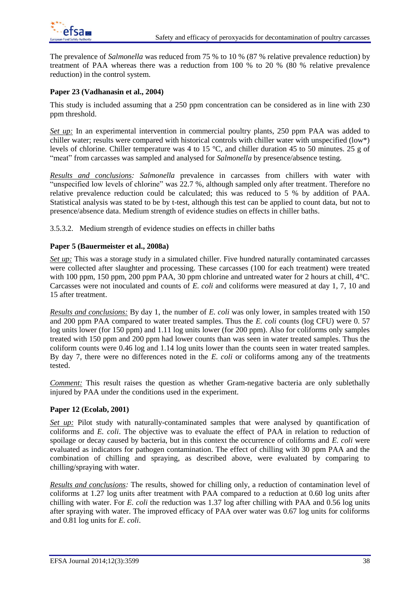The prevalence of *Salmonella* was reduced from 75 % to 10 % (87 % relative prevalence reduction) by treatment of PAA whereas there was a reduction from 100 % to 20 % (80 % relative prevalence reduction) in the control system.

### **Paper 23 [\(Vadhanasin et al., 2004\)](#page-58-6)**

This study is included assuming that a 250 ppm concentration can be considered as in line with 230 ppm threshold.

*Set up:* In an experimental intervention in commercial poultry plants, 250 ppm PAA was added to chiller water; results were compared with historical controls with chiller water with unspecified (low\*) levels of chlorine. Chiller temperature was 4 to 15 °C, and chiller duration 45 to 50 minutes. 25 g of "meat" from carcasses was sampled and analysed for *Salmonella* by presence/absence testing.

*Results and conclusions: Salmonella* prevalence in carcasses from chillers with water with "unspecified low levels of chlorine" was 22.7 %, although sampled only after treatment. Therefore no relative prevalence reduction could be calculated; this was reduced to 5 % by addition of PAA. Statistical analysis was stated to be by t-test, although this test can be applied to count data, but not to presence/absence data. Medium strength of evidence studies on effects in chiller baths.

3.5.3.2. Medium strength of evidence studies on effects in chiller baths

### **Paper 5 [\(Bauermeister et al., 2008a\)](#page-55-20)**

*Set up:* This was a storage study in a simulated chiller. Five hundred naturally contaminated carcasses were collected after slaughter and processing. These carcasses (100 for each treatment) were treated with 100 ppm, 150 ppm, 200 ppm PAA, 30 ppm chlorine and untreated water for 2 hours at chill,  $4^{\circ}$ C. Carcasses were not inoculated and counts of *E. coli* and coliforms were measured at day 1, 7, 10 and 15 after treatment.

*Results and conclusions:* By day 1, the number of *E. coli* was only lower, in samples treated with 150 and 200 ppm PAA compared to water treated samples. Thus the *E. coli* counts (log CFU) were 0. 57 log units lower (for 150 ppm) and 1.11 log units lower (for 200 ppm). Also for coliforms only samples treated with 150 ppm and 200 ppm had lower counts than was seen in water treated samples. Thus the coliform counts were 0.46 log and 1.14 log units lower than the counts seen in water treated samples. By day 7, there were no differences noted in the *E. coli* or coliforms among any of the treatments tested.

*Comment:* This result raises the question as whether Gram-negative bacteria are only sublethally injured by PAA under the conditions used in the experiment.

#### **Paper 12 [\(Ecolab, 2001\)](#page-56-13)**

*Set up:* Pilot study with naturally-contaminated samples that were analysed by quantification of coliforms and *E. coli*. The objective was to evaluate the effect of PAA in relation to reduction of spoilage or decay caused by bacteria, but in this context the occurrence of coliforms and *E. coli* were evaluated as indicators for pathogen contamination. The effect of chilling with 30 ppm PAA and the combination of chilling and spraying, as described above, were evaluated by comparing to chilling/spraying with water.

*Results and conclusions:* The results, showed for chilling only, a reduction of contamination level of coliforms at 1.27 log units after treatment with PAA compared to a reduction at 0.60 log units after chilling with water. For *E. coli* the reduction was 1.37 log after chilling with PAA and 0.56 log units after spraying with water. The improved efficacy of PAA over water was 0.67 log units for coliforms and 0.81 log units for *E. coli*.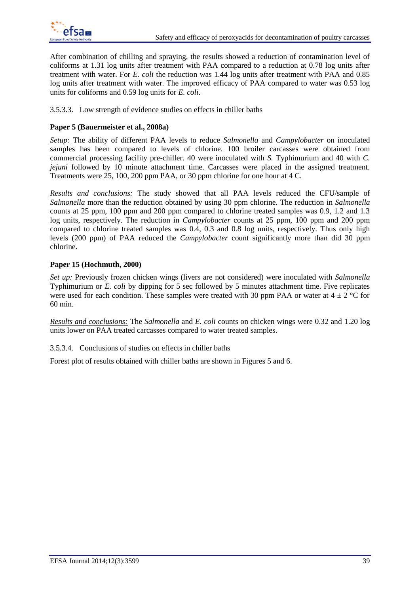After combination of chilling and spraying, the results showed a reduction of contamination level of coliforms at 1.31 log units after treatment with PAA compared to a reduction at 0.78 log units after treatment with water. For *E. coli* the reduction was 1.44 log units after treatment with PAA and 0.85 log units after treatment with water. The improved efficacy of PAA compared to water was 0.53 log units for coliforms and 0.59 log units for *E. coli*.

3.5.3.3. Low strength of evidence studies on effects in chiller baths

# **Paper 5 [\(Bauermeister et al., 2008a\)](#page-55-20)**

*Setup:* The ability of different PAA levels to reduce *Salmonella* and *Campylobacter* on inoculated samples has been compared to levels of chlorine. 100 broiler carcasses were obtained from commercial processing facility pre-chiller. 40 were inoculated with *S.* Typhimurium and 40 with *C. jejuni* followed by 10 minute attachment time. Carcasses were placed in the assigned treatment. Treatments were 25, 100, 200 ppm PAA, or 30 ppm chlorine for one hour at 4 C.

*Results and conclusions:* The study showed that all PAA levels reduced the CFU/sample of *Salmonella* more than the reduction obtained by using 30 ppm chlorine. The reduction in *Salmonella* counts at 25 ppm, 100 ppm and 200 ppm compared to chlorine treated samples was 0.9, 1.2 and 1.3 log units, respectively. The reduction in *Campylobacter* counts at 25 ppm, 100 ppm and 200 ppm compared to chlorine treated samples was 0.4, 0.3 and 0.8 log units, respectively. Thus only high levels (200 ppm) of PAA reduced the *Campylobacter* count significantly more than did 30 ppm chlorine.

# **Paper 15 [\(Hochmuth, 2000\)](#page-57-17)**

*Set up:* Previously frozen chicken wings (livers are not considered) were inoculated with *Salmonella*  Typhimurium or *E. coli* by dipping for 5 sec followed by 5 minutes attachment time. Five replicates were used for each condition. These samples were treated with 30 ppm PAA or water at  $4 \pm 2$  °C for 60 min.

*Results and conclusions:* The *Salmonella* and *E. coli* counts on chicken wings were 0.32 and 1.20 log units lower on PAA treated carcasses compared to water treated samples.

3.5.3.4. Conclusions of studies on effects in chiller baths

Forest plot of results obtained with chiller baths are shown in Figures 5 and 6.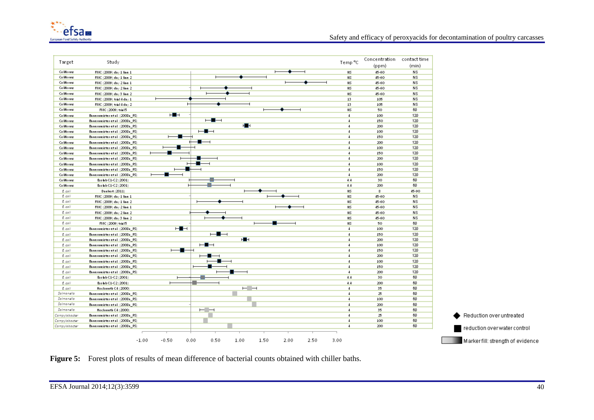

| Target        | Study                          |                                                                                                     |                                | Temp °C        | Concentration | contact time |                          |
|---------------|--------------------------------|-----------------------------------------------------------------------------------------------------|--------------------------------|----------------|---------------|--------------|--------------------------|
|               |                                |                                                                                                     |                                |                | (ppm)         | (min)        |                          |
| Co lifo rms   | FMC (2009) day 1 line 1        |                                                                                                     |                                | NS             | 45-60         | <b>NS</b>    |                          |
| Co lifo rms   | FMC (2009) day 1 line 2        |                                                                                                     |                                | <b>NS</b>      | 45-60         | <b>NS</b>    |                          |
| Co lifo rms   | FMC (2009) day 2 line 1        |                                                                                                     |                                | <b>NS</b>      | 45-60         | <b>NS</b>    |                          |
| Co lifo rms   | FMC (2009) day 2 line 2        |                                                                                                     |                                | NS             | 45-60         | <b>NS</b>    |                          |
| Co lifo rms   | FMC (2009) day 3 line 2        |                                                                                                     |                                | <b>NS</b>      | 45-60         | <b>NS</b>    |                          |
| Co lifo rms   | FMC (2009) trial 4 day 1       |                                                                                                     |                                | 13             | 105           | <b>NS</b>    |                          |
| Co lifo rms   | FMC (2009) trial 4 day 2       |                                                                                                     |                                | 13             | 105           | <b>NS</b>    |                          |
| Co lifo rms   | FMC (2009) trial 5             |                                                                                                     |                                | <b>NS</b>      | 50            | 60           |                          |
| Co lifo rms   | Bauermeister et al. (2008a PS) | $H = H$                                                                                             |                                | $\overline{4}$ | 100           | 120          |                          |
| Co lifo rms   | Bauermeister et al. (2008a PS) |                                                                                                     | $\overline{\phantom{a}}$       | $\,4$          | 150           | 120          |                          |
| Coliforms     | Bauermeister et al. (2008a PS) |                                                                                                     | HI H                           | $\overline{4}$ | 200           | 120          |                          |
| Co lifo rms   | Bauermeister et al. (2008a_PS) |                                                                                                     | $\overline{\phantom{a}}$       | $\overline{4}$ | 100           | 120          |                          |
| Co lifo rms   | Bauermeister et al. (2008a_PS) | $\overline{\phantom{a}}$ $\overline{\phantom{a}}$ $\overline{\phantom{a}}$ $\overline{\phantom{a}}$ |                                | $\overline{4}$ | 150           | 120          |                          |
| Co lifo rms   |                                |                                                                                                     | <b>-a</b> —                    | $\overline{4}$ | 200           | 120          |                          |
|               | Bauermeister et al. (2008a_PS) | $\vdash$                                                                                            |                                |                |               | 120          |                          |
| Co lifo rms   | Bauermeister et al. (2008a PS) | п.                                                                                                  |                                | 4              | 100           |              |                          |
| Co lifo rms   | Bauermeister et al. (2008a_PS) |                                                                                                     |                                | $\overline{4}$ | 150           | 120          |                          |
| Co lifo rms   | Bauermeister et al. (2008a_PS) |                                                                                                     |                                | 4              | 200           | 120          |                          |
| Co lifo rms   | Bauermeister et al. (2008a PS) | $\overline{+}$                                                                                      | $\blacksquare$                 | $\overline{4}$ | 100           | 120          |                          |
| Co lifo rms   | Bauermeister et al. (2008a PS) | $\overline{}$                                                                                       |                                | $\ddot{4}$     | 150           | 120          |                          |
| Co lifo rms   | Bauermeister et al. (2008a PS) | п.<br>$\vdash$                                                                                      |                                | 4              | 200           | 120          |                          |
| Co lifo rms   | Ecolab C1-C2 (2001)            |                                                                                                     |                                | 4.4            | 30            | 60           |                          |
| Coliforms     | Ecolab C1-C2 (2001)            |                                                                                                     |                                | 4.4            | 200           | 60           |                          |
| E. coli       | Dankert (2011)                 |                                                                                                     |                                | NS             | s             | 45-90        |                          |
| E. coli       | FMC (2009) day 1 line 1        |                                                                                                     |                                | <b>NS</b>      | 45-60         | <b>NS</b>    |                          |
| E. coli       | FMC (2009) day 1 line 2        |                                                                                                     |                                | <b>NS</b>      | 45-60         | NS.          |                          |
| E. coli       | FMC (2009) day 2 line 1        |                                                                                                     |                                | NS             | 45-60         | <b>NS</b>    |                          |
| E. coli       | FMC (2009) day 2 line 2        |                                                                                                     |                                | NS             | 45-60         | <b>NS</b>    |                          |
| E. coli       | FMC (2009) day 3 line 2        |                                                                                                     |                                | <b>NS</b>      | 45-60         | <b>NS</b>    |                          |
| E. coli       | FMC (2009) trial 5             |                                                                                                     |                                | NS             | 50            | 60           |                          |
| E. coli       | Bauermeister et al. (2008a PS) | H                                                                                                   |                                | $\overline{4}$ | 100           | 120          |                          |
| E. coli       | Bauermeister et al. (2008a PS) |                                                                                                     | $\overline{\phantom{a}}$       | $\overline{4}$ | 150           | 120          |                          |
| E. coli       | Bauermeister et al. (2008a PS) |                                                                                                     | HIH                            | $\overline{4}$ | 200           | 120          |                          |
| E. coli       | Bauermeister et al. (2008a_PS) |                                                                                                     | $\overline{\phantom{a}}$       | $\,4$          | 100           | 120          |                          |
| E. coli       | Bauermeister et al. (2008a_PS) | $ -$                                                                                                |                                | $\overline{4}$ | 150           | 120          |                          |
| E. coli       |                                |                                                                                                     | ╺╾▊═╕                          | $\overline{4}$ | 200           | 120          |                          |
|               | Bauermeister et al. (2008a_PS) |                                                                                                     | п.<br>$\overline{\phantom{0}}$ |                |               |              |                          |
| E. coli       | Bauermeister et al. (2008a PS) |                                                                                                     |                                | $\overline{4}$ | 100           | 120          |                          |
| E. coli       | Bauermeister et al. (2008a PS) |                                                                                                     |                                | $\overline{4}$ | 150           | 120          |                          |
| E. coli       | Bauermeister et al. (2008a_PS) |                                                                                                     |                                | $\overline{4}$ | 200           | 120          |                          |
| E. coli       | Ecolab C1-C2 (2001)            |                                                                                                     |                                | 4.4            | 30            | 60           |                          |
| E. coli       | Ecolab C1-C2 (2001)            |                                                                                                     |                                | 4.4            | 200           | 60           |                          |
| E. coli       | Hochmuth C4 (2000)             |                                                                                                     | $\overline{a}$                 | $\overline{4}$ | 35            | 60           |                          |
| Salmonella    | Bauermeister et al. (2008a PS) |                                                                                                     |                                | $\overline{4}$ | 25            | 60           |                          |
| Salmonella    | Bauermeister et al. (2008a_PS) |                                                                                                     |                                | 4              | 100           | 60           |                          |
| Salmonella    | Bauermeister et al. (2008a PS) |                                                                                                     |                                | $\overline{4}$ | 200           | 60           |                          |
| Salmonella    | Hochmuth C4 (2000)             |                                                                                                     | $\overline{a}$                 | $\overline{4}$ | 35            | 60           |                          |
| Campylobacter | Bauermeister et al. (2008a PS) |                                                                                                     |                                | $\overline{4}$ | 25            | 60           | Reduction over untreated |
|               | Bauermeister et al. (2006a PS) |                                                                                                     |                                | $\overline{4}$ | 100           | 60           |                          |
| Campylobacter |                                |                                                                                                     |                                |                |               |              |                          |

Figure 5: Forest plots of results of mean difference of bacterial counts obtained with chiller baths.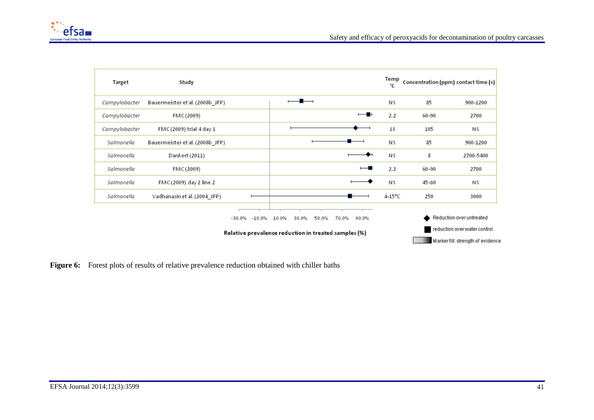

| Target        | Study                                                                                                                                                 |  |  |                             |  |                          | Temp<br>°C       | Concentration (ppm) contact time (s) |                                   |
|---------------|-------------------------------------------------------------------------------------------------------------------------------------------------------|--|--|-----------------------------|--|--------------------------|------------------|--------------------------------------|-----------------------------------|
| Campylobacter | Bauermeister et al. (2008b_JFP)                                                                                                                       |  |  | $ -$                        |  |                          | <b>NS</b>        | 85                                   | 900-1200                          |
| Campylobacter | FMC(2009)                                                                                                                                             |  |  |                             |  | $\overline{\phantom{a}}$ | 2.2              | 60-90                                | 2700                              |
| Campylobacter | FMC(2009) trial 4 day 1                                                                                                                               |  |  |                             |  |                          | 13               | 105                                  | ΝS                                |
| Salmonella    | Bauermeister et al. (2008b JFP)                                                                                                                       |  |  |                             |  |                          | <b>NS</b>        | 85                                   | 900-1200                          |
| Salmonella    | Dankert (2011)                                                                                                                                        |  |  |                             |  |                          | <b>NS</b>        | 8                                    | 2700-5400                         |
| Salmonella    | FMC(2009)                                                                                                                                             |  |  |                             |  | $\overline{\phantom{0}}$ | 2.2              | 60-90                                | 2700                              |
| Salmonella    | FMC(2009) day 2 line 2                                                                                                                                |  |  |                             |  |                          | <b>NS</b>        | $45 - 60$                            | ΝS                                |
| Salmonella    | Vadhanasin et al. (2004 JFP)                                                                                                                          |  |  |                             |  |                          | $4-15^{\circ}$ C | 250                                  | 3000                              |
|               | Reduction over untreated<br>$-30.0%$<br>$-10.0%$<br>10.0%<br>30.0%<br>50.0%<br>70.0%<br>90.0%<br>Relative prevalence reduction in treated samples (%) |  |  | reduction overwater control |  |                          |                  |                                      |                                   |
|               |                                                                                                                                                       |  |  |                             |  |                          |                  |                                      | Marker fill: strength of evidence |

Figure 6: Forest plots of results of relative prevalence reduction obtained with chiller baths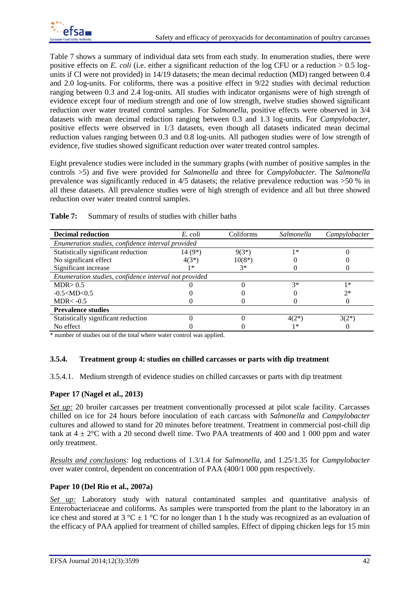Table 7 shows a summary of individual data sets from each study. In enumeration studies, there were positive effects on *E. coli* (i.e. either a significant reduction of the log CFU or a reduction > 0.5 logunits if CI were not provided) in 14/19 datasets; the mean decimal reduction (MD) ranged between 0.4 and 2.0 log-units. For coliforms, there was a positive effect in 9/22 studies with decimal reduction ranging between 0.3 and 2.4 log-units. All studies with indicator organisms were of high strength of evidence except four of medium strength and one of low strength, twelve studies showed significant reduction over water treated control samples. For *Salmonella*, positive effects were observed in 3/4 datasets with mean decimal reduction ranging between 0.3 and 1.3 log-units. For *Campylobacter*, positive effects were observed in 1/3 datasets, even though all datasets indicated mean decimal reduction values ranging between 0.3 and 0.8 log-units. All pathogen studies were of low strength of evidence, five studies showed significant reduction over water treated control samples.

Eight prevalence studies were included in the summary graphs (with number of positive samples in the controls >5) and five were provided for *Salmonella* and three for *Campylobacter.* The *Salmonella* prevalence was significantly reduced in 4/5 datasets; the relative prevalence reduction was >50 % in all these datasets. All prevalence studies were of high strength of evidence and all but three showed reduction over water treated control samples.

| <b>Decimal reduction</b>                              | E. coli  | Coliforms | Salmonella | Campylobacter |
|-------------------------------------------------------|----------|-----------|------------|---------------|
| Enumeration studies, confidence interval provided     |          |           |            |               |
| Statistically significant reduction                   | 14 (9*)  | $9(3^*)$  | $1*$       |               |
| No significant effect                                 | $4(3^*)$ | $10(8*)$  |            |               |
| Significant increase                                  |          | $3*$      |            |               |
| Enumeration studies, confidence interval not provided |          |           |            |               |
| MDR > 0.5                                             |          |           | $3*$       | $1*$          |
| $-0.5 < MDC$                                          |          |           |            | $2*$          |
| $MDR < -0.5$                                          |          |           |            |               |
| <b>Prevalence studies</b>                             |          |           |            |               |
| Statistically significant reduction                   |          |           | $4(2^*)$   | $3(2^*)$      |
| No effect                                             |          |           | 1 *        |               |

Table 7: Summary of results of studies with chiller baths

\* number of studies out of the total where water control was applied.

#### <span id="page-41-0"></span>**3.5.4. Treatment group 4: studies on chilled carcasses or parts with dip treatment**

3.5.4.1. Medium strength of evidence studies on chilled carcasses or parts with dip treatment

#### **Paper 17 [\(Nagel et al., 2013\)](#page-57-18)**

*Set up:* 20 broiler carcasses per treatment conventionally processed at pilot scale facility. Carcasses chilled on ice for 24 hours before inoculation of each carcass with *Salmonella* and *Campylobacter*  cultures and allowed to stand for 20 minutes before treatment. Treatment in commercial post-chill dip tank at  $4 \pm 2^{\circ}$ C with a 20 second dwell time. Two PAA treatments of 400 and 1 000 ppm and water only treatment.

*Results and conclusions:* log reductions of 1.3/1.4 for *Salmonella*, and 1.25/1.35 for *Campylobacter* over water control, dependent on concentration of PAA (400/1 000 ppm respectively.

# **Paper 10 [\(Del Rio et al., 2007a\)](#page-55-21)**

*Set up:* Laboratory study with natural contaminated samples and quantitative analysis of Enterobacteriaceae and coliforms. As samples were transported from the plant to the laboratory in an ice chest and stored at  $3 \degree C \pm 1 \degree C$  for no longer than 1 h the study was recognized as an evaluation of the efficacy of PAA applied for treatment of chilled samples. Effect of dipping chicken legs for 15 min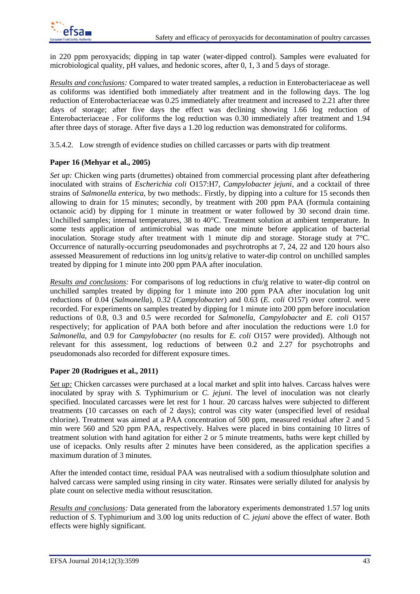in 220 ppm peroxyacids; dipping in tap water (water-dipped control). Samples were evaluated for microbiological quality, pH values, and hedonic scores, after 0, 1, 3 and 5 days of storage.

*Results and conclusions:* Compared to water treated samples, a reduction in Enterobacteriaceae as well as coliforms was identified both immediately after treatment and in the following days. The log reduction of Enterobacteriaceae was 0.25 immediately after treatment and increased to 2.21 after three days of storage; after five days the effect was declining showing 1.66 log reduction of Enterobacteriaceae . For coliforms the log reduction was 0.30 immediately after treatment and 1.94 after three days of storage. After five days a 1.20 log reduction was demonstrated for coliforms.

3.5.4.2. Low strength of evidence studies on chilled carcasses or parts with dip treatment

# **Paper 16 [\(Mehyar et al., 2005\)](#page-57-16)**

*Set up:* Chicken wing parts (drumettes) obtained from commercial processing plant after defeathering inoculated with strains of *Escherichia coli* O157:H7, *Campylobacter jejuni*, and a cocktail of three strains of *Salmonella enterica,* by two methods:. Firstly, by dipping into a culture for 15 seconds then allowing to drain for 15 minutes; secondly, by treatment with 200 ppm PAA (formula containing octanoic acid) by dipping for 1 minute in treatment or water followed by 30 second drain time. Unchilled samples; internal temperatures, 38 to 40°C. Treatment solution at ambient temperature. In some tests application of antimicrobial was made one minute before application of bacterial inoculation. Storage study after treatment with 1 minute dip and storage. Storage study at  $7^{\circ}$ C. Occurrence of naturally-occurring pseudomonades and psychrotrophs at 7, 24, 22 and 120 hours also assessed Measurement of reductions inn log units/g relative to water-dip control on unchilled samples treated by dipping for 1 minute into 200 ppm PAA after inoculation.

*Results and conclusions:* For comparisons of log reductions in cfu/g relative to water-dip control on unchilled samples treated by dipping for 1 minute into 200 ppm PAA after inoculation log unit reductions of 0.04 (*Salmonella*), 0.32 (*Campylobacter*) and 0.63 (*E. coli* O157) over control. were recorded. For experiments on samples treated by dipping for 1 minute into 200 ppm before inoculation reductions of 0.8, 0.3 and 0.5 were recorded for *Salmonella, Campylobacter* and *E. coli* O157 respectively; for application of PAA both before and after inoculation the reductions were 1.0 for *Salmonella*, and 0.9 for *Campylobacter* (no results for *E. coli* O157 were provided). Although not relevant for this assessment, log reductions of between 0.2 and 2.27 for psychotrophs and pseudomonads also recorded for different exposure times.

# **Paper 20 [\(Rodrigues et al., 2011\)](#page-57-19)**

*Set up:* Chicken carcasses were purchased at a local market and split into halves. Carcass halves were inoculated by spray with *S.* Typhimurium or *C. jejuni*. The level of inoculation was not clearly specified. Inoculated carcasses were let rest for 1 hour. 20 carcass halves were subjected to different treatments (10 carcasses on each of 2 days); control was city water (unspecified level of residual chlorine). Treatment was aimed at a PAA concentration of 500 ppm, measured residual after 2 and 5 min were 560 and 520 ppm PAA, respectively. Halves were placed in bins containing 10 litres of treatment solution with hand agitation for either 2 or 5 minute treatments, baths were kept chilled by use of icepacks. Only results after 2 minutes have been considered, as the application specifies a maximum duration of 3 minutes.

After the intended contact time, residual PAA was neutralised with a sodium thiosulphate solution and halved carcass were sampled using rinsing in city water. Rinsates were serially diluted for analysis by plate count on selective media without resuscitation.

*Results and conclusions:* Data generated from the laboratory experiments demonstrated 1.57 log units reduction of *S*. Typhimurium and 3.00 log units reduction of *C. jejuni* above the effect of water. Both effects were highly significant.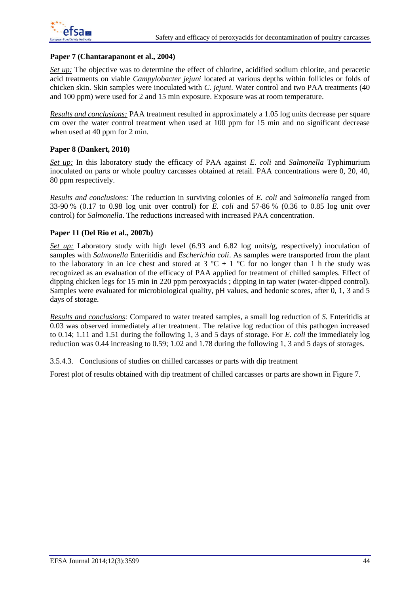

#### **Paper 7 [\(Chantarapanont et al., 2004\)](#page-55-22)**

*Set up:* The objective was to determine the effect of chlorine, acidified sodium chlorite, and peracetic acid treatments on viable *Campylobacter jejuni* located at various depths within follicles or folds of chicken skin. Skin samples were inoculated with *C. jejuni*. Water control and two PAA treatments (40 and 100 ppm) were used for 2 and 15 min exposure. Exposure was at room temperature.

*Results and conclusions:* PAA treatment resulted in approximately a 1.05 log units decrease per square cm over the water control treatment when used at 100 ppm for 15 min and no significant decrease when used at 40 ppm for 2 min.

#### **Paper 8 [\(Dankert, 2010\)](#page-55-23)**

*Set up:* In this laboratory study the efficacy of PAA against *E. coli* and *Salmonella* Typhimurium inoculated on parts or whole poultry carcasses obtained at retail. PAA concentrations were 0, 20, 40, 80 ppm respectively.

*Results and conclusions:* The reduction in surviving colonies of *E. coli* and *Salmonella* ranged from 33-90 % (0.17 to 0.98 log unit over control) for *E. coli* and 57-86 % (0.36 to 0.85 log unit over control) for *Salmonella*. The reductions increased with increased PAA concentration.

#### **Paper 11 [\(Del Rio et al., 2007b\)](#page-55-24)**

*Set up:* Laboratory study with high level (6.93 and 6.82 log units/g, respectively) inoculation of samples with *Salmonella* Enteritidis and *Escherichia coli*. As samples were transported from the plant to the laboratory in an ice chest and stored at  $3 \degree C \pm 1 \degree C$  for no longer than 1 h the study was recognized as an evaluation of the efficacy of PAA applied for treatment of chilled samples. Effect of dipping chicken legs for 15 min in 220 ppm peroxyacids ; dipping in tap water (water-dipped control). Samples were evaluated for microbiological quality, pH values, and hedonic scores, after 0, 1, 3 and 5 days of storage.

*Results and conclusions:* Compared to water treated samples, a small log reduction of *S.* Enteritidis at 0.03 was observed immediately after treatment. The relative log reduction of this pathogen increased to 0.14; 1.11 and 1.51 during the following 1, 3 and 5 days of storage. For *E. coli* the immediately log reduction was 0.44 increasing to 0.59; 1.02 and 1.78 during the following 1, 3 and 5 days of storages.

3.5.4.3. Conclusions of studies on chilled carcasses or parts with dip treatment

Forest plot of results obtained with dip treatment of chilled carcasses or parts are shown in Figure 7.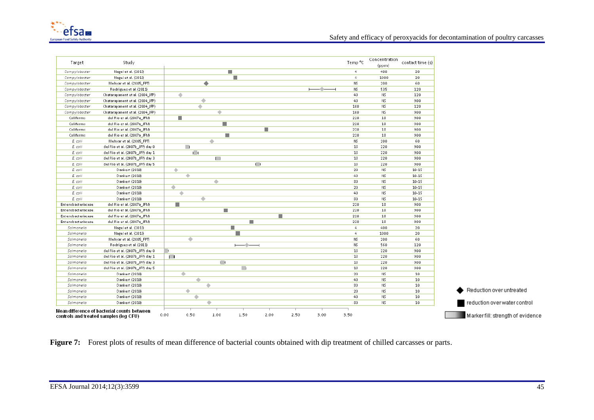

| Target                                      | Study                            |                | Temp <sup>o</sup> C | Concentration | contact time (s) |                              |
|---------------------------------------------|----------------------------------|----------------|---------------------|---------------|------------------|------------------------------|
|                                             |                                  |                |                     | (ppm)         |                  |                              |
| Campylobacter                               | Nagel et al. (2013)              | п              | 4                   | 400           | 20               |                              |
| Campylobacter                               | Nagel et al. (2013)              | T.             | 4                   | 1000          | 20               |                              |
| Campylobacter                               | Mehyar et al. (2005_FPT)         | ٠              | NS                  | 200           | 60               |                              |
| Campylobacter                               | Rodrigues et al. (2011)          |                | NS                  | 535           | 120              |                              |
| Campylobacter                               | Chatarapanont et al. (2004_JFP)  | ۰              | 40                  | NS            | 120              |                              |
| Campylobacter                               | Chatarapanont et al. (2004_JFP)  | ۰              | 40                  | NS            | 900              |                              |
| Campylobacter                               | Chatarapanont et al. (2004_JFP)  | ۰              | 100                 | NS            | 120              |                              |
| Campylobacter                               | Chatarapanont et al. (2004_JFP)  | ۰              | 100                 | NS            | 900              |                              |
| Coliforms                                   | del Rio et al. (2007a_JFM)       | п              | 220                 | 18            | 900              |                              |
| Coliforms                                   | del Rio et al. (2007a_JFM)       | п              | 220                 | 18            | 900              |                              |
| Coliforms                                   | del Rio et al. (2007a_JFM)       | T.             | 220                 | 18            | 900              |                              |
| Coliforms                                   | del Rio et al. (2007a_JFM)       | ш              | 220                 | 18            | 900              |                              |
| E. coli                                     | Mehyar et al. (2005_FPT)         | ٠              | NS                  | 200           | 60               |                              |
| E. coli                                     | del Rio et al. (2007b_JFP) day 0 | $\mathbf{I}$   | 18                  | 220           | 900              |                              |
| E. coli                                     | del Rio et al. (2007b_JFP) day 1 | $+$ $+$        | 18                  | 220           | 900              |                              |
| E. coli                                     | del Rio et al. (2007b_JFP) day 3 | $\Box$         | 18                  | 220           | 900              |                              |
| E. coli                                     | del Rio et al. (2007b_JFP) day 5 | $\overline{1}$ | 18                  | 220           | 900              |                              |
| E. coli                                     | Dankert (2010)                   | ۰              | 20                  | ΝS            | 10-15            |                              |
| E. coli                                     | Dankert (2010)                   | ۰              | 40                  | <b>NS</b>     | $10 - 15$        |                              |
| E. coli                                     | Dankert (2010)                   | ٠              | 80                  | NS            | 10-15            |                              |
| E. coli                                     | Dankert (2010)                   | ۰              | 20                  | ΝS            | 10-15            |                              |
| E. coli                                     | Dankert (2010)                   | ۰              | 40                  | ΝS            | $10 - 15$        |                              |
| E. coli                                     | Dankert (2010)                   | ٠              | 80                  | NS            | 10-15            |                              |
| <b>Enterobacteriaceae</b>                   | del Rio et al. (2007a_JFM)       | п              | 220                 | 18            | 900              |                              |
| <b>Enterobacteriaceae</b>                   | del Rio et al. (2007a_JFM)       | п              | 220                 | 18            | 900              |                              |
| <b>Enterobacteriaceae</b>                   | del Rio et al. (2007a_JFM)       | п              | 220                 | 18            | 900              |                              |
| <b>Enterobacteriaceae</b>                   | del Rio et al. (2007a_JFM)       | a.             | 220                 | 18            | 900              |                              |
| Salmonella                                  | Nagel et al. (2013)              | п              | 4                   | 400           | 20               |                              |
| Salmonella                                  | Nagel et al. (2013)              | ×              | 4                   | 1000          | 20               |                              |
| Salmonella                                  | Mehyar et al. (2005_FPT)         | ۰              | ΝS                  | 200           | 60               |                              |
| Salmonella                                  | Rodrigues et al. (2011)          | ⊢              | NS                  | 560           | 120              |                              |
| Salmonella                                  | del Rio et al. (2007b_JFP) day 0 | $\mathbf{H}$   | 18                  | 220           | 900              |                              |
| Salmonella                                  | del Rio et al. (2007b_JFP) day 1 | $\Box$         | 18                  | 220           | 900              |                              |
| Salmonella                                  | del Rio et al. (2007b_JFP) day 3 | $\Box$         | 18                  | 220           | 900              |                              |
| Salmonella                                  | del Rio et al. (2007b_JFP) day 5 | п              | 18                  | 220           | 900              |                              |
| Salmonella                                  | Dankert (2010)                   | ۰              | 20                  | NS            | 10               |                              |
| Salmonella                                  | Dankert (2010)                   | ۵              | 40                  | ΝS            | 10               |                              |
| Salmonella                                  | Dankert (2010)                   | ٠              | 80                  | NS            | 10               |                              |
| Salmonella                                  | Dankert (2010)                   | ۰              | 20                  | NS            | 10               | Reduction over untreated     |
| Salmonella                                  | Dankert (2010)                   | ۰              | 40                  | NS            | 10               |                              |
| Salmonella                                  | Dankert (2010)                   | ۰              | 80                  | <b>NS</b>     | 10               | reduction over water control |
| Mean difference of bacterial counts between |                                  |                |                     |               |                  |                              |
|                                             |                                  |                |                     |               |                  |                              |

**Figure 7:** Forest plots of results of mean difference of bacterial counts obtained with dip treatment of chilled carcasses or parts.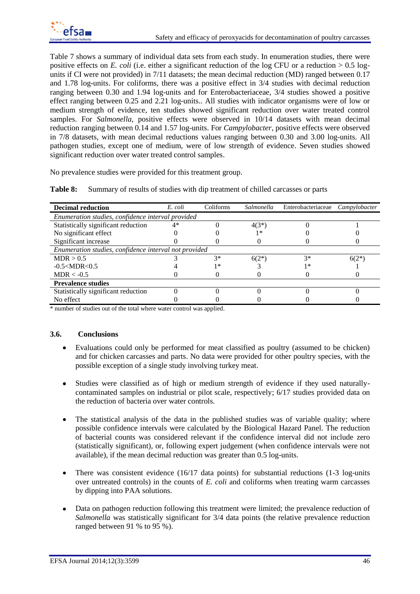Table 7 shows a summary of individual data sets from each study. In enumeration studies, there were positive effects on *E. coli* (i.e. either a significant reduction of the log CFU or a reduction > 0.5 logunits if CI were not provided) in 7/11 datasets; the mean decimal reduction (MD) ranged between 0.17 and 1.78 log-units. For coliforms, there was a positive effect in 3/4 studies with decimal reduction ranging between 0.30 and 1.94 log-units and for Enterobacteriaceae, 3/4 studies showed a positive effect ranging between 0.25 and 2.21 log-units.. All studies with indicator organisms were of low or medium strength of evidence, ten studies showed significant reduction over water treated control samples. For *Salmonella*, positive effects were observed in 10/14 datasets with mean decimal reduction ranging between 0.14 and 1.57 log-units. For *Campylobacter*, positive effects were observed in 7/8 datasets, with mean decimal reductions values ranging between 0.30 and 3.00 log-units. All pathogen studies, except one of medium, were of low strength of evidence. Seven studies showed significant reduction over water treated control samples.

No prevalence studies were provided for this treatment group.

| <b>Decimal reduction</b>                              | E. coli | Coliforms | Salmonella | Enterobacteriaceae | Campylobacter |
|-------------------------------------------------------|---------|-----------|------------|--------------------|---------------|
| Enumeration studies, confidence interval provided     |         |           |            |                    |               |
| Statistically significant reduction                   | 4*      |           | $4(3^*)$   |                    |               |
| No significant effect                                 |         |           | 1∗         |                    |               |
| Significant increase                                  |         |           |            |                    |               |
| Enumeration studies, confidence interval not provided |         |           |            |                    |               |
| MDR > 0.5                                             |         | $3*$      | $6(2*)$    | $3*$               | $6(2^*)$      |
| $-0.5 < MDR < 0.5$                                    |         | *         |            | 1∗                 |               |
| $MDR < -0.5$                                          |         |           |            |                    |               |
| <b>Prevalence studies</b>                             |         |           |            |                    |               |
| Statistically significant reduction                   |         |           |            |                    |               |
| No effect                                             |         |           |            |                    |               |

**Table 8:** Summary of results of studies with dip treatment of chilled carcasses or parts

\* number of studies out of the total where water control was applied.

# <span id="page-45-0"></span>**3.6. Conclusions**

- $\bullet$ Evaluations could only be performed for meat classified as poultry (assumed to be chicken) and for chicken carcasses and parts. No data were provided for other poultry species, with the possible exception of a single study involving turkey meat.
- Studies were classified as of high or medium strength of evidence if they used naturally- $\bullet$ contaminated samples on industrial or pilot scale, respectively; 6/17 studies provided data on the reduction of bacteria over water controls.
- $\bullet$ The statistical analysis of the data in the published studies was of variable quality; where possible confidence intervals were calculated by the Biological Hazard Panel. The reduction of bacterial counts was considered relevant if the confidence interval did not include zero (statistically significant), or, following expert judgement (when confidence intervals were not available), if the mean decimal reduction was greater than 0.5 log-units.
- There was consistent evidence (16/17 data points) for substantial reductions (1-3 log-units over untreated controls) in the counts of *E. coli* and coliforms when treating warm carcasses by dipping into PAA solutions.
- Data on pathogen reduction following this treatment were limited; the prevalence reduction of *Salmonella* was statistically significant for 3/4 data points (the relative prevalence reduction ranged between 91 % to 95 %).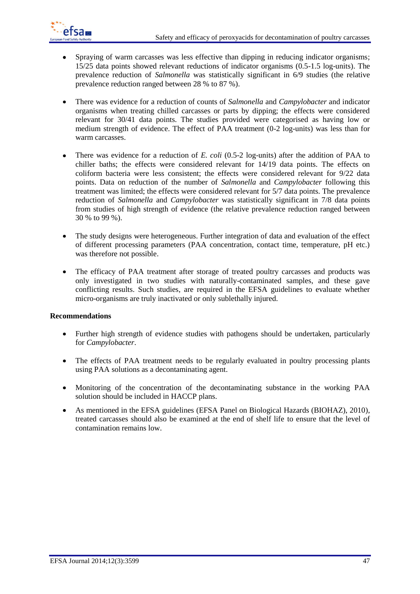

- Spraying of warm carcasses was less effective than dipping in reducing indicator organisms; 15/25 data points showed relevant reductions of indicator organisms (0.5-1.5 log-units). The prevalence reduction of *Salmonella* was statistically significant in 6/9 studies (the relative prevalence reduction ranged between 28 % to 87 %).
- There was evidence for a reduction of counts of *Salmonella* and *Campylobacter* and indicator organisms when treating chilled carcasses or parts by dipping; the effects were considered relevant for 30/41 data points. The studies provided were categorised as having low or medium strength of evidence. The effect of PAA treatment (0-2 log-units) was less than for warm carcasses.
- There was evidence for a reduction of *E. coli* (0.5-2 log-units) after the addition of PAA to chiller baths; the effects were considered relevant for 14/19 data points. The effects on coliform bacteria were less consistent; the effects were considered relevant for 9/22 data points. Data on reduction of the number of *Salmonella* and *Campylobacter* following this treatment was limited; the effects were considered relevant for 5/7 data points. The prevalence reduction of *Salmonella* and *Campylobacter* was statistically significant in 7/8 data points from studies of high strength of evidence (the relative prevalence reduction ranged between 30 % to 99 %).
- The study designs were heterogeneous. Further integration of data and evaluation of the effect  $\bullet$ of different processing parameters (PAA concentration, contact time, temperature, pH etc.) was therefore not possible.
- The efficacy of PAA treatment after storage of treated poultry carcasses and products was only investigated in two studies with naturally-contaminated samples, and these gave conflicting results. Such studies, are required in the EFSA guidelines to evaluate whether micro-organisms are truly inactivated or only sublethally injured.

# **Recommendations**

- Further high strength of evidence studies with pathogens should be undertaken, particularly for *Campylobacter*.
- The effects of PAA treatment needs to be regularly evaluated in poultry processing plants using PAA solutions as a decontaminating agent.
- Monitoring of the concentration of the decontaminating substance in the working PAA solution should be included in HACCP plans.
- As mentioned in the EFSA guidelines [\(EFSA Panel on Biological Hazards \(BIOHAZ\), 2010\)](#page-56-0), treated carcasses should also be examined at the end of shelf life to ensure that the level of contamination remains low.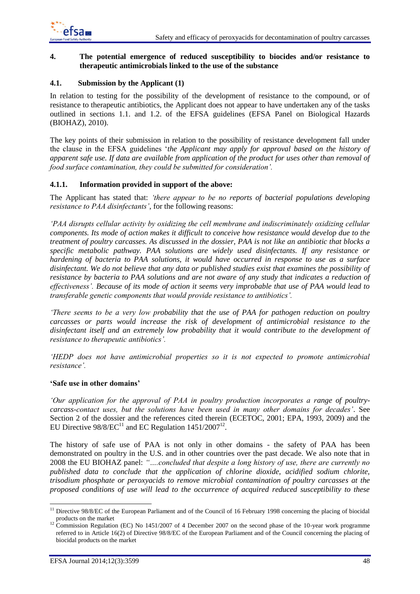### <span id="page-47-0"></span>**4. The potential emergence of reduced susceptibility to biocides and/or resistance to therapeutic antimicrobials linked to the use of the substance**

### <span id="page-47-1"></span>**4.1. Submission by the Applicant (1)**

In relation to testing for the possibility of the development of resistance to the compound, or of resistance to therapeutic antibiotics, the Applicant does not appear to have undertaken any of the tasks outlined in sections 1.1. and 1.2. of the EFSA guidelines [\(EFSA Panel on Biological Hazards](#page-56-4)  [\(BIOHAZ\), 2010\)](#page-56-4).

The key points of their submission in relation to the possibility of resistance development fall under the clause in the EFSA guidelines "*the Applicant may apply for approval based on the history of apparent safe use. If data are available from application of the product for uses other than removal of food surface contamination, they could be submitted for consideration".*

### <span id="page-47-2"></span>**4.1.1. Information provided in support of the above:**

The Applicant has stated that: *"there appear to be no reports of bacterial populations developing resistance to PAA disinfectants'*, for the following reasons:

*"PAA disrupts cellular activity by oxidizing the cell membrane and indiscriminately oxidizing cellular components. Its mode of action makes it difficult to conceive how resistance would develop due to the treatment of poultry carcasses. As discussed in the dossier, PAA is not like an antibiotic that blocks a specific metabolic pathway. PAA solutions are widely used disinfectants. If any resistance or hardening of bacteria to PAA solutions, it would have occurred in response to use as a surface disinfectant. We do not believe that any data or published studies exist that examines the possibility of resistance by bacteria to PAA solutions and are not aware of any study that indicates a reduction of effectiveness". Because of its mode of action it seems very improbable that use of PAA would lead to transferable genetic components that would provide resistance to antibiotics".* 

*"There seems to be a very low probability that the use of PAA for pathogen reduction on poultry carcasses or parts would increase the risk of development of antimicrobial resistance to the disinfectant itself and an extremely low probability that it would contribute to the development of resistance to therapeutic antibiotics".* 

*"HEDP does not have antimicrobial properties so it is not expected to promote antimicrobial resistance".* 

#### **'Safe use in other domains'**

*"Our application for the approval of PAA in poultry production incorporates a range of poultrycarcass-contact uses, but the solutions have been used in many other domains for decades"*. See Section 2 of the dossier and the references cited therein [\(ECETOC, 2001;](#page-55-1) [EPA, 1993,](#page-56-14) [2009\)](#page-56-15) and the EU Directive  $98/8/EC^{11}$  and EC Regulation  $1451/2007^{12}$ .

The history of safe use of PAA is not only in other domains - the safety of PAA has been demonstrated on poultry in the U.S. and in other countries over the past decade. We also note that in 2008 the EU BIOHAZ panel: *"….concluded that despite a long history of use, there are currently no published data to conclude that the application of chlorine dioxide, acidified sodium chlorite, trisodium phosphate or peroxyacids to remove microbial contamination of poultry carcasses at the proposed conditions of use will lead to the occurrence of acquired reduced susceptibility to these* 

l <sup>11</sup> Directive 98/8/EC of the European Parliament and of the Council of 16 February 1998 concerning the placing of biocidal products on the market

<sup>&</sup>lt;sup>12</sup> Commission Regulation (EC) No 1451/2007 of 4 December 2007 on the second phase of the 10-year work programme referred to in Article 16(2) of Directive 98/8/EC of the European Parliament and of the Council concerning the placing of biocidal products on the market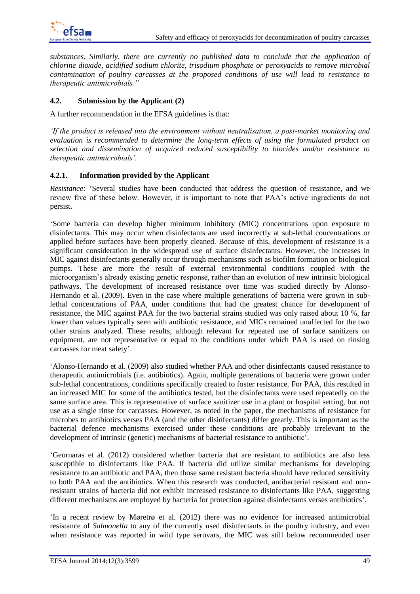*substances. Similarly, there are currently no published data to conclude that the application of chlorine dioxide, acidified sodium chlorite, trisodium phosphate or peroxyacids to remove microbial contamination of poultry carcasses at the proposed conditions of use will lead to resistance to therapeutic antimicrobials."*

# <span id="page-48-0"></span>**4.2. Submission by the Applicant (2)**

A further recommendation in the EFSA guidelines is that:

*"If the product is released into the environment without neutralisation, a post-market monitoring and evaluation is recommended to determine the long-term effects of using the formulated product on selection and dissemination of acquired reduced susceptibility to biocides and/or resistance to therapeutic antimicrobials".*

# <span id="page-48-1"></span>**4.2.1. Information provided by the Applicant**

*Resistance:* "Several studies have been conducted that address the question of resistance, and we review five of these below. However, it is important to note that PAA"s active ingredients do not persist.

"Some bacteria can develop higher minimum inhibitory (MIC) concentrations upon exposure to disinfectants. This may occur when disinfectants are used incorrectly at sub-lethal concentrations or applied before surfaces have been properly cleaned. Because of this, development of resistance is a significant consideration in the widespread use of surface disinfectants. However, the increases in MIC against disinfectants generally occur through mechanisms such as biofilm formation or biological pumps. These are more the result of external environmental conditions coupled with the microorganism"s already existing genetic response, rather than an evolution of new intrinsic biological pathways. The development of increased resistance over time was studied directly by Alonso-Hernando et al. [\(2009\)](#page-55-25). Even in the case where multiple generations of bacteria were grown in sublethal concentrations of PAA, under conditions that had the greatest chance for development of resistance, the MIC against PAA for the two bacterial strains studied was only raised about 10 %, far lower than values typically seen with antibiotic resistance, and MICs remained unaffected for the two other strains analyzed. These results, although relevant for repeated use of surface sanitizers on equipment, are not representative or equal to the conditions under which PAA is used on rinsing carcasses for meat safety'.

"Alonso-Hernando et al. (2009) also studied whether PAA and other disinfectants caused resistance to therapeutic antimicrobials (i.e. antibiotics). Again, multiple generations of bacteria were grown under sub-lethal concentrations, conditions specifically created to foster resistance. For PAA, this resulted in an increased MIC for some of the antibiotics tested, but the disinfectants were used repeatedly on the same surface area. This is representative of surface sanitizer use in a plant or hospital setting, but not use as a single rinse for carcasses. However, as noted in the paper, the mechanisms of resistance for microbes to antibiotics verses PAA (and the other disinfectants) differ greatly. This is important as the bacterial defence mechanisms exercised under these conditions are probably irrelevant to the development of intrinsic (genetic) mechanisms of bacterial resistance to antibiotic".

"Geornaras et al. (2012) considered whether bacteria that are resistant to antibiotics are also less susceptible to disinfectants like PAA. If bacteria did utilize similar mechanisms for developing resistance to an antibiotic and PAA, then those same resistant bacteria should have reduced sensitivity to both PAA and the antibiotics. When this research was conducted, antibacterial resistant and nonresistant strains of bacteria did not exhibit increased resistance to disinfectants like PAA, suggesting different mechanisms are employed by bacteria for protection against disinfectants verses antibiotics".

"In a recent review by Møretrø et al*.* (2012) there was no evidence for increased antimicrobial resistance of *Salmonella* to any of the currently used disinfectants in the poultry industry, and even when resistance was reported in wild type serovars, the MIC was still below recommended user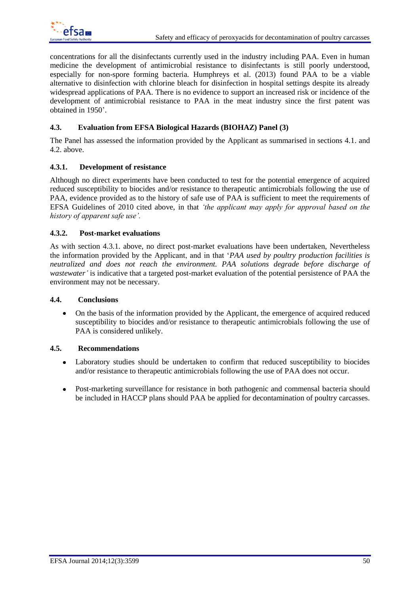concentrations for all the disinfectants currently used in the industry including PAA. Even in human medicine the development of antimicrobial resistance to disinfectants is still poorly understood, especially for non-spore forming bacteria. Humphreys et al. (2013) found PAA to be a viable alternative to disinfection with chlorine bleach for disinfection in hospital settings despite its already widespread applications of PAA. There is no evidence to support an increased risk or incidence of the development of antimicrobial resistance to PAA in the meat industry since the first patent was obtained in 1950".

# <span id="page-49-0"></span>**4.3. Evaluation from EFSA Biological Hazards (BIOHAZ) Panel (3)**

The Panel has assessed the information provided by the Applicant as summarised in sections 4.1. and 4.2. above.

# <span id="page-49-1"></span>**4.3.1. Development of resistance**

Although no direct experiments have been conducted to test for the potential emergence of acquired reduced susceptibility to biocides and/or resistance to therapeutic antimicrobials following the use of PAA, evidence provided as to the history of safe use of PAA is sufficient to meet the requirements of EFSA Guidelines of 2010 cited above, in that *"the applicant may apply for approval based on the history of apparent safe use".* 

# <span id="page-49-2"></span>**4.3.2. Post-market evaluations**

As with section 4.3.1. above, no direct post-market evaluations have been undertaken, Nevertheless the information provided by the Applicant, and in that "*PAA used by poultry production facilities is neutralized and does not reach the environment. PAA solutions degrade before discharge of wastewater"* is indicative that a targeted post-market evaluation of the potential persistence of PAA the environment may not be necessary.

#### <span id="page-49-3"></span>**4.4. Conclusions**

On the basis of the information provided by the Applicant, the emergence of acquired reduced  $\bullet$ susceptibility to biocides and/or resistance to therapeutic antimicrobials following the use of PAA is considered unlikely.

#### <span id="page-49-4"></span>**4.5. Recommendations**

- Laboratory studies should be undertaken to confirm that reduced susceptibility to biocides  $\bullet$ and/or resistance to therapeutic antimicrobials following the use of PAA does not occur.
- $\bullet$ Post-marketing surveillance for resistance in both pathogenic and commensal bacteria should be included in HACCP plans should PAA be applied for decontamination of poultry carcasses.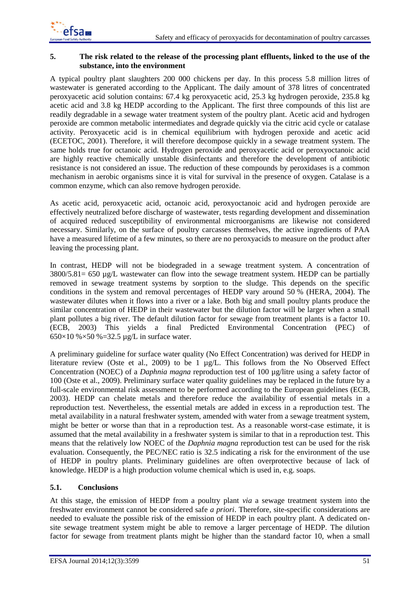

# <span id="page-50-0"></span>**5. The risk related to the release of the processing plant effluents, linked to the use of the substance, into the environment**

A typical poultry plant slaughters 200 000 chickens per day. In this process 5.8 million litres of wastewater is generated according to the Applicant. The daily amount of 378 litres of concentrated peroxyacetic acid solution contains: 67.4 kg peroxyacetic acid, 25.3 kg hydrogen peroxide, 235.8 kg acetic acid and 3.8 kg HEDP according to the Applicant. The first three compounds of this list are readily degradable in a sewage water treatment system of the poultry plant. Acetic acid and hydrogen peroxide are common metabolic intermediates and degrade quickly via the citric acid cycle or catalase activity. Peroxyacetic acid is in chemical equilibrium with hydrogen peroxide and acetic acid [\(ECETOC, 2001\)](#page-55-1). Therefore, it will therefore decompose quickly in a sewage treatment system. The same holds true for octanoic acid. Hydrogen peroxide and peroxyacetic acid or peroxyoctanoic acid are highly reactive chemically unstable disinfectants and therefore the development of antibiotic resistance is not considered an issue. The reduction of these compounds by peroxidases is a common mechanism in aerobic organisms since it is vital for survival in the presence of oxygen. Catalase is a common enzyme, which can also remove hydrogen peroxide.

As acetic acid, peroxyacetic acid, octanoic acid, peroxyoctanoic acid and hydrogen peroxide are effectively neutralized before discharge of wastewater, tests regarding development and dissemination of acquired reduced susceptibility of environmental microorganisms are likewise not considered necessary. Similarly, on the surface of poultry carcasses themselves, the active ingredients of PAA have a measured lifetime of a few minutes, so there are no peroxyacids to measure on the product after leaving the processing plant.

In contrast, HEDP will not be biodegraded in a sewage treatment system. A concentration of 3800/5.81= 650 µg/L wastewater can flow into the sewage treatment system. HEDP can be partially removed in sewage treatment systems by sorption to the sludge. This depends on the specific conditions in the system and removal percentages of HEDP vary around 50 % [\(HERA, 2004\)](#page-56-16). The wastewater dilutes when it flows into a river or a lake. Both big and small poultry plants produce the similar concentration of HEDP in their wastewater but the dilution factor will be larger when a small plant pollutes a big river. The default dilution factor for sewage from treatment plants is a factor 10. [\(ECB, 2003\)](#page-55-26) This yields a final Predicted Environmental Concentration (PEC) of  $650\times10\% \times 50\% = 32.5 \text{ µg/L}$  in surface water.

A preliminary guideline for surface water quality (No Effect Concentration) was derived for HEDP in literature review [\(Oste et al., 2009\)](#page-57-20) to be 1 µg/L. This follows from the No Observed Effect Concentration (NOEC) of a *Daphnia magna* reproduction test of 100 µg/litre using a safety factor of 100 [\(Oste et al., 2009\)](#page-57-20). Preliminary surface water quality guidelines may be replaced in the future by a full-scale environmental risk assessment to be performed according to the European guidelines [\(ECB,](#page-55-26)  [2003\)](#page-55-26). HEDP can chelate metals and therefore reduce the availability of essential metals in a reproduction test. Nevertheless, the essential metals are added in excess in a reproduction test. The metal availability in a natural freshwater system, amended with water from a sewage treatment system, might be better or worse than that in a reproduction test. As a reasonable worst-case estimate, it is assumed that the metal availability in a freshwater system is similar to that in a reproduction test. This means that the relatively low NOEC of the *Daphnia magna* reproduction test can be used for the risk evaluation. Consequently, the PEC/NEC ratio is 32.5 indicating a risk for the environment of the use of HEDP in poultry plants. Preliminary guidelines are often overprotective because of lack of knowledge. HEDP is a high production volume chemical which is used in, e.g. soaps.

# <span id="page-50-1"></span>**5.1. Conclusions**

At this stage, the emission of HEDP from a poultry plant *via* a sewage treatment system into the freshwater environment cannot be considered safe *a priori*. Therefore, site-specific considerations are needed to evaluate the possible risk of the emission of HEDP in each poultry plant. A dedicated onsite sewage treatment system might be able to remove a larger percentage of HEDP. The dilution factor for sewage from treatment plants might be higher than the standard factor 10, when a small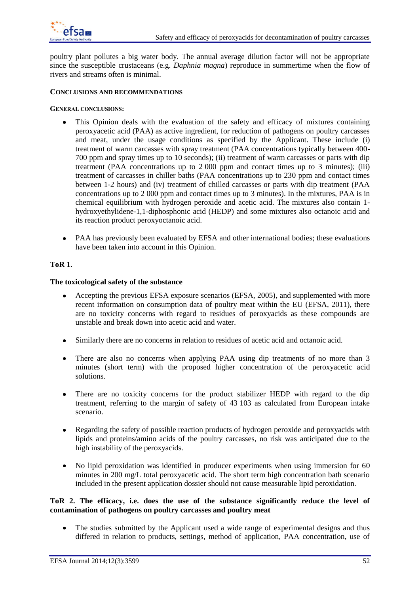

poultry plant pollutes a big water body. The annual average dilution factor will not be appropriate since the susceptible crustaceans (e.g. *Daphnia magna*) reproduce in summertime when the flow of rivers and streams often is minimal.

#### <span id="page-51-0"></span>**CONCLUSIONS AND RECOMMENDATIONS**

**GENERAL CONCLUSIONS:**

- This Opinion deals with the evaluation of the safety and efficacy of mixtures containing  $\bullet$ peroxyacetic acid (PAA) as active ingredient, for reduction of pathogens on poultry carcasses and meat, under the usage conditions as specified by the Applicant. These include (i) treatment of warm carcasses with spray treatment (PAA concentrations typically between 400- 700 ppm and spray times up to 10 seconds); (ii) treatment of warm carcasses or parts with dip treatment (PAA concentrations up to 2 000 ppm and contact times up to 3 minutes); (iii) treatment of carcasses in chiller baths (PAA concentrations up to 230 ppm and contact times between 1-2 hours) and (iv) treatment of chilled carcasses or parts with dip treatment (PAA concentrations up to 2 000 ppm and contact times up to 3 minutes). In the mixtures, PAA is in chemical equilibrium with hydrogen peroxide and acetic acid. The mixtures also contain 1 hydroxyethylidene-1,1-diphosphonic acid (HEDP) and some mixtures also octanoic acid and its reaction product peroxyoctanoic acid.
- PAA has previously been evaluated by EFSA and other international bodies; these evaluations have been taken into account in this Opinion.

### **ToR 1.**

#### **The toxicological safety of the substance**

- Accepting the previous EFSA exposure scenarios (EFSA, 2005), and supplemented with more recent information on consumption data of poultry meat within the EU (EFSA, 2011), there are no toxicity concerns with regard to residues of peroxyacids as these compounds are unstable and break down into acetic acid and water.
- Similarly there are no concerns in relation to residues of acetic acid and octanoic acid.
- There are also no concerns when applying PAA using dip treatments of no more than 3 minutes (short term) with the proposed higher concentration of the peroxyacetic acid solutions.
- There are no toxicity concerns for the product stabilizer HEDP with regard to the dip  $\bullet$ treatment, referring to the margin of safety of 43 103 as calculated from European intake scenario.
- Regarding the safety of possible reaction products of hydrogen peroxide and peroxyacids with lipids and proteins/amino acids of the poultry carcasses, no risk was anticipated due to the high instability of the peroxyacids.
- No lipid peroxidation was identified in producer experiments when using immersion for 60 minutes in 200 mg/L total peroxyacetic acid. The short term high concentration bath scenario included in the present application dossier should not cause measurable lipid peroxidation.

### **ToR 2. The efficacy, i.e. does the use of the substance significantly reduce the level of contamination of pathogens on poultry carcasses and poultry meat**

The studies submitted by the Applicant used a wide range of experimental designs and thus  $\bullet$ differed in relation to products, settings, method of application, PAA concentration, use of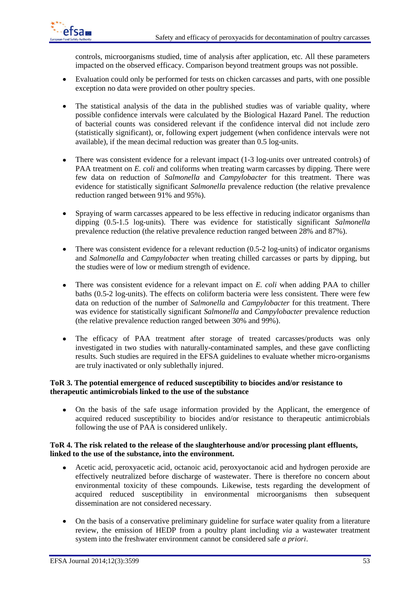controls, microorganisms studied, time of analysis after application, etc. All these parameters impacted on the observed efficacy. Comparison beyond treatment groups was not possible.

- Evaluation could only be performed for tests on chicken carcasses and parts, with one possible exception no data were provided on other poultry species.
- The statistical analysis of the data in the published studies was of variable quality, where possible confidence intervals were calculated by the Biological Hazard Panel. The reduction of bacterial counts was considered relevant if the confidence interval did not include zero (statistically significant), or, following expert judgement (when confidence intervals were not available), if the mean decimal reduction was greater than 0.5 log-units.
- There was consistent evidence for a relevant impact (1-3 log-units over untreated controls) of PAA treatment on *E. coli* and coliforms when treating warm carcasses by dipping. There were few data on reduction of *Salmonella* and *Campylobacter* for this treatment. There was evidence for statistically significant *Salmonella* prevalence reduction (the relative prevalence reduction ranged between 91% and 95%).
- Spraying of warm carcasses appeared to be less effective in reducing indicator organisms than dipping (0.5-1.5 log-units). There was evidence for statistically significant *Salmonella* prevalence reduction (the relative prevalence reduction ranged between 28% and 87%).
- $\bullet$  There was consistent evidence for a relevant reduction (0.5-2 log-units) of indicator organisms and *Salmonella* and *Campylobacter* when treating chilled carcasses or parts by dipping, but the studies were of low or medium strength of evidence.
- There was consistent evidence for a relevant impact on *E. coli* when adding PAA to chiller baths (0.5-2 log-units). The effects on coliform bacteria were less consistent. There were few data on reduction of the number of *Salmonella* and *Campylobacter* for this treatment. There was evidence for statistically significant *Salmonella* and *Campylobacter* prevalence reduction (the relative prevalence reduction ranged between 30% and 99%).
- The efficacy of PAA treatment after storage of treated carcasses/products was only investigated in two studies with naturally-contaminated samples, and these gave conflicting results. Such studies are required in the EFSA guidelines to evaluate whether micro-organisms are truly inactivated or only sublethally injured.

### **ToR 3. The potential emergence of reduced susceptibility to biocides and/or resistance to therapeutic antimicrobials linked to the use of the substance**

On the basis of the safe usage information provided by the Applicant, the emergence of acquired reduced susceptibility to biocides and/or resistance to therapeutic antimicrobials following the use of PAA is considered unlikely.

### **ToR 4. The risk related to the release of the slaughterhouse and/or processing plant effluents, linked to the use of the substance, into the environment.**

- Acetic acid, peroxyacetic acid, octanoic acid, peroxyoctanoic acid and hydrogen peroxide are effectively neutralized before discharge of wastewater. There is therefore no concern about environmental toxicity of these compounds. Likewise, tests regarding the development of acquired reduced susceptibility in environmental microorganisms then subsequent dissemination are not considered necessary.
- On the basis of a conservative preliminary guideline for surface water quality from a literature review, the emission of HEDP from a poultry plant including *via* a wastewater treatment system into the freshwater environment cannot be considered safe *a priori*.

efsam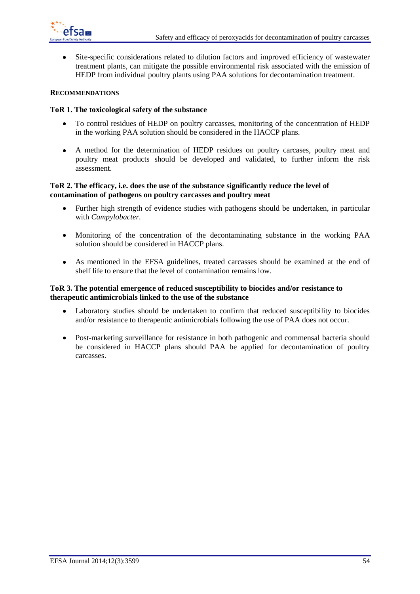Site-specific considerations related to dilution factors and improved efficiency of wastewater treatment plants, can mitigate the possible environmental risk associated with the emission of HEDP from individual poultry plants using PAA solutions for decontamination treatment.

#### **RECOMMENDATIONS**

#### **ToR 1. The toxicological safety of the substance**

- To control residues of HEDP on poultry carcasses, monitoring of the concentration of HEDP  $\bullet$ in the working PAA solution should be considered in the HACCP plans.
- A method for the determination of HEDP residues on poultry carcases, poultry meat and poultry meat products should be developed and validated, to further inform the risk assessment.

#### **ToR 2. The efficacy, i.e. does the use of the substance significantly reduce the level of contamination of pathogens on poultry carcasses and poultry meat**

- Further high strength of evidence studies with pathogens should be undertaken, in particular with *Campylobacter.*
- Monitoring of the concentration of the decontaminating substance in the working PAA solution should be considered in HACCP plans.
- As mentioned in the EFSA guidelines, treated carcasses should be examined at the end of shelf life to ensure that the level of contamination remains low.

#### **ToR 3. The potential emergence of reduced susceptibility to biocides and/or resistance to therapeutic antimicrobials linked to the use of the substance**

- Laboratory studies should be undertaken to confirm that reduced susceptibility to biocides and/or resistance to therapeutic antimicrobials following the use of PAA does not occur.
- Post-marketing surveillance for resistance in both pathogenic and commensal bacteria should be considered in HACCP plans should PAA be applied for decontamination of poultry carcasses.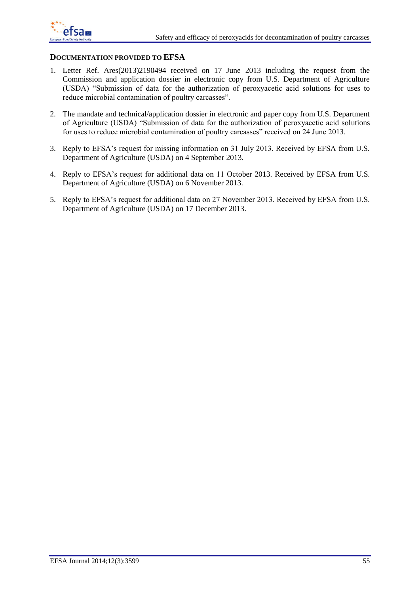

#### <span id="page-54-0"></span>**DOCUMENTATION PROVIDED TO EFSA**

- 1. Letter Ref. Ares(2013)2190494 received on 17 June 2013 including the request from the Commission and application dossier in electronic copy from U.S. Department of Agriculture (USDA) "Submission of data for the authorization of peroxyacetic acid solutions for uses to reduce microbial contamination of poultry carcasses".
- 2. The mandate and technical/application dossier in electronic and paper copy from U.S. Department of Agriculture (USDA) "Submission of data for the authorization of peroxyacetic acid solutions for uses to reduce microbial contamination of poultry carcasses" received on 24 June 2013.
- 3. Reply to EFSA"s request for missing information on 31 July 2013. Received by EFSA from U.S. Department of Agriculture (USDA) on 4 September 2013.
- 4. Reply to EFSA"s request for additional data on 11 October 2013. Received by EFSA from U.S. Department of Agriculture (USDA) on 6 November 2013.
- 5. Reply to EFSA"s request for additional data on 27 November 2013. Received by EFSA from U.S. Department of Agriculture (USDA) on 17 December 2013.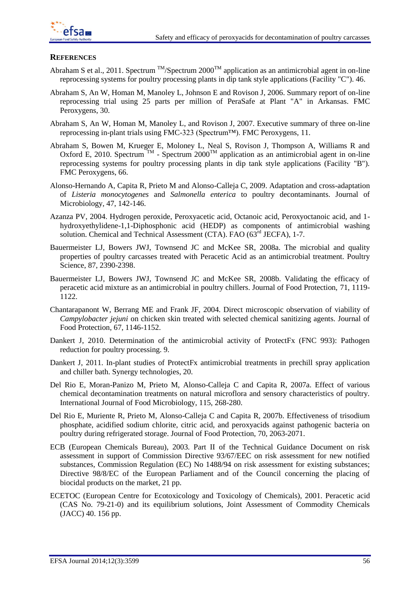<span id="page-55-7"></span><span id="page-55-6"></span><span id="page-55-4"></span><span id="page-55-3"></span>

#### <span id="page-55-0"></span>**REFERENCES**

- <span id="page-55-18"></span><span id="page-55-9"></span>Abraham S et al., 2011. Spectrum  $TM/Spectrum$  2000<sup>TM</sup> application as an antimicrobial agent in on-line reprocessing systems for poultry processing plants in dip tank style applications (Facility "C"). 46.
- <span id="page-55-14"></span><span id="page-55-8"></span>Abraham S, An W, Homan M, Manoley L, Johnson E and Rovison J, 2006. Summary report of on-line reprocessing trial using 25 parts per million of PeraSafe at Plant "A" in Arkansas. FMC Peroxygens, 30.
- <span id="page-55-15"></span>Abraham S, An W, Homan M, Manoley L, and Rovison J, 2007. Executive summary of three on-line reprocessing in-plant trials using FMC-323 (Spectrum™). FMC Peroxygens, 11.
- <span id="page-55-17"></span><span id="page-55-11"></span>Abraham S, Bowen M, Krueger E, Moloney L, Neal S, Rovison J, Thompson A, Williams R and Oxford E, 2010. Spectrum <sup>TM</sup> - Spectrum 2000<sup>TM</sup> application as an antimicrobial agent in on-line reprocessing systems for poultry processing plants in dip tank style applications (Facility "B"). FMC Peroxygens, 66.
- <span id="page-55-25"></span><span id="page-55-12"></span><span id="page-55-5"></span>Alonso-Hernando A, Capita R, Prieto M and Alonso-Calleja C, 2009. Adaptation and cross-adaptation of *Listeria monocytogenes* and *Salmonella enterica* to poultry decontaminants. Journal of Microbiology, 47, 142-146.
- <span id="page-55-10"></span><span id="page-55-2"></span>Azanza PV, 2004. Hydrogen peroxide, Peroxyacetic acid, Octanoic acid, Peroxyoctanoic acid, and 1 hydroxyethylidene-1,1-Diphosphonic acid (HEDP) as components of antimicrobial washing solution. Chemical and Technical Assessment (CTA). FAO (63<sup>rd</sup> JECFA), 1-7.
- <span id="page-55-20"></span><span id="page-55-13"></span>Bauermeister LJ, Bowers JWJ, Townsend JC and McKee SR, 2008a. The microbial and quality properties of poultry carcasses treated with Peracetic Acid as an antimicrobial treatment. Poultry Science, 87, 2390-2398.
- <span id="page-55-19"></span>Bauermeister LJ, Bowers JWJ, Townsend JC and McKee SR, 2008b. Validating the efficacy of peracetic acid mixture as an antimicrobial in poultry chillers. Journal of Food Protection, 71, 1119- 1122.
- <span id="page-55-22"></span>Chantarapanont W, Berrang ME and Frank JF, 2004. Direct microscopic observation of viability of *Campylobacter jejuni* on chicken skin treated with selected chemical sanitizing agents. Journal of Food Protection, 67, 1146-1152.
- <span id="page-55-23"></span>Dankert J, 2010. Determination of the antimicrobial activity of ProtectFx (FNC 993): Pathogen reduction for poultry processing. 9.
- <span id="page-55-16"></span>Dankert J, 2011. In-plant studies of ProtectFx antimicrobial treatments in prechill spray application and chiller bath. Synergy technologies, 20.
- <span id="page-55-21"></span>Del Rio E, Moran-Panizo M, Prieto M, Alonso-Calleja C and Capita R, 2007a. Effect of various chemical decontamination treatments on natural microflora and sensory characteristics of poultry. International Journal of Food Microbiology, 115, 268-280.
- <span id="page-55-24"></span>Del Rio E, Muriente R, Prieto M, Alonso-Calleja C and Capita R, 2007b. Effectiveness of trisodium phosphate, acidified sodium chlorite, citric acid, and peroxyacids against pathogenic bacteria on poultry during refrigerated storage. Journal of Food Protection, 70, 2063-2071.
- <span id="page-55-26"></span>ECB (European Chemicals Bureau), 2003. Part II of the Technical Guidance Document on risk assessment in support of Commission Directive 93/67/EEC on risk assessment for new notified substances, Commission Regulation (EC) No 1488/94 on risk assessment for existing substances; Directive 98/8/EC of the European Parliament and of the Council concerning the placing of biocidal products on the market, 21 pp.
- <span id="page-55-1"></span>ECETOC (European Centre for Ecotoxicology and Toxicology of Chemicals), 2001. Peracetic acid (CAS No. 79-21-0) and its equilibrium solutions, Joint Assessment of Commodity Chemicals (JACC) 40. 156 pp.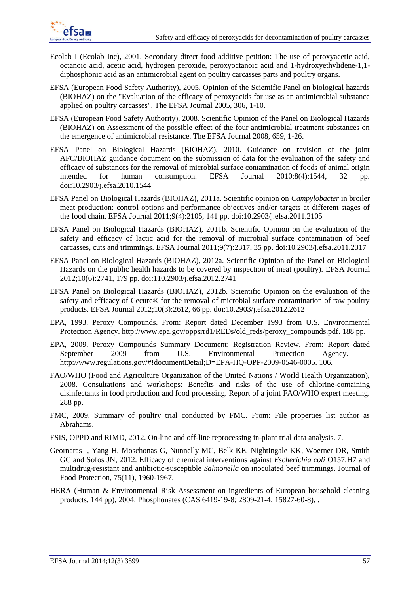<span id="page-56-10"></span>

- <span id="page-56-13"></span>Ecolab I (Ecolab Inc), 2001. Secondary direct food additive petition: The use of peroxyacetic acid, octanoic acid, acetic acid, hydrogen peroxide, peroxyoctanoic acid and 1-hydroxyethylidene-1,1 diphosphonic acid as an antimicrobial agent on poultry carcasses parts and poultry organs.
- <span id="page-56-1"></span>EFSA (European Food Safety Authority), 2005. Opinion of the Scientific Panel on biological hazards (BIOHAZ) on the "Evaluation of the efficacy of peroxyacids for use as an antimicrobial substance applied on poultry carcasses". The EFSA Journal 2005, 306, 1-10.
- <span id="page-56-2"></span>EFSA (European Food Safety Authority), 2008. Scientific Opinion of the Panel on Biological Hazards (BIOHAZ) on Assessment of the possible effect of the four antimicrobial treatment substances on the emergence of antimicrobial resistance. The EFSA Journal 2008, 659, 1-26.
- <span id="page-56-0"></span>EFSA Panel on Biological Hazards (BIOHAZ), 2010. Guidance on revision of the joint AFC/BIOHAZ guidance document on the submission of data for the evaluation of the safety and efficacy of substances for the removal of microbial surface contamination of foods of animal origin intended for human consumption. EFSA Journal 2010;8(4):1544, 32 pp. doi:10.2903/j.efsa.2010.1544
- <span id="page-56-4"></span>EFSA Panel on Biological Hazards (BIOHAZ), 2011a. Scientific opinion on *Campylobacter* in broiler meat production: control options and performance objectives and/or targets at different stages of the food chain. EFSA Journal 2011;9(4):2105, 141 pp. doi:10.2903/j.efsa.2011.2105
- <span id="page-56-8"></span><span id="page-56-3"></span>EFSA Panel on Biological Hazards (BIOHAZ), 2011b. Scientific Opinion on the evaluation of the safety and efficacy of lactic acid for the removal of microbial surface contamination of beef carcasses, cuts and trimmings. EFSA Journal 2011;9(7):2317, 35 pp. doi:10.2903/j.efsa.2011.2317
- <span id="page-56-9"></span><span id="page-56-5"></span>EFSA Panel on Biological Hazards (BIOHAZ), 2012a. Scientific Opinion of the Panel on Biological Hazards on the public health hazards to be covered by inspection of meat (poultry). EFSA Journal 2012;10(6):2741, 179 pp. doi:110.2903/j.efsa.2012.2741
- <span id="page-56-6"></span>EFSA Panel on Biological Hazards (BIOHAZ), 2012b. Scientific Opinion on the evaluation of the safety and efficacy of Cecure® for the removal of microbial surface contamination of raw poultry products. EFSA Journal 2012;10(3):2612, 66 pp. doi:10.2903/j.efsa.2012.2612
- <span id="page-56-14"></span>EPA, 1993. Peroxy Compounds. From: Report dated December 1993 from U.S. Environmental Protection Agency. [http://www.epa.gov/oppsrrd1/REDs/old\\_reds/peroxy\\_compounds.pdf.](http://www.epa.gov/oppsrrd1/REDs/old_reds/peroxy_compounds.pdf) 188 pp.
- <span id="page-56-15"></span>EPA, 2009. Peroxy Compounds Summary Document: Registration Review. From: Report dated September 2009 from U.S. Environmental Protection Agency. [http://www.regulations.gov/#!documentDetail;D=EPA-HQ-OPP-2009-0546-0005.](http://www.regulations.gov/#!documentDetail;D=EPA-HQ-OPP-2009-0546-0005) 106.
- <span id="page-56-7"></span>FAO/WHO (Food and Agriculture Organization of the United Nations / World Health Organization), 2008. Consultations and workshops: Benefits and risks of the use of chlorine-containing disinfectants in food production and food processing. Report of a joint FAO/WHO expert meeting. 288 pp.
- <span id="page-56-11"></span>FMC, 2009. Summary of poultry trial conducted by FMC. From: File properties list author as Abrahams.
- <span id="page-56-12"></span>FSIS, OPPD and RIMD, 2012. On-line and off-line reprocessing in-plant trial data analysis. 7.
- Geornaras I, Yang H, Moschonas G, Nunnelly MC, Belk KE, Nightingale KK, Woerner DR, Smith GC and Sofos JN, 2012. Efficacy of chemical interventions against *Escherichia coli* O157:H7 and multidrug-resistant and antibiotic-susceptible *Salmonella* on inoculated beef trimmings. Journal of Food Protection, 75(11), 1960-1967.
- <span id="page-56-16"></span>HERA (Human & Environmental Risk Assessment on ingredients of European household cleaning products. 144 pp), 2004. Phosphonates (CAS 6419-19-8; 2809-21-4; 15827-60-8), .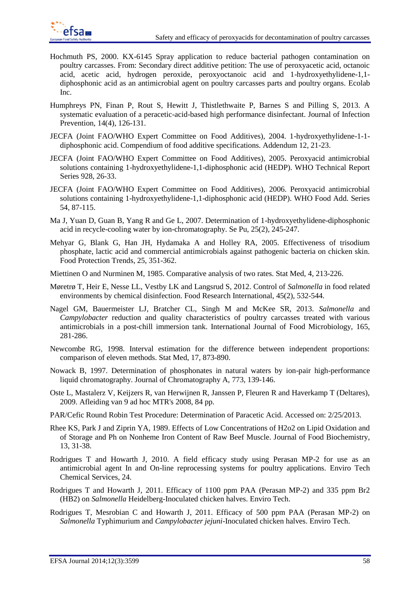<span id="page-57-8"></span>

- <span id="page-57-17"></span><span id="page-57-9"></span>Hochmuth PS, 2000. KX-6145 Spray application to reduce bacterial pathogen contamination on poultry carcasses. From: Secondary direct additive petition: The use of peroxyacetic acid, octanoic acid, acetic acid, hydrogen peroxide, peroxyoctanoic acid and 1-hydroxyethylidene-1,1 diphosphonic acid as an antimicrobial agent on poultry carcasses parts and poultry organs. Ecolab Inc.
- Humphreys PN, Finan P, Rout S, Hewitt J, Thistlethwaite P, Barnes S and Pilling S, 2013. A systematic evaluation of a peracetic-acid-based high performance disinfectant. Journal of Infection Prevention, 14(4), 126-131.
- <span id="page-57-10"></span><span id="page-57-0"></span>JECFA (Joint FAO/WHO Expert Committee on Food Additives), 2004. 1-hydroxyethylidene-1-1 diphosphonic acid. Compendium of food additive specifications. Addendum 12, 21-23.
- <span id="page-57-1"></span>JECFA (Joint FAO/WHO Expert Committee on Food Additives), 2005. Peroxyacid antimicrobial solutions containing 1-hydroxyethylidene-1,1-diphosphonic acid (HEDP). WHO Technical Report Series 928, 26-33.
- <span id="page-57-2"></span>JECFA (Joint FAO/WHO Expert Committee on Food Additives), 2006. Peroxyacid antimicrobial solutions containing 1-hydroxyethylidene-1,1-diphosphonic acid (HEDP). WHO Food Add. Series 54, 87-115.
- <span id="page-57-4"></span>Ma J, Yuan D, Guan B, Yang R and Ge L, 2007. Determination of 1-hydroxyethylidene-diphosphonic acid in recycle-cooling water by ion-chromatography. Se Pu, 25(2), 245-247.
- <span id="page-57-16"></span>Mehyar G, Blank G, Han JH, Hydamaka A and Holley RA, 2005. Effectiveness of trisodium phosphate, lactic acid and commercial antimicrobials against pathogenic bacteria on chicken skin. Food Protection Trends, 25, 351-362.
- <span id="page-57-13"></span>Miettinen O and Nurminen M, 1985. Comparative analysis of two rates. Stat Med, 4, 213-226.
- <span id="page-57-7"></span>Møretrø T, Heir E, Nesse LL, Vestby LK and Langsrud S, 2012. Control of *Salmonella* in food related environments by chemical disinfection. Food Research International, 45(2), 532-544.
- <span id="page-57-18"></span><span id="page-57-11"></span>Nagel GM, Bauermeister LJ, Bratcher CL, Singh M and McKee SR, 2013. *Salmonella* and *Campylobacter* reduction and quality characteristics of poultry carcasses treated with various antimicrobials in a post-chill immersion tank. International Journal of Food Microbiology, 165, 281-286.
- <span id="page-57-14"></span><span id="page-57-12"></span>Newcombe RG, 1998. Interval estimation for the difference between independent proportions: comparison of eleven methods. Stat Med, 17, 873-890.
- <span id="page-57-5"></span>Nowack B, 1997. Determination of phosphonates in natural waters by ion-pair high-performance liquid chromatography. Journal of Chromatography A, 773, 139-146.
- <span id="page-57-20"></span>Oste L, Mastalerz V, Keijzers R, van Herwijnen R, Janssen P, Fleuren R and Haverkamp T (Deltares), 2009. Afleiding van 9 ad hoc MTR's 2008, 84 pp.
- <span id="page-57-3"></span>PAR/Cefic Round Robin Test Procedure: Determination of Paracetic Acid. Accessed on: 2/25/2013.
- <span id="page-57-6"></span>Rhee KS, Park J and Ziprin YA, 1989. Effects of Low Concentrations of H2o2 on Lipid Oxidation and of Storage and Ph on Nonheme Iron Content of Raw Beef Muscle. Journal of Food Biochemistry, 13, 31-38.
- <span id="page-57-15"></span>Rodrigues T and Howarth J, 2010. A field efficacy study using Perasan MP-2 for use as an antimicrobial agent In and On-line reprocessing systems for poultry applications. Enviro Tech Chemical Services, 24.
- Rodrigues T and Howarth J, 2011. Efficacy of 1100 ppm PAA (Perasan MP-2) and 335 ppm Br2 (HB2) on *Salmonella* Heidelberg-Inoculated chicken halves. Enviro Tech.
- <span id="page-57-19"></span>Rodrigues T, Mesrobian C and Howarth J, 2011. Efficacy of 500 ppm PAA (Perasan MP-2) on *Salmonella* Typhimurium and *Campylobacter jejuni*-Inoculated chicken halves. Enviro Tech.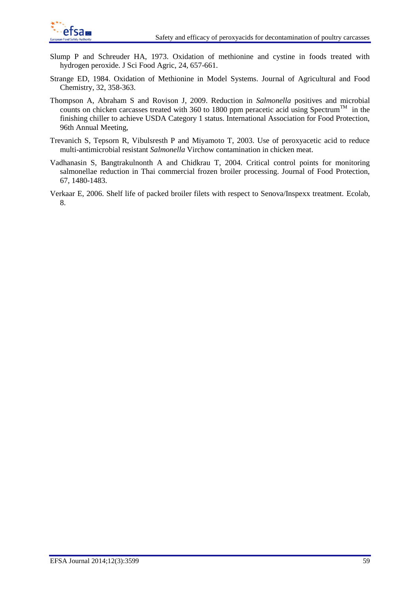- <span id="page-58-5"></span><span id="page-58-4"></span><span id="page-58-3"></span><span id="page-58-2"></span><span id="page-58-0"></span>Slump P and Schreuder HA, 1973. Oxidation of methionine and cystine in foods treated with hydrogen peroxide. J Sci Food Agric, 24, 657-661.
- <span id="page-58-1"></span>Strange ED, 1984. Oxidation of Methionine in Model Systems. Journal of Agricultural and Food Chemistry, 32, 358-363.
- Thompson A, Abraham S and Rovison J, 2009. Reduction in *Salmonella* positives and microbial counts on chicken carcasses treated with 360 to 1800 ppm peracetic acid using Spectrum<sup>TM</sup> in the finishing chiller to achieve USDA Category 1 status. International Association for Food Protection, 96th Annual Meeting,
- Trevanich S, Tepsorn R, Vibulsresth P and Miyamoto T, 2003. Use of peroxyacetic acid to reduce multi-antimicrobial resistant *Salmonella* Virchow contamination in chicken meat.
- <span id="page-58-6"></span>Vadhanasin S, Bangtrakulnonth A and Chidkrau T, 2004. Critical control points for monitoring salmonellae reduction in Thai commercial frozen broiler processing. Journal of Food Protection, 67, 1480-1483.
- Verkaar E, 2006. Shelf life of packed broiler filets with respect to Senova/Inspexx treatment. Ecolab, 8.